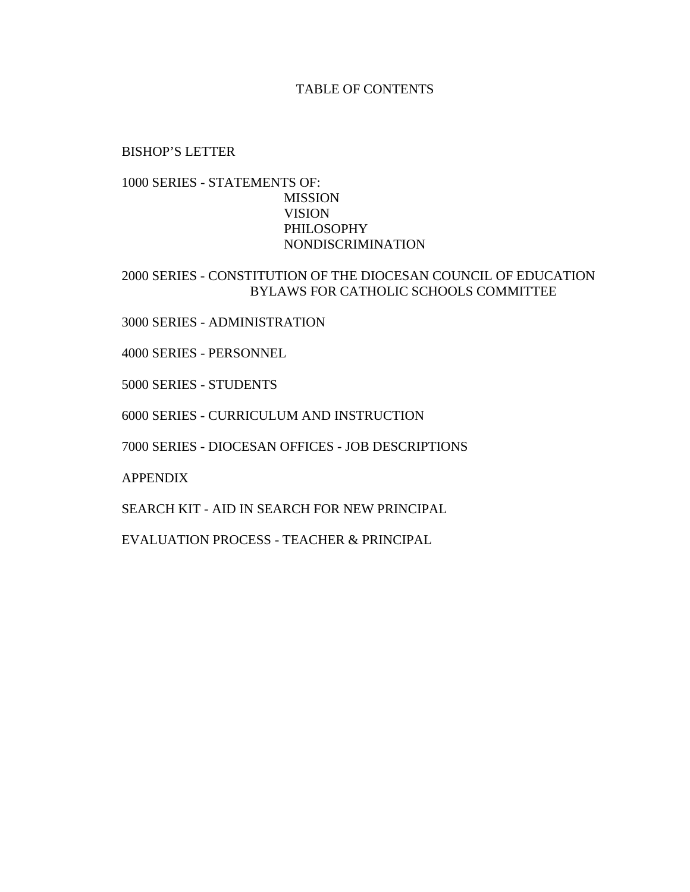#### TABLE OF CONTENTS

#### BISHOP'S LETTER

#### 1000 SERIES - STATEMENTS OF: MISSION VISION PHILOSOPHY NONDISCRIMINATION

#### 2000 SERIES - CONSTITUTION OF THE DIOCESAN COUNCIL OF EDUCATION BYLAWS FOR CATHOLIC SCHOOLS COMMITTEE

3000 SERIES - ADMINISTRATION

4000 SERIES - PERSONNEL

5000 SERIES - STUDENTS

6000 SERIES - CURRICULUM AND INSTRUCTION

7000 SERIES - DIOCESAN OFFICES - JOB DESCRIPTIONS

APPENDIX

SEARCH KIT - AID IN SEARCH FOR NEW PRINCIPAL

EVALUATION PROCESS - TEACHER & PRINCIPAL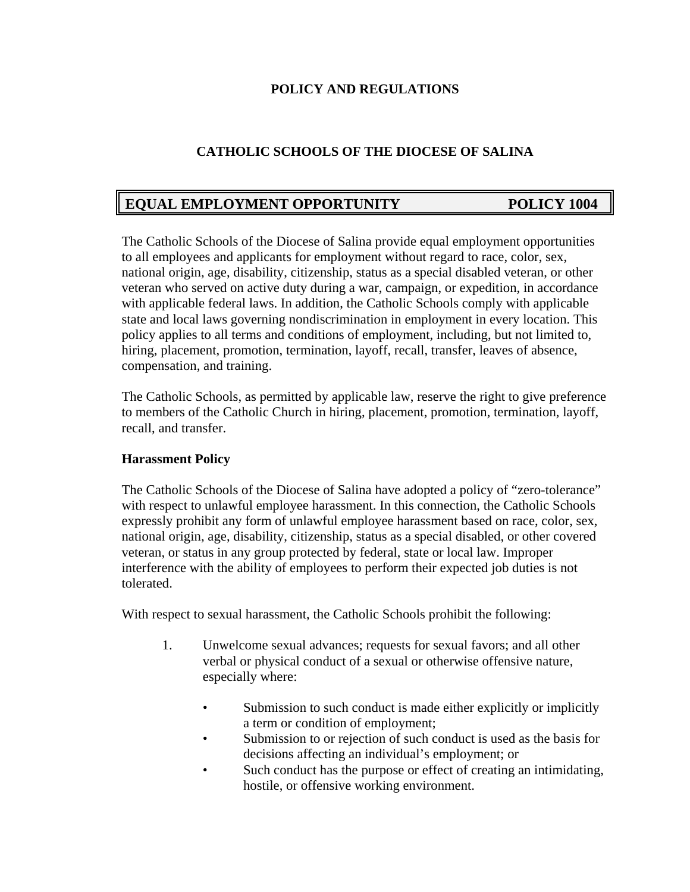### **POLICY AND REGULATIONS**

### **CATHOLIC SCHOOLS OF THE DIOCESE OF SALINA**

# **EQUAL EMPLOYMENT OPPORTUNITY POLICY 1004**

The Catholic Schools of the Diocese of Salina provide equal employment opportunities to all employees and applicants for employment without regard to race, color, sex, national origin, age, disability, citizenship, status as a special disabled veteran, or other veteran who served on active duty during a war, campaign, or expedition, in accordance with applicable federal laws. In addition, the Catholic Schools comply with applicable state and local laws governing nondiscrimination in employment in every location. This policy applies to all terms and conditions of employment, including, but not limited to, hiring, placement, promotion, termination, layoff, recall, transfer, leaves of absence, compensation, and training.

The Catholic Schools, as permitted by applicable law, reserve the right to give preference to members of the Catholic Church in hiring, placement, promotion, termination, layoff, recall, and transfer.

#### **Harassment Policy**

The Catholic Schools of the Diocese of Salina have adopted a policy of "zero-tolerance" with respect to unlawful employee harassment. In this connection, the Catholic Schools expressly prohibit any form of unlawful employee harassment based on race, color, sex, national origin, age, disability, citizenship, status as a special disabled, or other covered veteran, or status in any group protected by federal, state or local law. Improper interference with the ability of employees to perform their expected job duties is not tolerated.

With respect to sexual harassment, the Catholic Schools prohibit the following:

- 1. Unwelcome sexual advances; requests for sexual favors; and all other verbal or physical conduct of a sexual or otherwise offensive nature, especially where:
	- Submission to such conduct is made either explicitly or implicitly a term or condition of employment;
	- Submission to or rejection of such conduct is used as the basis for decisions affecting an individual's employment; or
	- Such conduct has the purpose or effect of creating an intimidating, hostile, or offensive working environment.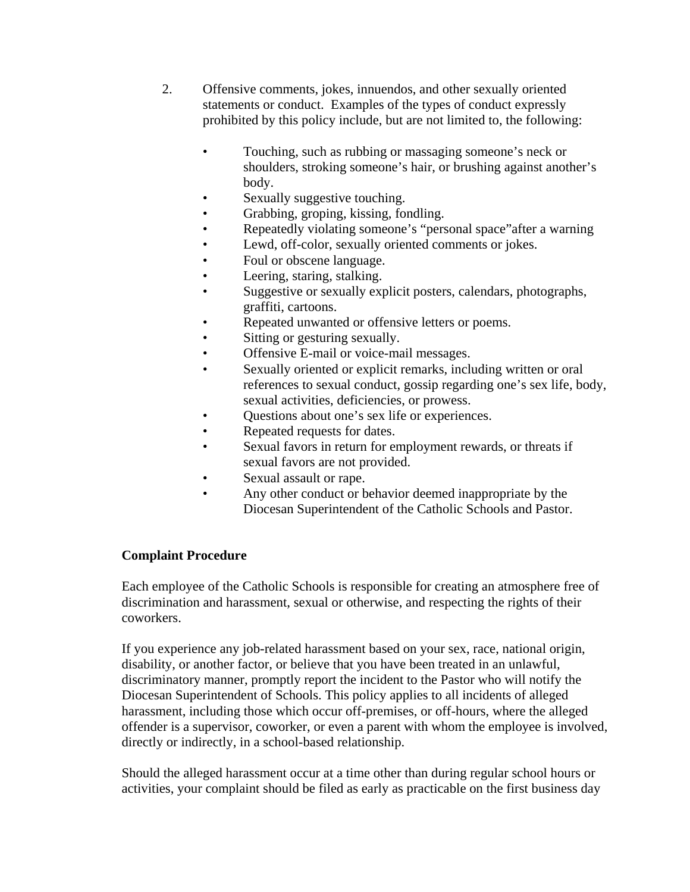- 2. Offensive comments, jokes, innuendos, and other sexually oriented statements or conduct. Examples of the types of conduct expressly prohibited by this policy include, but are not limited to, the following:
	- Touching, such as rubbing or massaging someone's neck or shoulders, stroking someone's hair, or brushing against another's body.
	- Sexually suggestive touching.
	- Grabbing, groping, kissing, fondling.
	- Repeatedly violating someone's "personal space" after a warning
	- Lewd, off-color, sexually oriented comments or jokes.
	- Foul or obscene language.
	- Leering, staring, stalking.
	- Suggestive or sexually explicit posters, calendars, photographs, graffiti, cartoons.
	- Repeated unwanted or offensive letters or poems.
	- Sitting or gesturing sexually.
	- Offensive E-mail or voice-mail messages.
	- Sexually oriented or explicit remarks, including written or oral references to sexual conduct, gossip regarding one's sex life, body, sexual activities, deficiencies, or prowess.
	- Questions about one's sex life or experiences.
	- Repeated requests for dates.
	- Sexual favors in return for employment rewards, or threats if sexual favors are not provided.
	- Sexual assault or rape.
	- Any other conduct or behavior deemed inappropriate by the Diocesan Superintendent of the Catholic Schools and Pastor.

## **Complaint Procedure**

Each employee of the Catholic Schools is responsible for creating an atmosphere free of discrimination and harassment, sexual or otherwise, and respecting the rights of their coworkers.

If you experience any job-related harassment based on your sex, race, national origin, disability, or another factor, or believe that you have been treated in an unlawful, discriminatory manner, promptly report the incident to the Pastor who will notify the Diocesan Superintendent of Schools. This policy applies to all incidents of alleged harassment, including those which occur off-premises, or off-hours, where the alleged offender is a supervisor, coworker, or even a parent with whom the employee is involved, directly or indirectly, in a school-based relationship.

Should the alleged harassment occur at a time other than during regular school hours or activities, your complaint should be filed as early as practicable on the first business day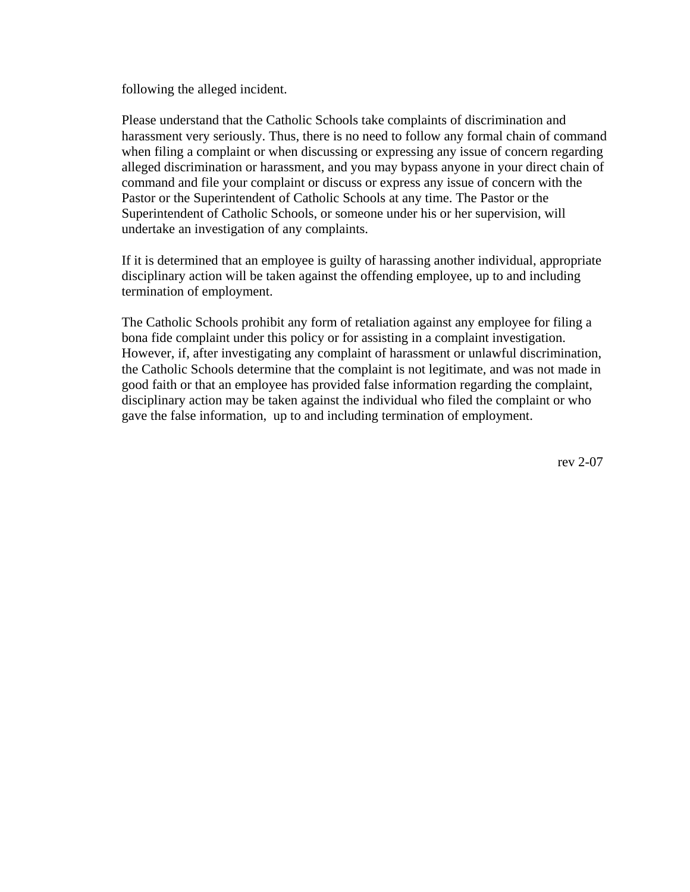following the alleged incident.

Please understand that the Catholic Schools take complaints of discrimination and harassment very seriously. Thus, there is no need to follow any formal chain of command when filing a complaint or when discussing or expressing any issue of concern regarding alleged discrimination or harassment, and you may bypass anyone in your direct chain of command and file your complaint or discuss or express any issue of concern with the Pastor or the Superintendent of Catholic Schools at any time. The Pastor or the Superintendent of Catholic Schools, or someone under his or her supervision, will undertake an investigation of any complaints.

If it is determined that an employee is guilty of harassing another individual, appropriate disciplinary action will be taken against the offending employee, up to and including termination of employment.

The Catholic Schools prohibit any form of retaliation against any employee for filing a bona fide complaint under this policy or for assisting in a complaint investigation. However, if, after investigating any complaint of harassment or unlawful discrimination, the Catholic Schools determine that the complaint is not legitimate, and was not made in good faith or that an employee has provided false information regarding the complaint, disciplinary action may be taken against the individual who filed the complaint or who gave the false information, up to and including termination of employment.

rev 2-07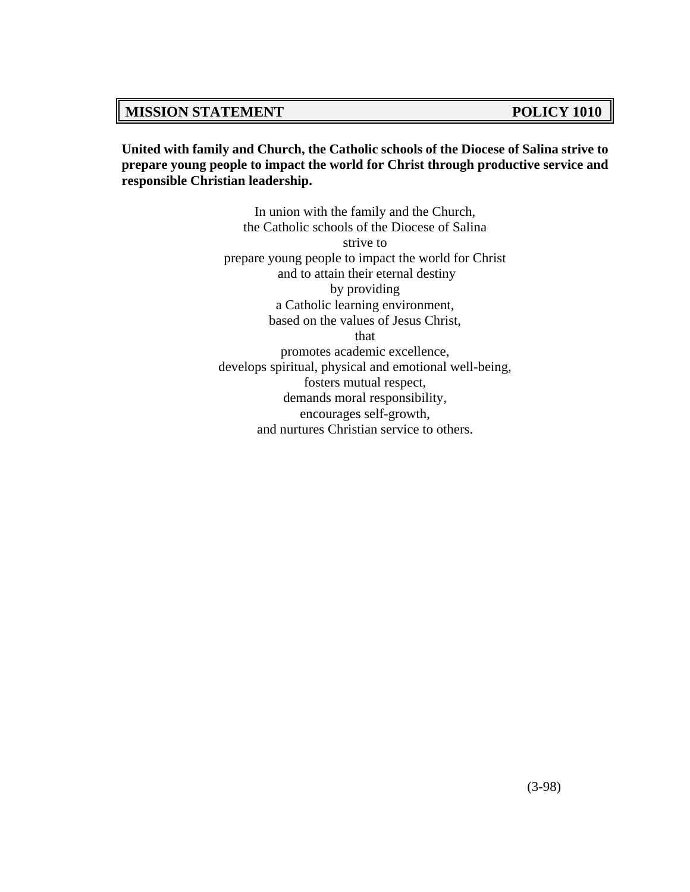## **MISSION STATEMENT POLICY 1010**

**United with family and Church, the Catholic schools of the Diocese of Salina strive to prepare young people to impact the world for Christ through productive service and responsible Christian leadership.**

> In union with the family and the Church, the Catholic schools of the Diocese of Salina strive to prepare young people to impact the world for Christ and to attain their eternal destiny by providing a Catholic learning environment, based on the values of Jesus Christ, that promotes academic excellence, develops spiritual, physical and emotional well-being, fosters mutual respect, demands moral responsibility, encourages self-growth, and nurtures Christian service to others.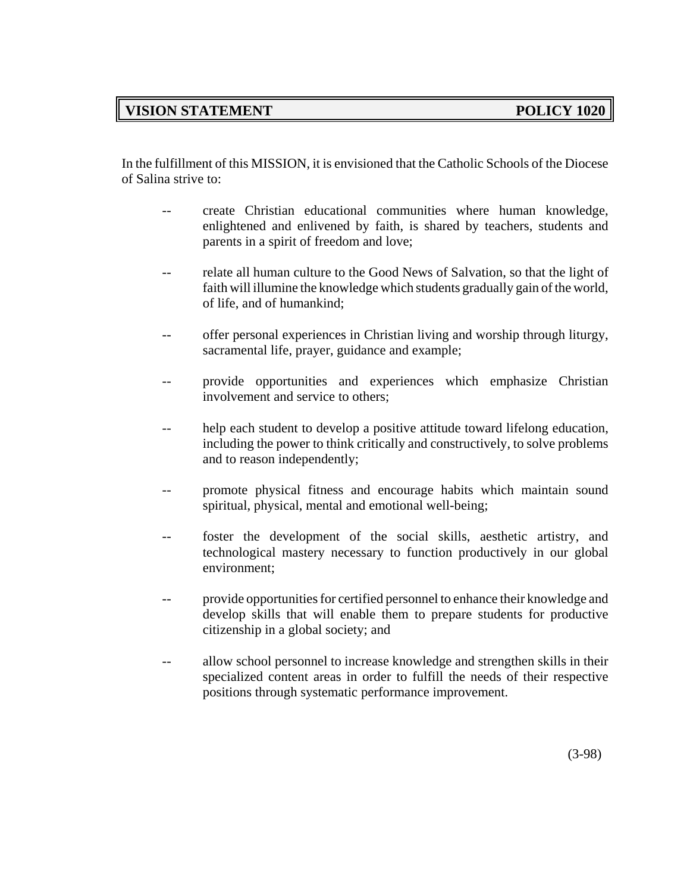# **VISION STATEMENT POLICY 1020**

In the fulfillment of this MISSION, it is envisioned that the Catholic Schools of the Diocese of Salina strive to:

- create Christian educational communities where human knowledge, enlightened and enlivened by faith, is shared by teachers, students and parents in a spirit of freedom and love;
- relate all human culture to the Good News of Salvation, so that the light of faith will illumine the knowledge which students gradually gain of the world, of life, and of humankind;
- -- offer personal experiences in Christian living and worship through liturgy, sacramental life, prayer, guidance and example;
- -- provide opportunities and experiences which emphasize Christian involvement and service to others;
- -- help each student to develop a positive attitude toward lifelong education, including the power to think critically and constructively, to solve problems and to reason independently;
- promote physical fitness and encourage habits which maintain sound spiritual, physical, mental and emotional well-being;
- -- foster the development of the social skills, aesthetic artistry, and technological mastery necessary to function productively in our global environment;
- -- provide opportunities for certified personnel to enhance their knowledge and develop skills that will enable them to prepare students for productive citizenship in a global society; and
- -- allow school personnel to increase knowledge and strengthen skills in their specialized content areas in order to fulfill the needs of their respective positions through systematic performance improvement.

(3-98)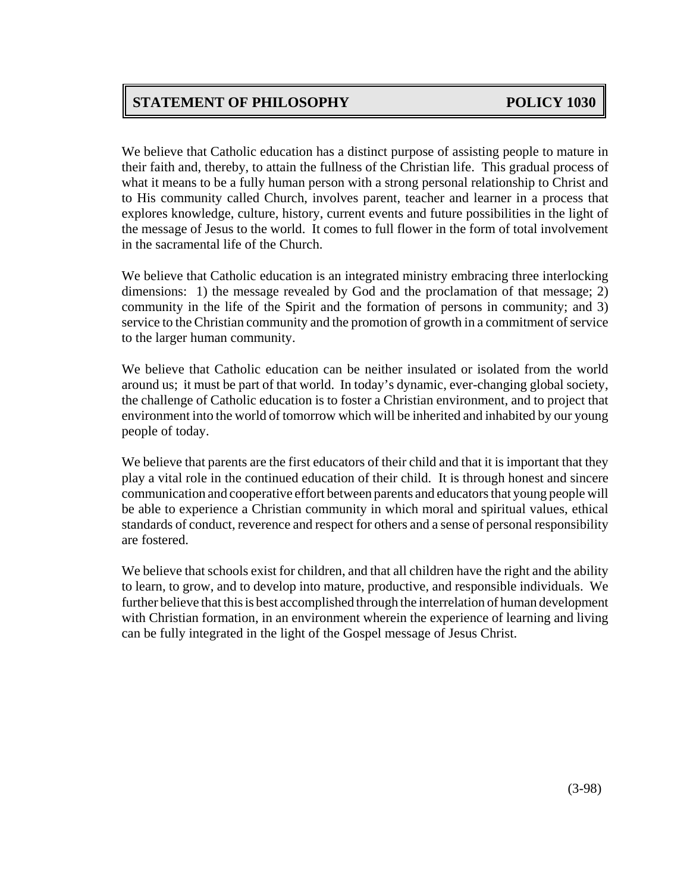# **STATEMENT OF PHILOSOPHY POLICY 1030**

We believe that Catholic education has a distinct purpose of assisting people to mature in their faith and, thereby, to attain the fullness of the Christian life. This gradual process of what it means to be a fully human person with a strong personal relationship to Christ and to His community called Church, involves parent, teacher and learner in a process that explores knowledge, culture, history, current events and future possibilities in the light of the message of Jesus to the world. It comes to full flower in the form of total involvement in the sacramental life of the Church.

We believe that Catholic education is an integrated ministry embracing three interlocking dimensions: 1) the message revealed by God and the proclamation of that message; 2) community in the life of the Spirit and the formation of persons in community; and 3) service to the Christian community and the promotion of growth in a commitment of service to the larger human community.

We believe that Catholic education can be neither insulated or isolated from the world around us; it must be part of that world. In today's dynamic, ever-changing global society, the challenge of Catholic education is to foster a Christian environment, and to project that environment into the world of tomorrow which will be inherited and inhabited by our young people of today.

We believe that parents are the first educators of their child and that it is important that they play a vital role in the continued education of their child. It is through honest and sincere communication and cooperative effort between parents and educators that young people will be able to experience a Christian community in which moral and spiritual values, ethical standards of conduct, reverence and respect for others and a sense of personal responsibility are fostered.

We believe that schools exist for children, and that all children have the right and the ability to learn, to grow, and to develop into mature, productive, and responsible individuals. We further believe that this is best accomplished through the interrelation of human development with Christian formation, in an environment wherein the experience of learning and living can be fully integrated in the light of the Gospel message of Jesus Christ.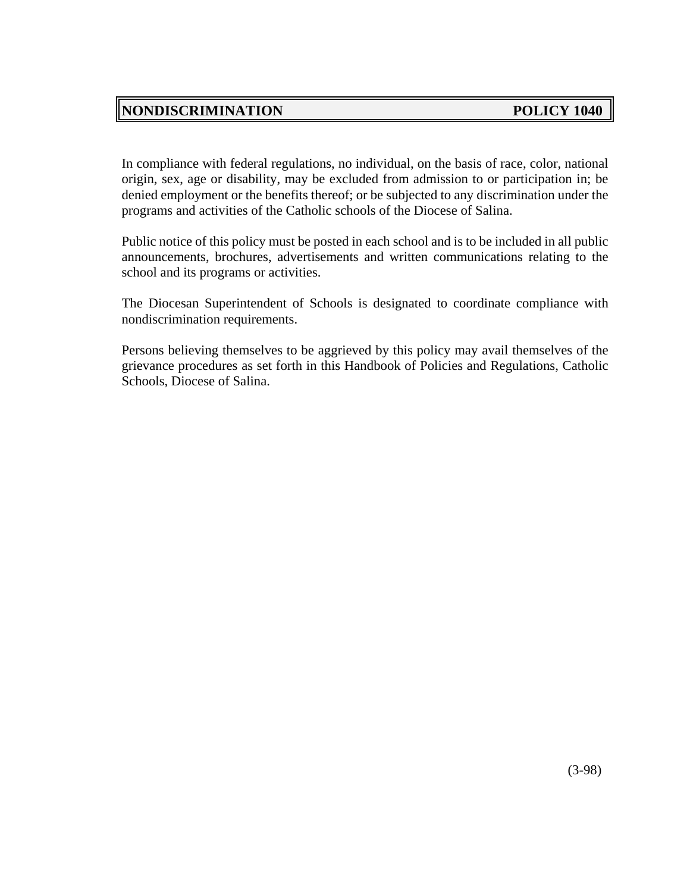# **NONDISCRIMINATION** POLICY 1040

In compliance with federal regulations, no individual, on the basis of race, color, national origin, sex, age or disability, may be excluded from admission to or participation in; be denied employment or the benefits thereof; or be subjected to any discrimination under the programs and activities of the Catholic schools of the Diocese of Salina.

Public notice of this policy must be posted in each school and is to be included in all public announcements, brochures, advertisements and written communications relating to the school and its programs or activities.

The Diocesan Superintendent of Schools is designated to coordinate compliance with nondiscrimination requirements.

Persons believing themselves to be aggrieved by this policy may avail themselves of the grievance procedures as set forth in this Handbook of Policies and Regulations, Catholic Schools, Diocese of Salina.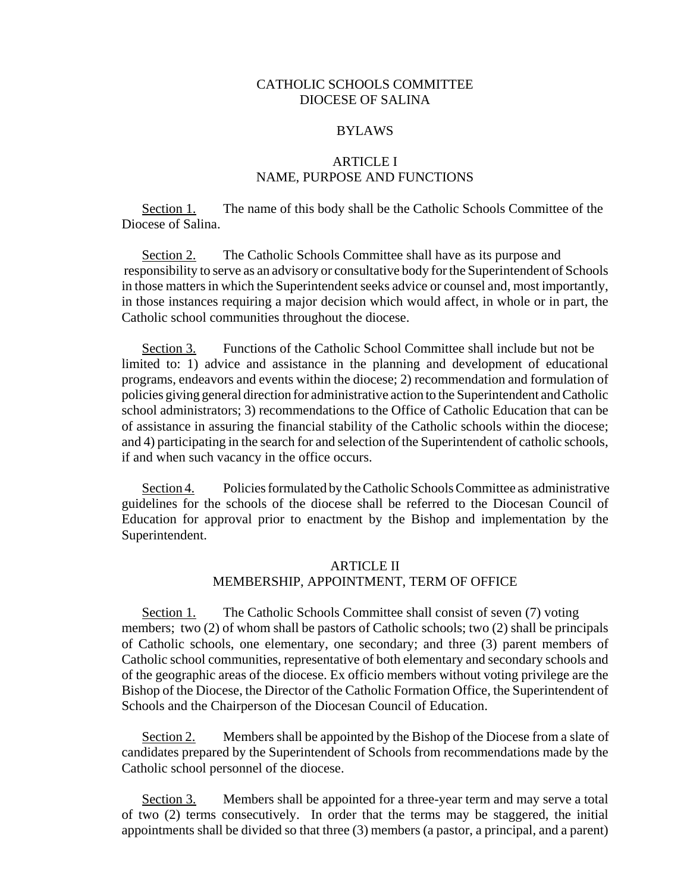#### CATHOLIC SCHOOLS COMMITTEE DIOCESE OF SALINA

#### BYLAWS

#### ARTICLE I NAME, PURPOSE AND FUNCTIONS

Section 1. The name of this body shall be the Catholic Schools Committee of the Diocese of Salina.

Section 2. The Catholic Schools Committee shall have as its purpose and responsibility to serve as an advisory or consultative body for the Superintendent of Schools in those matters in which the Superintendent seeks advice or counsel and, most importantly, in those instances requiring a major decision which would affect, in whole or in part, the Catholic school communities throughout the diocese.

Section 3. Functions of the Catholic School Committee shall include but not be limited to: 1) advice and assistance in the planning and development of educational programs, endeavors and events within the diocese; 2) recommendation and formulation of policies giving general direction for administrative action to the Superintendent and Catholic school administrators; 3) recommendations to the Office of Catholic Education that can be of assistance in assuring the financial stability of the Catholic schools within the diocese; and 4) participating in the search for and selection of the Superintendent of catholic schools, if and when such vacancy in the office occurs.

Section 4. Policies formulated by the Catholic Schools Committee as administrative guidelines for the schools of the diocese shall be referred to the Diocesan Council of Education for approval prior to enactment by the Bishop and implementation by the Superintendent.

#### ARTICLE II

#### MEMBERSHIP, APPOINTMENT, TERM OF OFFICE

Section 1. The Catholic Schools Committee shall consist of seven (7) voting members; two (2) of whom shall be pastors of Catholic schools; two (2) shall be principals of Catholic schools, one elementary, one secondary; and three (3) parent members of Catholic school communities, representative of both elementary and secondary schools and of the geographic areas of the diocese. Ex officio members without voting privilege are the Bishop of the Diocese, the Director of the Catholic Formation Office, the Superintendent of Schools and the Chairperson of the Diocesan Council of Education.

Section 2. Members shall be appointed by the Bishop of the Diocese from a slate of candidates prepared by the Superintendent of Schools from recommendations made by the Catholic school personnel of the diocese.

Section 3. Members shall be appointed for a three-year term and may serve a total of two (2) terms consecutively. In order that the terms may be staggered, the initial appointments shall be divided so that three (3) members (a pastor, a principal, and a parent)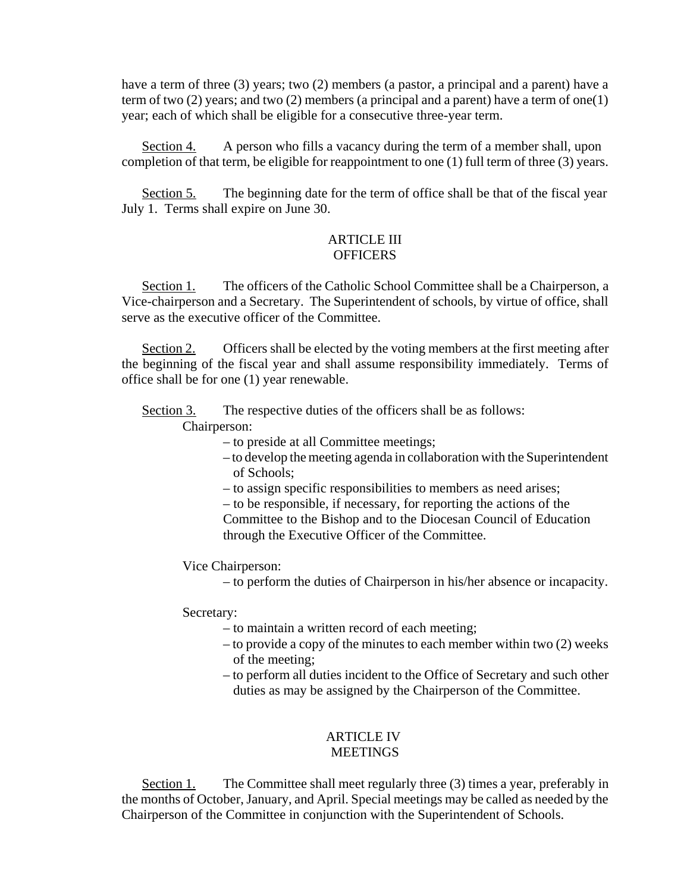have a term of three (3) years; two (2) members (a pastor, a principal and a parent) have a term of two  $(2)$  years; and two  $(2)$  members (a principal and a parent) have a term of one(1) year; each of which shall be eligible for a consecutive three-year term.

Section 4. A person who fills a vacancy during the term of a member shall, upon completion of that term, be eligible for reappointment to one (1) full term of three (3) years.

Section 5. The beginning date for the term of office shall be that of the fiscal year July 1. Terms shall expire on June 30.

#### ARTICLE III **OFFICERS**

Section 1. The officers of the Catholic School Committee shall be a Chairperson, a Vice-chairperson and a Secretary. The Superintendent of schools, by virtue of office, shall serve as the executive officer of the Committee.

Section 2. Officers shall be elected by the voting members at the first meeting after the beginning of the fiscal year and shall assume responsibility immediately. Terms of office shall be for one (1) year renewable.

Section 3. The respective duties of the officers shall be as follows:

Chairperson:

– to preside at all Committee meetings;

– to develop the meeting agenda in collaboration with the Superintendent of Schools;

– to assign specific responsibilities to members as need arises;

– to be responsible, if necessary, for reporting the actions of the Committee to the Bishop and to the Diocesan Council of Education through the Executive Officer of the Committee.

Vice Chairperson:

– to perform the duties of Chairperson in his/her absence or incapacity.

Secretary:

– to maintain a written record of each meeting;

- to provide a copy of the minutes to each member within two (2) weeks of the meeting;
- to perform all duties incident to the Office of Secretary and such other duties as may be assigned by the Chairperson of the Committee.

# ARTICLE IV

### **MEETINGS**

Section 1. The Committee shall meet regularly three (3) times a year, preferably in the months of October, January, and April. Special meetings may be called as needed by the Chairperson of the Committee in conjunction with the Superintendent of Schools.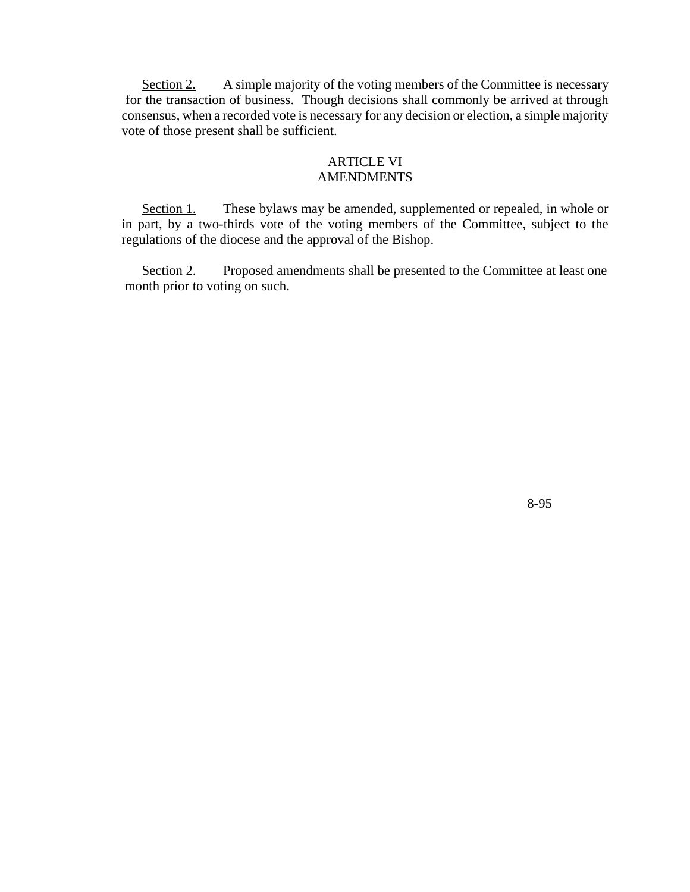Section 2. A simple majority of the voting members of the Committee is necessary for the transaction of business. Though decisions shall commonly be arrived at through consensus, when a recorded vote is necessary for any decision or election, a simple majority vote of those present shall be sufficient.

#### ARTICLE VI AMENDMENTS

Section 1. These bylaws may be amended, supplemented or repealed, in whole or in part, by a two-thirds vote of the voting members of the Committee, subject to the regulations of the diocese and the approval of the Bishop.

Section 2. Proposed amendments shall be presented to the Committee at least one month prior to voting on such.

8-95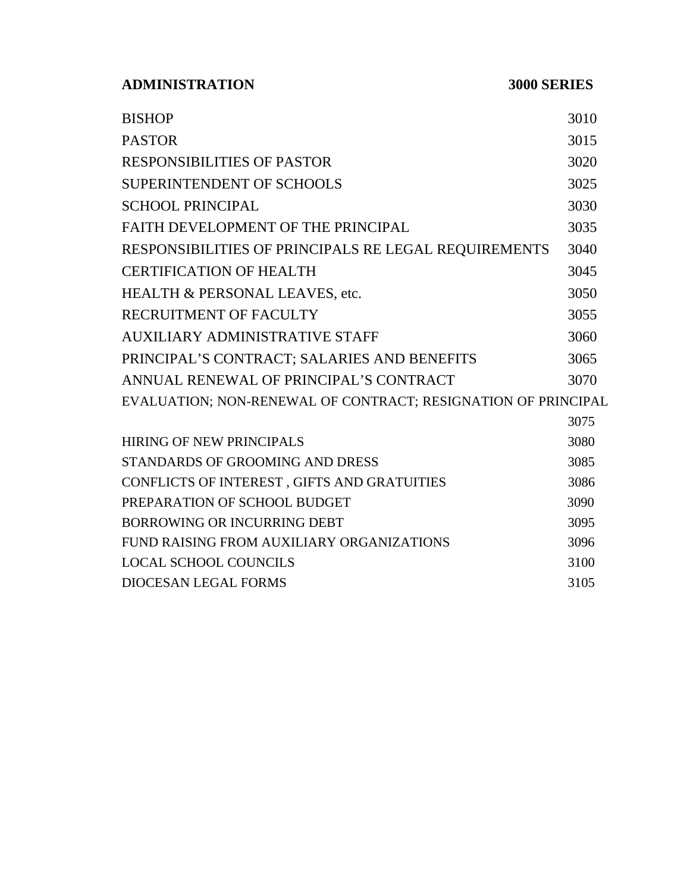**ADMINISTRATION 3000 SERIES**

| <b>BISHOP</b>                                                 | 3010 |
|---------------------------------------------------------------|------|
| <b>PASTOR</b>                                                 | 3015 |
| <b>RESPONSIBILITIES OF PASTOR</b>                             | 3020 |
| SUPERINTENDENT OF SCHOOLS                                     | 3025 |
| <b>SCHOOL PRINCIPAL</b>                                       | 3030 |
| FAITH DEVELOPMENT OF THE PRINCIPAL                            | 3035 |
| RESPONSIBILITIES OF PRINCIPALS RE LEGAL REQUIREMENTS          | 3040 |
| <b>CERTIFICATION OF HEALTH</b>                                | 3045 |
| HEALTH & PERSONAL LEAVES, etc.                                | 3050 |
| RECRUITMENT OF FACULTY                                        | 3055 |
| <b>AUXILIARY ADMINISTRATIVE STAFF</b>                         | 3060 |
| PRINCIPAL'S CONTRACT; SALARIES AND BENEFITS                   | 3065 |
| ANNUAL RENEWAL OF PRINCIPAL'S CONTRACT                        | 3070 |
| EVALUATION; NON-RENEWAL OF CONTRACT; RESIGNATION OF PRINCIPAL |      |
|                                                               | 3075 |
| <b>HIRING OF NEW PRINCIPALS</b>                               | 3080 |
| STANDARDS OF GROOMING AND DRESS                               | 3085 |
| CONFLICTS OF INTEREST, GIFTS AND GRATUITIES                   | 3086 |
| PREPARATION OF SCHOOL BUDGET                                  | 3090 |
| BORROWING OR INCURRING DEBT                                   | 3095 |
| FUND RAISING FROM AUXILIARY ORGANIZATIONS                     | 3096 |
| <b>LOCAL SCHOOL COUNCILS</b>                                  | 3100 |
| <b>DIOCESAN LEGAL FORMS</b>                                   | 3105 |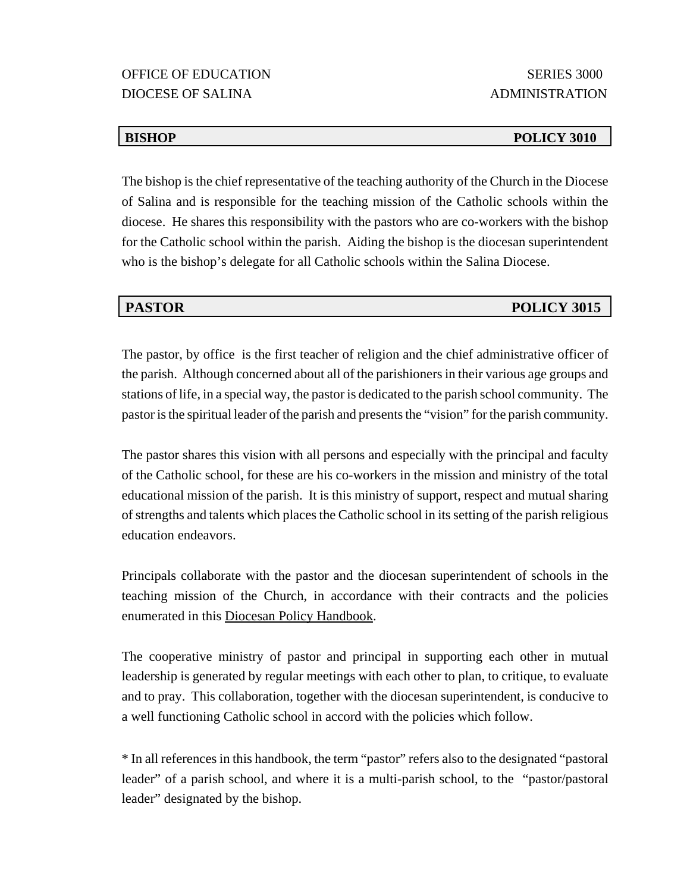The bishop is the chief representative of the teaching authority of the Church in the Diocese of Salina and is responsible for the teaching mission of the Catholic schools within the diocese. He shares this responsibility with the pastors who are co-workers with the bishop for the Catholic school within the parish. Aiding the bishop is the diocesan superintendent who is the bishop's delegate for all Catholic schools within the Salina Diocese.

The pastor, by office is the first teacher of religion and the chief administrative officer of the parish. Although concerned about all of the parishioners in their various age groups and stations of life, in a special way, the pastor is dedicated to the parish school community. The pastor is the spiritual leader of the parish and presents the "vision" for the parish community.

The pastor shares this vision with all persons and especially with the principal and faculty of the Catholic school, for these are his co-workers in the mission and ministry of the total educational mission of the parish. It is this ministry of support, respect and mutual sharing of strengths and talents which places the Catholic school in its setting of the parish religious education endeavors.

Principals collaborate with the pastor and the diocesan superintendent of schools in the teaching mission of the Church, in accordance with their contracts and the policies enumerated in this Diocesan Policy Handbook.

The cooperative ministry of pastor and principal in supporting each other in mutual leadership is generated by regular meetings with each other to plan, to critique, to evaluate and to pray. This collaboration, together with the diocesan superintendent, is conducive to a well functioning Catholic school in accord with the policies which follow.

\* In all references in this handbook, the term "pastor" refers also to the designated "pastoral leader" of a parish school, and where it is a multi-parish school, to the "pastor/pastoral leader" designated by the bishop.

#### **BISHOP POLICY 3010**

# **PASTOR POLICY 3015**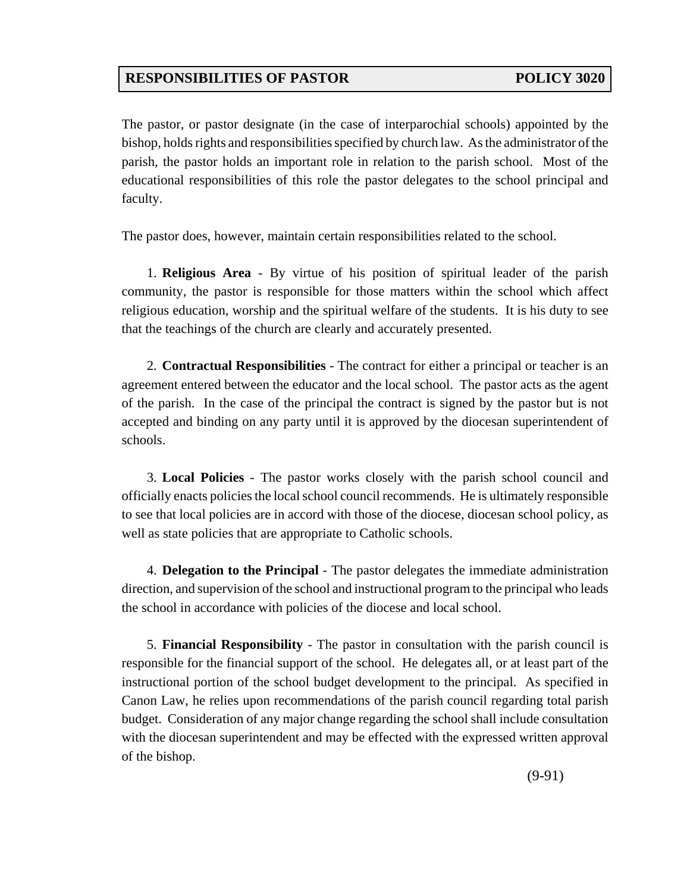# **RESPONSIBILITIES OF PASTOR POLICY 3020**

The pastor, or pastor designate (in the case of interparochial schools) appointed by the bishop, holds rights and responsibilities specified by church law. As the administrator of the parish, the pastor holds an important role in relation to the parish school. Most of the educational responsibilities of this role the pastor delegates to the school principal and faculty.

The pastor does, however, maintain certain responsibilities related to the school.

1. **Religious Area** - By virtue of his position of spiritual leader of the parish community, the pastor is responsible for those matters within the school which affect religious education, worship and the spiritual welfare of the students. It is his duty to see that the teachings of the church are clearly and accurately presented.

2. **Contractual Responsibilities** - The contract for either a principal or teacher is an agreement entered between the educator and the local school. The pastor acts as the agent of the parish. In the case of the principal the contract is signed by the pastor but is not accepted and binding on any party until it is approved by the diocesan superintendent of schools.

3. **Local Policies** - The pastor works closely with the parish school council and officially enacts policies the local school council recommends. He is ultimately responsible to see that local policies are in accord with those of the diocese, diocesan school policy, as well as state policies that are appropriate to Catholic schools.

4. **Delegation to the Principal** - The pastor delegates the immediate administration direction, and supervision of the school and instructional program to the principal who leads the school in accordance with policies of the diocese and local school.

5. **Financial Responsibility** - The pastor in consultation with the parish council is responsible for the financial support of the school. He delegates all, or at least part of the instructional portion of the school budget development to the principal. As specified in Canon Law, he relies upon recommendations of the parish council regarding total parish budget. Consideration of any major change regarding the school shall include consultation with the diocesan superintendent and may be effected with the expressed written approval of the bishop.

(9-91)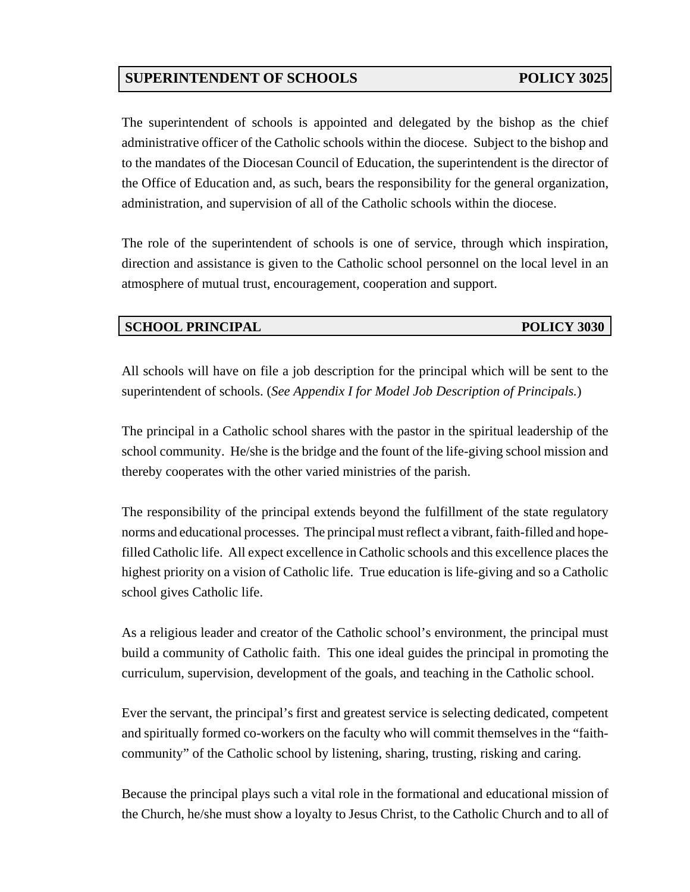# **SUPERINTENDENT OF SCHOOLS POLICY 3025**

The superintendent of schools is appointed and delegated by the bishop as the chief administrative officer of the Catholic schools within the diocese. Subject to the bishop and to the mandates of the Diocesan Council of Education, the superintendent is the director of the Office of Education and, as such, bears the responsibility for the general organization, administration, and supervision of all of the Catholic schools within the diocese.

The role of the superintendent of schools is one of service, through which inspiration, direction and assistance is given to the Catholic school personnel on the local level in an atmosphere of mutual trust, encouragement, cooperation and support.

### **SCHOOL PRINCIPAL POLICY 3030**

All schools will have on file a job description for the principal which will be sent to the superintendent of schools. (*See Appendix I for Model Job Description of Principals.*)

The principal in a Catholic school shares with the pastor in the spiritual leadership of the school community. He/she is the bridge and the fount of the life-giving school mission and thereby cooperates with the other varied ministries of the parish.

The responsibility of the principal extends beyond the fulfillment of the state regulatory norms and educational processes. The principal must reflect a vibrant, faith-filled and hopefilled Catholic life. All expect excellence in Catholic schools and this excellence places the highest priority on a vision of Catholic life. True education is life-giving and so a Catholic school gives Catholic life.

As a religious leader and creator of the Catholic school's environment, the principal must build a community of Catholic faith. This one ideal guides the principal in promoting the curriculum, supervision, development of the goals, and teaching in the Catholic school.

Ever the servant, the principal's first and greatest service is selecting dedicated, competent and spiritually formed co-workers on the faculty who will commit themselves in the "faithcommunity" of the Catholic school by listening, sharing, trusting, risking and caring.

Because the principal plays such a vital role in the formational and educational mission of the Church, he/she must show a loyalty to Jesus Christ, to the Catholic Church and to all of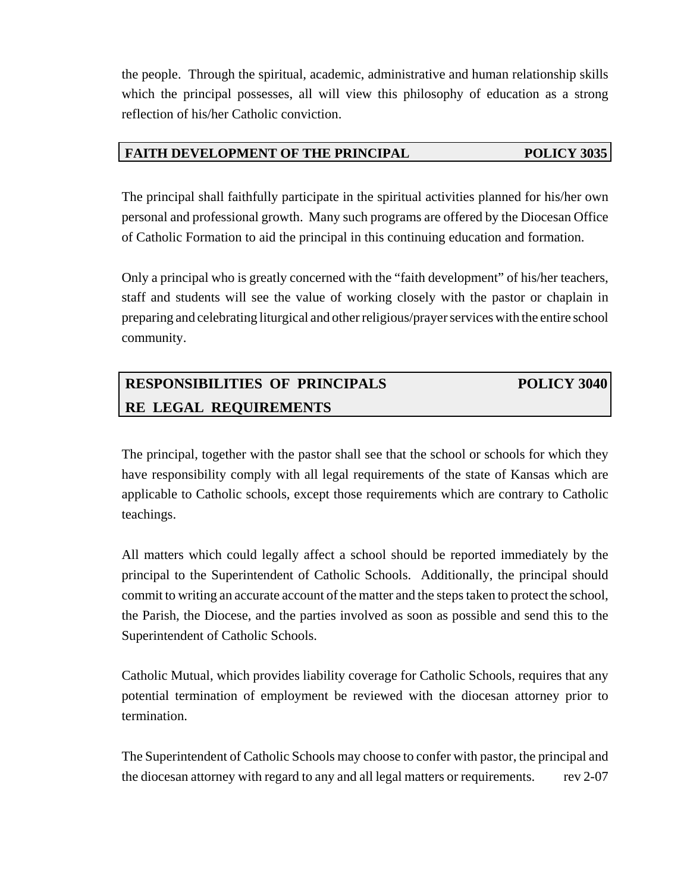the people. Through the spiritual, academic, administrative and human relationship skills which the principal possesses, all will view this philosophy of education as a strong reflection of his/her Catholic conviction.

### **FAITH DEVELOPMENT OF THE PRINCIPAL POLICY 3035**

The principal shall faithfully participate in the spiritual activities planned for his/her own personal and professional growth. Many such programs are offered by the Diocesan Office of Catholic Formation to aid the principal in this continuing education and formation.

Only a principal who is greatly concerned with the "faith development" of his/her teachers, staff and students will see the value of working closely with the pastor or chaplain in preparing and celebrating liturgical and other religious/prayer services with the entire school community.

# **RESPONSIBILITIES OF PRINCIPALS POLICY 3040 RE LEGAL REQUIREMENTS**

The principal, together with the pastor shall see that the school or schools for which they have responsibility comply with all legal requirements of the state of Kansas which are applicable to Catholic schools, except those requirements which are contrary to Catholic teachings.

All matters which could legally affect a school should be reported immediately by the principal to the Superintendent of Catholic Schools. Additionally, the principal should commit to writing an accurate account of the matter and the steps taken to protect the school, the Parish, the Diocese, and the parties involved as soon as possible and send this to the Superintendent of Catholic Schools.

Catholic Mutual, which provides liability coverage for Catholic Schools, requires that any potential termination of employment be reviewed with the diocesan attorney prior to termination.

The Superintendent of Catholic Schools may choose to confer with pastor, the principal and the diocesan attorney with regard to any and all legal matters or requirements. rev 2-07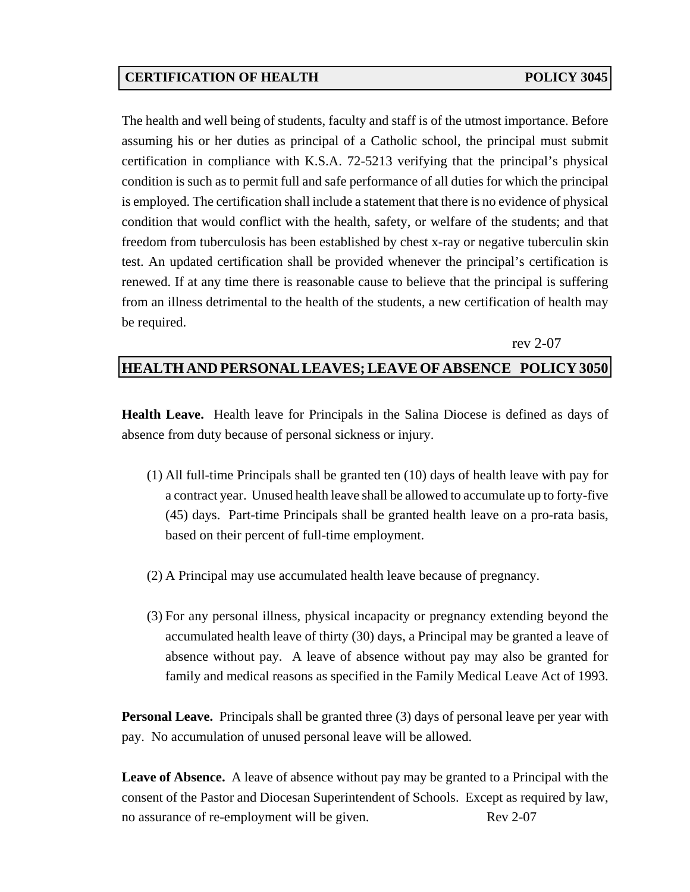## **CERTIFICATION OF HEALTH POLICY 3045**

The health and well being of students, faculty and staff is of the utmost importance. Before assuming his or her duties as principal of a Catholic school, the principal must submit certification in compliance with K.S.A. 72-5213 verifying that the principal's physical condition is such as to permit full and safe performance of all duties for which the principal is employed. The certification shall include a statement that there is no evidence of physical condition that would conflict with the health, safety, or welfare of the students; and that freedom from tuberculosis has been established by chest x-ray or negative tuberculin skin test. An updated certification shall be provided whenever the principal's certification is renewed. If at any time there is reasonable cause to believe that the principal is suffering from an illness detrimental to the health of the students, a new certification of health may be required.

#### rev 2-07

#### **HEALTH AND PERSONAL LEAVES; LEAVE OF ABSENCE POLICY 3050**

**Health Leave.** Health leave for Principals in the Salina Diocese is defined as days of absence from duty because of personal sickness or injury.

- (1) All full-time Principals shall be granted ten (10) days of health leave with pay for a contract year. Unused health leave shall be allowed to accumulate up to forty-five (45) days. Part-time Principals shall be granted health leave on a pro-rata basis, based on their percent of full-time employment.
- (2) A Principal may use accumulated health leave because of pregnancy.
- (3) For any personal illness, physical incapacity or pregnancy extending beyond the accumulated health leave of thirty (30) days, a Principal may be granted a leave of absence without pay. A leave of absence without pay may also be granted for family and medical reasons as specified in the Family Medical Leave Act of 1993.

**Personal Leave.** Principals shall be granted three (3) days of personal leave per year with pay. No accumulation of unused personal leave will be allowed.

**Leave of Absence.** A leave of absence without pay may be granted to a Principal with the consent of the Pastor and Diocesan Superintendent of Schools. Except as required by law, no assurance of re-employment will be given. Rev 2-07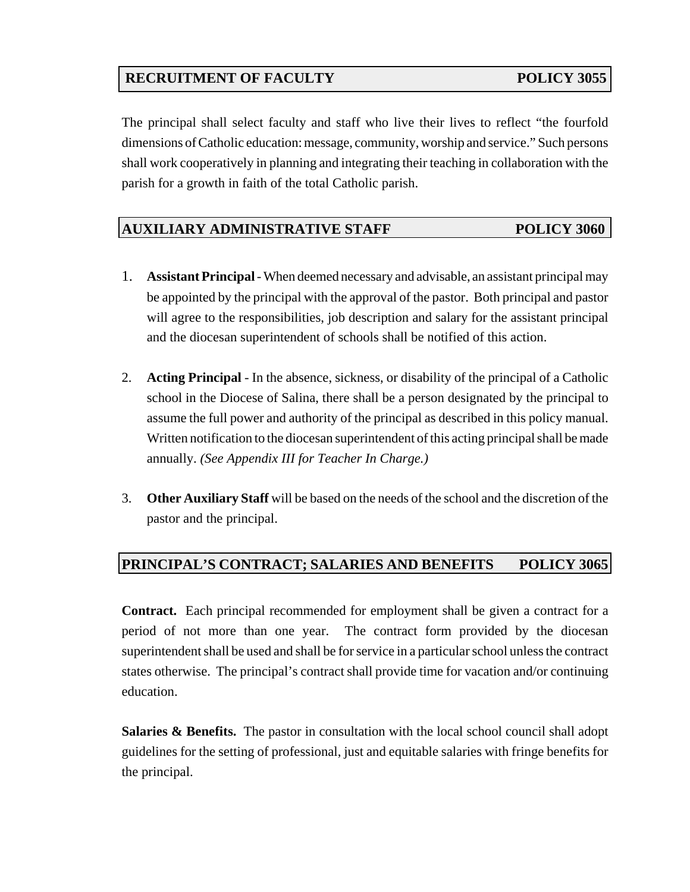# **RECRUITMENT OF FACULTY POLICY 3055**

The principal shall select faculty and staff who live their lives to reflect "the fourfold dimensions of Catholic education: message, community, worship and service." Such persons shall work cooperatively in planning and integrating their teaching in collaboration with the parish for a growth in faith of the total Catholic parish.

### **AUXILIARY ADMINISTRATIVE STAFF POLICY 3060**

- 1. **Assistant Principal**  When deemed necessary and advisable, an assistant principal may be appointed by the principal with the approval of the pastor. Both principal and pastor will agree to the responsibilities, job description and salary for the assistant principal and the diocesan superintendent of schools shall be notified of this action.
- 2. **Acting Principal** In the absence, sickness, or disability of the principal of a Catholic school in the Diocese of Salina, there shall be a person designated by the principal to assume the full power and authority of the principal as described in this policy manual. Written notification to the diocesan superintendent of this acting principal shall be made annually. *(See Appendix III for Teacher In Charge.)*
- 3. **Other Auxiliary Staff** will be based on the needs of the school and the discretion of the pastor and the principal.

## **PRINCIPAL'S CONTRACT; SALARIES AND BENEFITS POLICY 3065**

**Contract.** Each principal recommended for employment shall be given a contract for a period of not more than one year. The contract form provided by the diocesan superintendent shall be used and shall be for service in a particular school unless the contract states otherwise. The principal's contract shall provide time for vacation and/or continuing education.

**Salaries & Benefits.** The pastor in consultation with the local school council shall adopt guidelines for the setting of professional, just and equitable salaries with fringe benefits for the principal.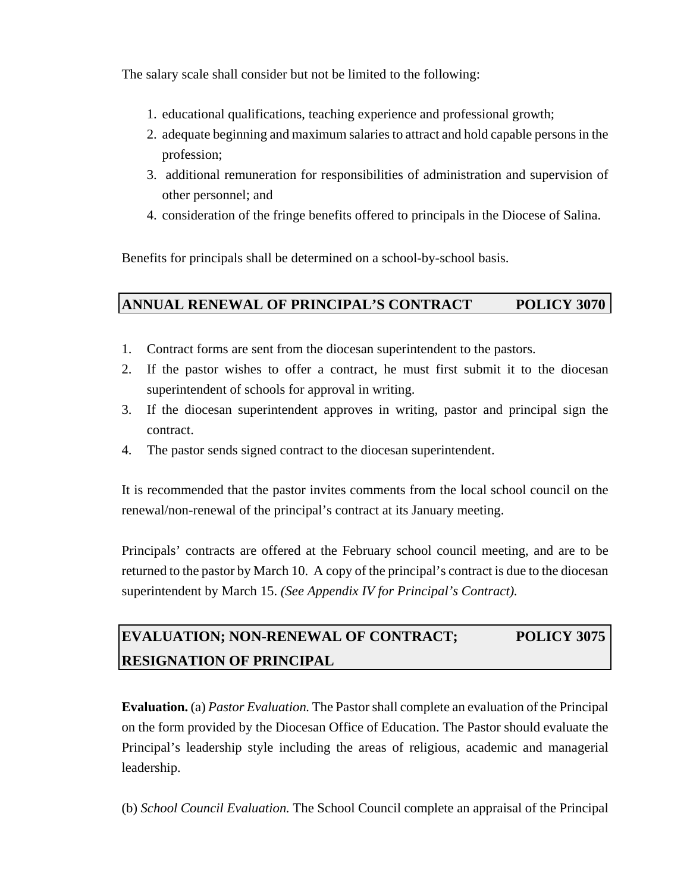The salary scale shall consider but not be limited to the following:

- 1. educational qualifications, teaching experience and professional growth;
- 2. adequate beginning and maximum salaries to attract and hold capable persons in the profession;
- 3. additional remuneration for responsibilities of administration and supervision of other personnel; and
- 4. consideration of the fringe benefits offered to principals in the Diocese of Salina.

Benefits for principals shall be determined on a school-by-school basis.

# **ANNUAL RENEWAL OF PRINCIPAL'S CONTRACT POLICY 3070**

- 1. Contract forms are sent from the diocesan superintendent to the pastors.
- 2. If the pastor wishes to offer a contract, he must first submit it to the diocesan superintendent of schools for approval in writing.
- 3. If the diocesan superintendent approves in writing, pastor and principal sign the contract.
- 4. The pastor sends signed contract to the diocesan superintendent.

It is recommended that the pastor invites comments from the local school council on the renewal/non-renewal of the principal's contract at its January meeting.

Principals' contracts are offered at the February school council meeting, and are to be returned to the pastor by March 10. A copy of the principal's contract is due to the diocesan superintendent by March 15. *(See Appendix IV for Principal's Contract).*

# **EVALUATION; NON-RENEWAL OF CONTRACT; POLICY 3075 RESIGNATION OF PRINCIPAL**

**Evaluation.** (a) *Pastor Evaluation.* The Pastor shall complete an evaluation of the Principal on the form provided by the Diocesan Office of Education. The Pastor should evaluate the Principal's leadership style including the areas of religious, academic and managerial leadership.

(b) *School Council Evaluation.* The School Council complete an appraisal of the Principal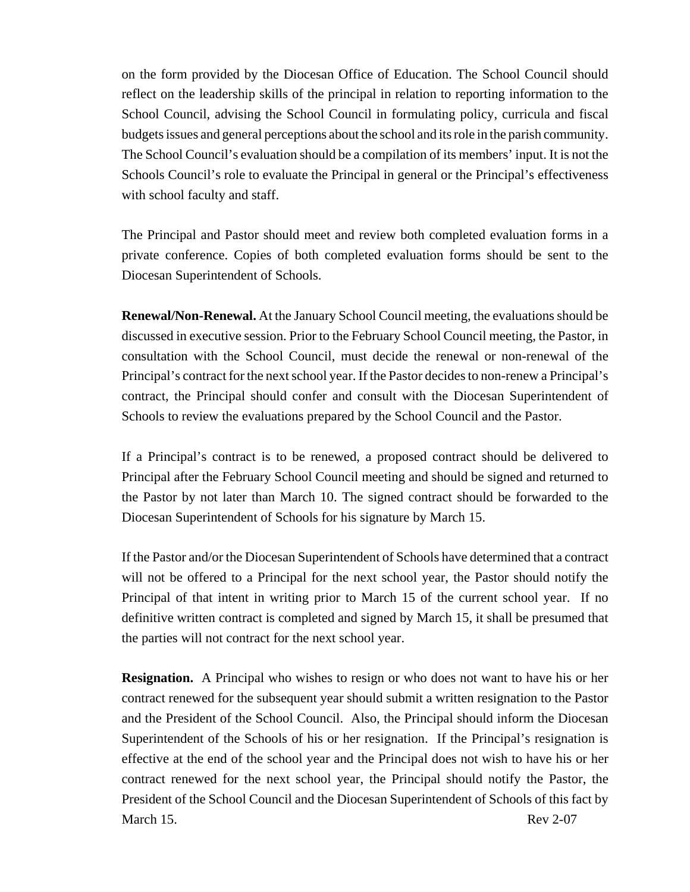on the form provided by the Diocesan Office of Education. The School Council should reflect on the leadership skills of the principal in relation to reporting information to the School Council, advising the School Council in formulating policy, curricula and fiscal budgets issues and general perceptions about the school and its role in the parish community. The School Council's evaluation should be a compilation of its members' input. It is not the Schools Council's role to evaluate the Principal in general or the Principal's effectiveness with school faculty and staff.

The Principal and Pastor should meet and review both completed evaluation forms in a private conference. Copies of both completed evaluation forms should be sent to the Diocesan Superintendent of Schools.

**Renewal/Non-Renewal.** At the January School Council meeting, the evaluations should be discussed in executive session. Prior to the February School Council meeting, the Pastor, in consultation with the School Council, must decide the renewal or non-renewal of the Principal's contract for the next school year. If the Pastor decides to non-renew a Principal's contract, the Principal should confer and consult with the Diocesan Superintendent of Schools to review the evaluations prepared by the School Council and the Pastor.

If a Principal's contract is to be renewed, a proposed contract should be delivered to Principal after the February School Council meeting and should be signed and returned to the Pastor by not later than March 10. The signed contract should be forwarded to the Diocesan Superintendent of Schools for his signature by March 15.

If the Pastor and/or the Diocesan Superintendent of Schools have determined that a contract will not be offered to a Principal for the next school year, the Pastor should notify the Principal of that intent in writing prior to March 15 of the current school year. If no definitive written contract is completed and signed by March 15, it shall be presumed that the parties will not contract for the next school year.

**Resignation.** A Principal who wishes to resign or who does not want to have his or her contract renewed for the subsequent year should submit a written resignation to the Pastor and the President of the School Council. Also, the Principal should inform the Diocesan Superintendent of the Schools of his or her resignation. If the Principal's resignation is effective at the end of the school year and the Principal does not wish to have his or her contract renewed for the next school year, the Principal should notify the Pastor, the President of the School Council and the Diocesan Superintendent of Schools of this fact by March 15. Rev 2-07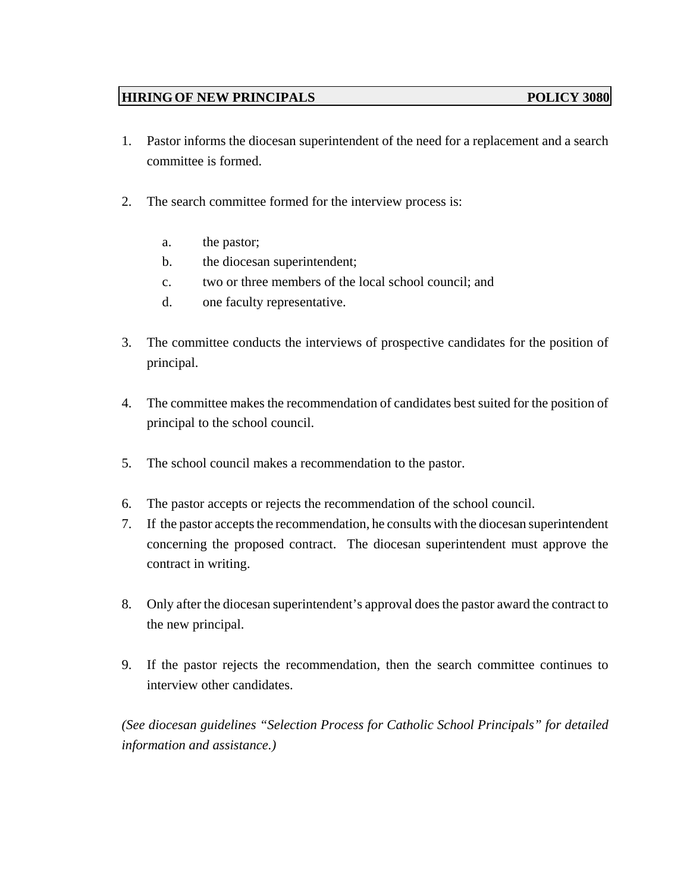## **HIRING OF NEW PRINCIPALS POLICY 3080**

- 1. Pastor informs the diocesan superintendent of the need for a replacement and a search committee is formed.
- 2. The search committee formed for the interview process is:
	- a. the pastor;
	- b. the diocesan superintendent;
	- c. two or three members of the local school council; and
	- d. one faculty representative.
- 3. The committee conducts the interviews of prospective candidates for the position of principal.
- 4. The committee makes the recommendation of candidates best suited for the position of principal to the school council.
- 5. The school council makes a recommendation to the pastor.
- 6. The pastor accepts or rejects the recommendation of the school council.
- 7. If the pastor accepts the recommendation, he consults with the diocesan superintendent concerning the proposed contract. The diocesan superintendent must approve the contract in writing.
- 8. Only after the diocesan superintendent's approval does the pastor award the contract to the new principal.
- 9. If the pastor rejects the recommendation, then the search committee continues to interview other candidates.

*(See diocesan guidelines "Selection Process for Catholic School Principals" for detailed information and assistance.)*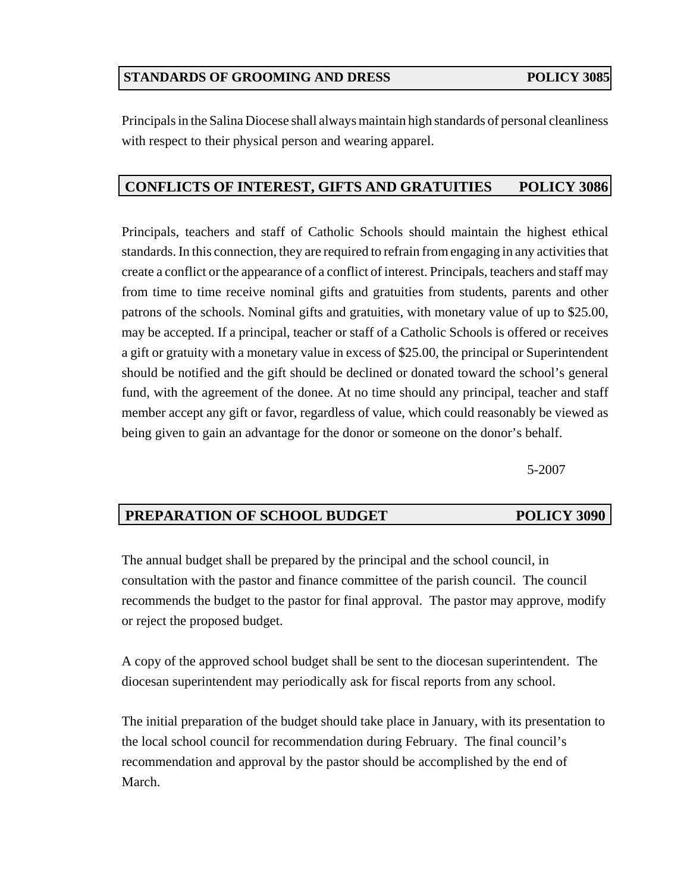## **STANDARDS OF GROOMING AND DRESS POLICY 3085**

Principals in the Salina Diocese shall always maintain high standards of personal cleanliness with respect to their physical person and wearing apparel.

## **CONFLICTS OF INTEREST, GIFTS AND GRATUITIES POLICY 3086**

Principals, teachers and staff of Catholic Schools should maintain the highest ethical standards. In this connection, they are required to refrain from engaging in any activities that create a conflict or the appearance of a conflict of interest. Principals, teachers and staff may from time to time receive nominal gifts and gratuities from students, parents and other patrons of the schools. Nominal gifts and gratuities, with monetary value of up to \$25.00, may be accepted. If a principal, teacher or staff of a Catholic Schools is offered or receives a gift or gratuity with a monetary value in excess of \$25.00, the principal or Superintendent should be notified and the gift should be declined or donated toward the school's general fund, with the agreement of the donee. At no time should any principal, teacher and staff member accept any gift or favor, regardless of value, which could reasonably be viewed as being given to gain an advantage for the donor or someone on the donor's behalf.

5-2007

# **PREPARATION OF SCHOOL BUDGET POLICY 3090**

The annual budget shall be prepared by the principal and the school council, in consultation with the pastor and finance committee of the parish council. The council recommends the budget to the pastor for final approval. The pastor may approve, modify or reject the proposed budget.

A copy of the approved school budget shall be sent to the diocesan superintendent. The diocesan superintendent may periodically ask for fiscal reports from any school.

The initial preparation of the budget should take place in January, with its presentation to the local school council for recommendation during February. The final council's recommendation and approval by the pastor should be accomplished by the end of March.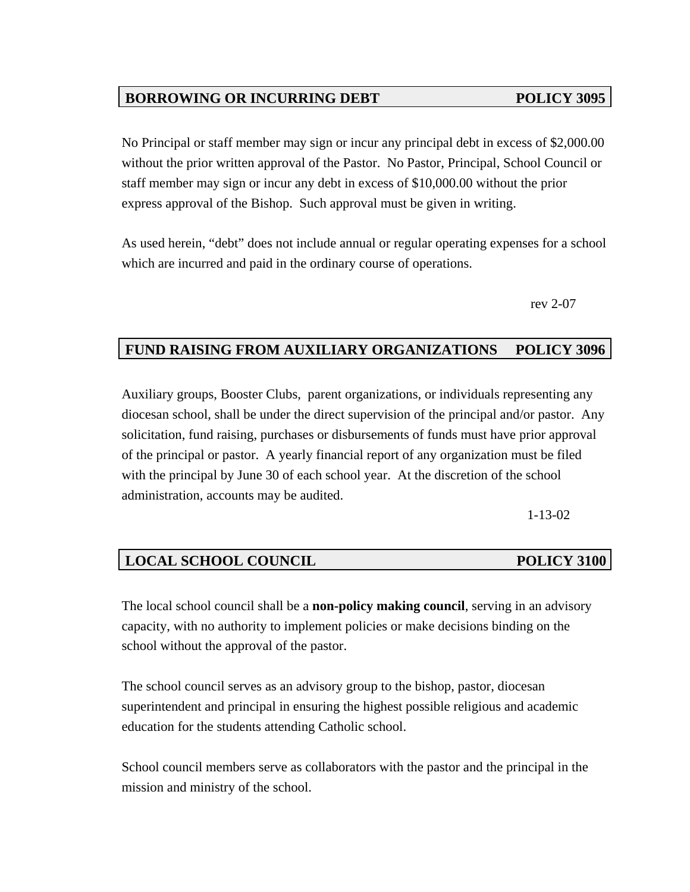# **BORROWING OR INCURRING DEBT POLICY 3095**

No Principal or staff member may sign or incur any principal debt in excess of \$2,000.00 without the prior written approval of the Pastor. No Pastor, Principal, School Council or staff member may sign or incur any debt in excess of \$10,000.00 without the prior express approval of the Bishop. Such approval must be given in writing.

As used herein, "debt" does not include annual or regular operating expenses for a school which are incurred and paid in the ordinary course of operations.

rev 2-07

# **FUND RAISING FROM AUXILIARY ORGANIZATIONS POLICY 3096**

Auxiliary groups, Booster Clubs, parent organizations, or individuals representing any diocesan school, shall be under the direct supervision of the principal and/or pastor. Any solicitation, fund raising, purchases or disbursements of funds must have prior approval of the principal or pastor. A yearly financial report of any organization must be filed with the principal by June 30 of each school year. At the discretion of the school administration, accounts may be audited.

1-13-02

## **LOCAL SCHOOL COUNCIL POLICY 3100**

# The local school council shall be a **non-policy making council**, serving in an advisory capacity, with no authority to implement policies or make decisions binding on the school without the approval of the pastor.

The school council serves as an advisory group to the bishop, pastor, diocesan superintendent and principal in ensuring the highest possible religious and academic education for the students attending Catholic school.

School council members serve as collaborators with the pastor and the principal in the mission and ministry of the school.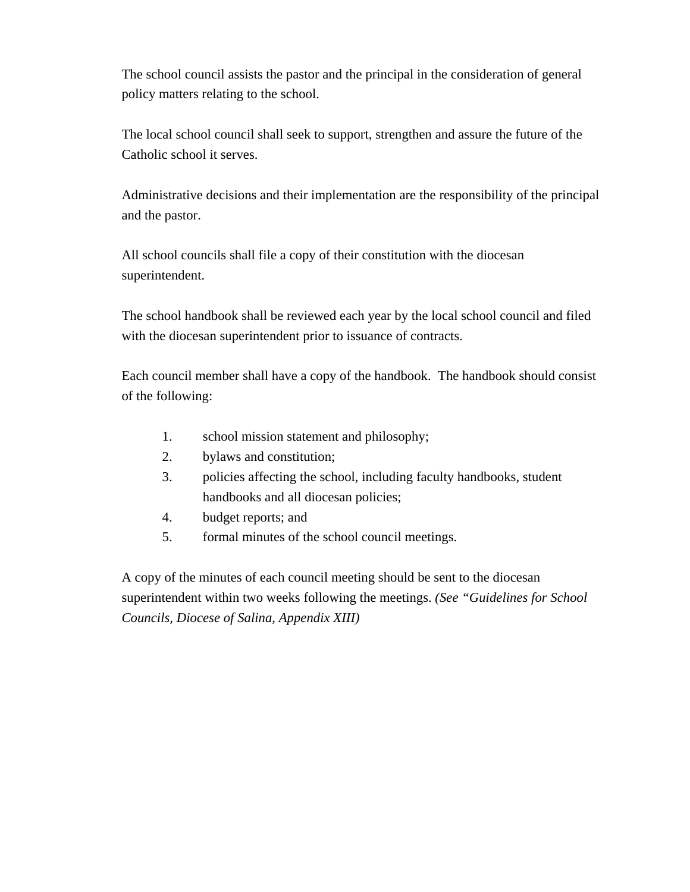The school council assists the pastor and the principal in the consideration of general policy matters relating to the school.

The local school council shall seek to support, strengthen and assure the future of the Catholic school it serves.

Administrative decisions and their implementation are the responsibility of the principal and the pastor.

All school councils shall file a copy of their constitution with the diocesan superintendent.

The school handbook shall be reviewed each year by the local school council and filed with the diocesan superintendent prior to issuance of contracts.

Each council member shall have a copy of the handbook. The handbook should consist of the following:

- 1. school mission statement and philosophy;
- 2. bylaws and constitution;
- 3. policies affecting the school, including faculty handbooks, student handbooks and all diocesan policies;
- 4. budget reports; and
- 5. formal minutes of the school council meetings.

A copy of the minutes of each council meeting should be sent to the diocesan superintendent within two weeks following the meetings. *(See "Guidelines for School Councils, Diocese of Salina, Appendix XIII)*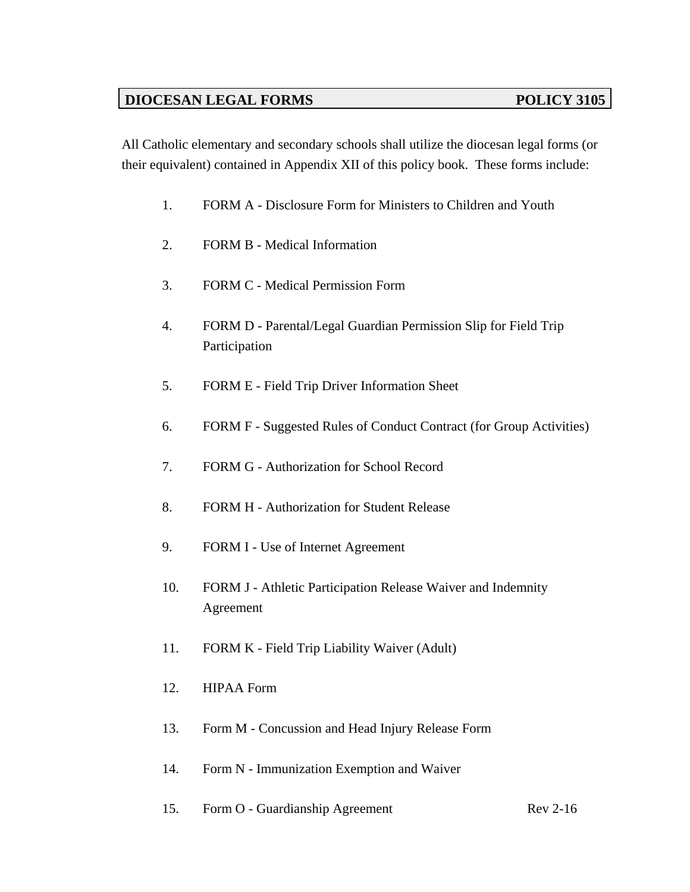# **DIOCESAN LEGAL FORMS** POLICY 3105

All Catholic elementary and secondary schools shall utilize the diocesan legal forms (or their equivalent) contained in Appendix XII of this policy book. These forms include:

- 1. FORM A Disclosure Form for Ministers to Children and Youth
- 2. FORM B Medical Information
- 3. FORM C Medical Permission Form
- 4. FORM D Parental/Legal Guardian Permission Slip for Field Trip Participation
- 5. FORM E Field Trip Driver Information Sheet
- 6. FORM F Suggested Rules of Conduct Contract (for Group Activities)
- 7. FORM G Authorization for School Record
- 8. FORM H Authorization for Student Release
- 9. FORM I Use of Internet Agreement
- 10. FORM J Athletic Participation Release Waiver and Indemnity Agreement
- 11. FORM K Field Trip Liability Waiver (Adult)
- 12. HIPAA Form
- 13. Form M Concussion and Head Injury Release Form
- 14. Form N Immunization Exemption and Waiver
- 15. Form O Guardianship Agreement Rev 2-16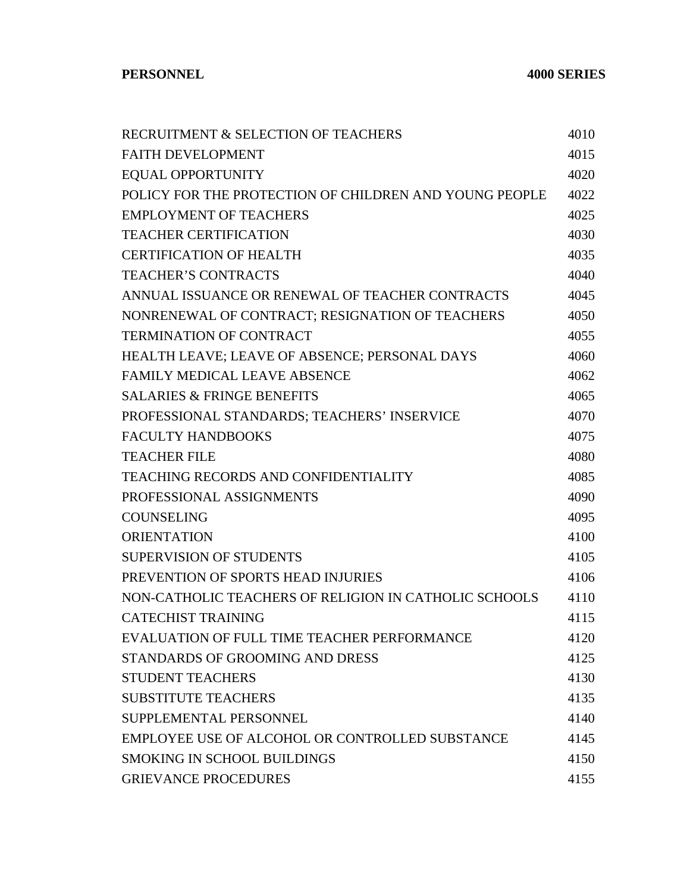| RECRUITMENT & SELECTION OF TEACHERS                    | 4010 |
|--------------------------------------------------------|------|
| <b>FAITH DEVELOPMENT</b>                               | 4015 |
| <b>EQUAL OPPORTUNITY</b>                               | 4020 |
| POLICY FOR THE PROTECTION OF CHILDREN AND YOUNG PEOPLE | 4022 |
| <b>EMPLOYMENT OF TEACHERS</b>                          | 4025 |
| <b>TEACHER CERTIFICATION</b>                           | 4030 |
| <b>CERTIFICATION OF HEALTH</b>                         | 4035 |
| <b>TEACHER'S CONTRACTS</b>                             | 4040 |
| ANNUAL ISSUANCE OR RENEWAL OF TEACHER CONTRACTS        | 4045 |
| NONRENEWAL OF CONTRACT; RESIGNATION OF TEACHERS        | 4050 |
| <b>TERMINATION OF CONTRACT</b>                         | 4055 |
| HEALTH LEAVE; LEAVE OF ABSENCE; PERSONAL DAYS          | 4060 |
| <b>FAMILY MEDICAL LEAVE ABSENCE</b>                    | 4062 |
| <b>SALARIES &amp; FRINGE BENEFITS</b>                  | 4065 |
| PROFESSIONAL STANDARDS; TEACHERS' INSERVICE            | 4070 |
| <b>FACULTY HANDBOOKS</b>                               | 4075 |
| <b>TEACHER FILE</b>                                    | 4080 |
| <b>TEACHING RECORDS AND CONFIDENTIALITY</b>            | 4085 |
| PROFESSIONAL ASSIGNMENTS                               | 4090 |
| <b>COUNSELING</b>                                      | 4095 |
| <b>ORIENTATION</b>                                     | 4100 |
| <b>SUPERVISION OF STUDENTS</b>                         | 4105 |
| PREVENTION OF SPORTS HEAD INJURIES                     | 4106 |
| NON-CATHOLIC TEACHERS OF RELIGION IN CATHOLIC SCHOOLS  | 4110 |
| <b>CATECHIST TRAINING</b>                              | 4115 |
| EVALUATION OF FULL TIME TEACHER PERFORMANCE            | 4120 |
| STANDARDS OF GROOMING AND DRESS                        | 4125 |
| <b>STUDENT TEACHERS</b>                                | 4130 |
| <b>SUBSTITUTE TEACHERS</b>                             | 4135 |
| SUPPLEMENTAL PERSONNEL                                 | 4140 |
| EMPLOYEE USE OF ALCOHOL OR CONTROLLED SUBSTANCE        | 4145 |
| <b>SMOKING IN SCHOOL BUILDINGS</b>                     | 4150 |
| <b>GRIEVANCE PROCEDURES</b>                            | 4155 |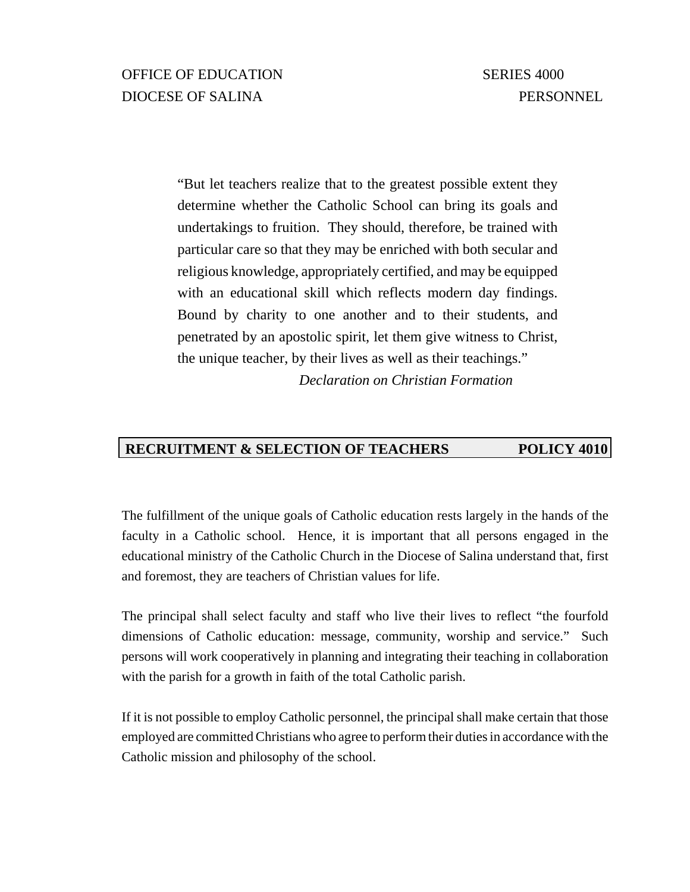"But let teachers realize that to the greatest possible extent they determine whether the Catholic School can bring its goals and undertakings to fruition. They should, therefore, be trained with particular care so that they may be enriched with both secular and religious knowledge, appropriately certified, and may be equipped with an educational skill which reflects modern day findings. Bound by charity to one another and to their students, and penetrated by an apostolic spirit, let them give witness to Christ, the unique teacher, by their lives as well as their teachings."

*Declaration on Christian Formation*

# **RECRUITMENT & SELECTION OF TEACHERS POLICY 4010**

The fulfillment of the unique goals of Catholic education rests largely in the hands of the faculty in a Catholic school. Hence, it is important that all persons engaged in the educational ministry of the Catholic Church in the Diocese of Salina understand that, first and foremost, they are teachers of Christian values for life.

The principal shall select faculty and staff who live their lives to reflect "the fourfold dimensions of Catholic education: message, community, worship and service." Such persons will work cooperatively in planning and integrating their teaching in collaboration with the parish for a growth in faith of the total Catholic parish.

If it is not possible to employ Catholic personnel, the principal shall make certain that those employed are committed Christians who agree to perform their duties in accordance with the Catholic mission and philosophy of the school.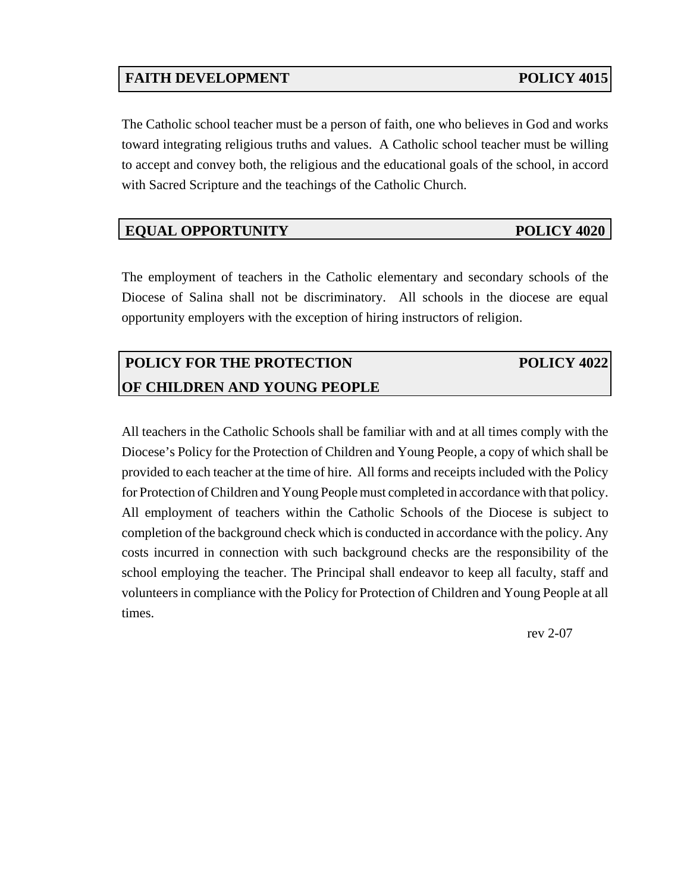# **FAITH DEVELOPMENT POLICY 4015**

The Catholic school teacher must be a person of faith, one who believes in God and works toward integrating religious truths and values. A Catholic school teacher must be willing to accept and convey both, the religious and the educational goals of the school, in accord with Sacred Scripture and the teachings of the Catholic Church.

### **EQUAL OPPORTUNITY** POLICY 4020

The employment of teachers in the Catholic elementary and secondary schools of the Diocese of Salina shall not be discriminatory. All schools in the diocese are equal opportunity employers with the exception of hiring instructors of religion.

# **POLICY FOR THE PROTECTION POLICY 4022 OF CHILDREN AND YOUNG PEOPLE**

All teachers in the Catholic Schools shall be familiar with and at all times comply with the Diocese's Policy for the Protection of Children and Young People, a copy of which shall be provided to each teacher at the time of hire. All forms and receipts included with the Policy for Protection of Children and Young People must completed in accordance with that policy. All employment of teachers within the Catholic Schools of the Diocese is subject to completion of the background check which is conducted in accordance with the policy. Any costs incurred in connection with such background checks are the responsibility of the school employing the teacher. The Principal shall endeavor to keep all faculty, staff and volunteers in compliance with the Policy for Protection of Children and Young People at all times.

rev 2-07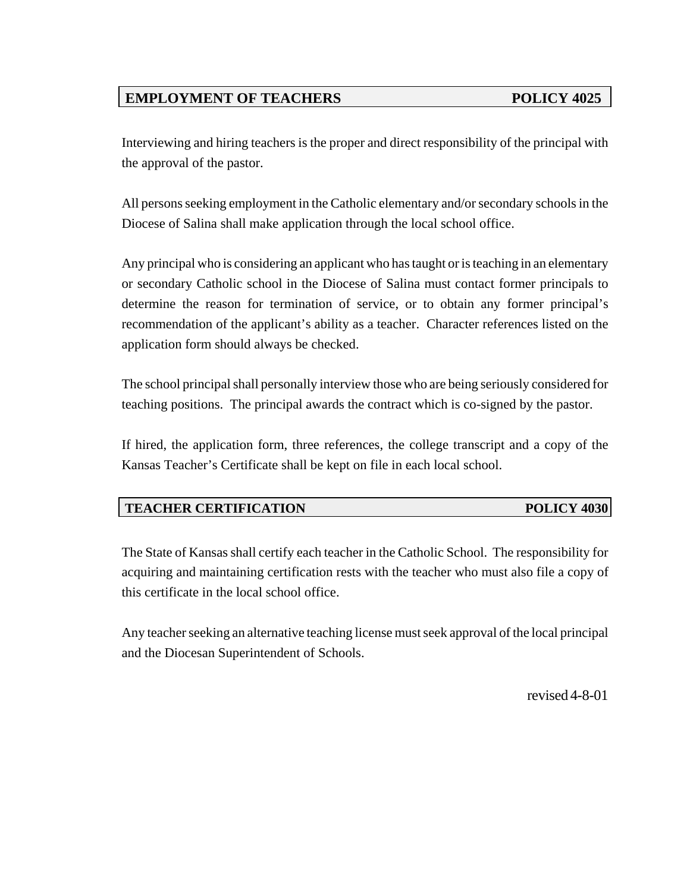# **EMPLOYMENT OF TEACHERS POLICY 4025**

Interviewing and hiring teachers is the proper and direct responsibility of the principal with the approval of the pastor.

All persons seeking employment in the Catholic elementary and/or secondary schools in the Diocese of Salina shall make application through the local school office.

Any principal who is considering an applicant who has taught or is teaching in an elementary or secondary Catholic school in the Diocese of Salina must contact former principals to determine the reason for termination of service, or to obtain any former principal's recommendation of the applicant's ability as a teacher. Character references listed on the application form should always be checked.

The school principal shall personally interview those who are being seriously considered for teaching positions. The principal awards the contract which is co-signed by the pastor.

If hired, the application form, three references, the college transcript and a copy of the Kansas Teacher's Certificate shall be kept on file in each local school.

## **TEACHER CERTIFICATION POLICY 4030**

The State of Kansas shall certify each teacher in the Catholic School. The responsibility for acquiring and maintaining certification rests with the teacher who must also file a copy of this certificate in the local school office.

Any teacher seeking an alternative teaching license must seek approval of the local principal and the Diocesan Superintendent of Schools.

revised 4-8-01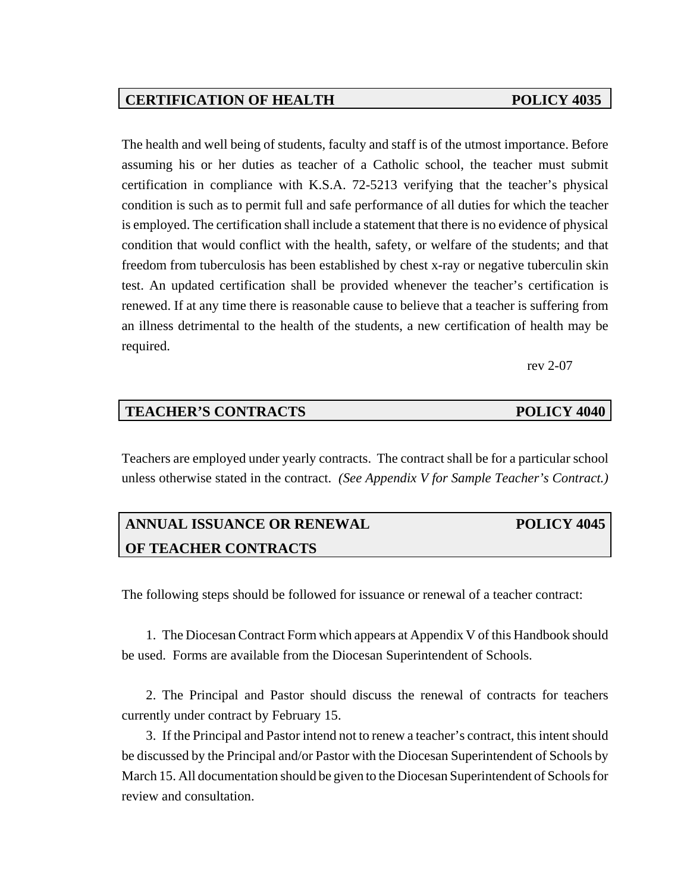### **CERTIFICATION OF HEALTH POLICY 4035**

The health and well being of students, faculty and staff is of the utmost importance. Before assuming his or her duties as teacher of a Catholic school, the teacher must submit certification in compliance with K.S.A. 72-5213 verifying that the teacher's physical condition is such as to permit full and safe performance of all duties for which the teacher is employed. The certification shall include a statement that there is no evidence of physical condition that would conflict with the health, safety, or welfare of the students; and that freedom from tuberculosis has been established by chest x-ray or negative tuberculin skin test. An updated certification shall be provided whenever the teacher's certification is renewed. If at any time there is reasonable cause to believe that a teacher is suffering from an illness detrimental to the health of the students, a new certification of health may be required.

rev 2-07

### **TEACHER'S CONTRACTS POLICY 4040**

Teachers are employed under yearly contracts. The contract shall be for a particular school unless otherwise stated in the contract. *(See Appendix V for Sample Teacher's Contract.)*

# **ANNUAL ISSUANCE OR RENEWAL POLICY 4045 OF TEACHER CONTRACTS**

The following steps should be followed for issuance or renewal of a teacher contract:

1. The Diocesan Contract Form which appears at Appendix V of this Handbook should be used. Forms are available from the Diocesan Superintendent of Schools.

2. The Principal and Pastor should discuss the renewal of contracts for teachers currently under contract by February 15.

3. If the Principal and Pastor intend not to renew a teacher's contract, this intent should be discussed by the Principal and/or Pastor with the Diocesan Superintendent of Schools by March 15. All documentation should be given to the Diocesan Superintendent of Schools for review and consultation.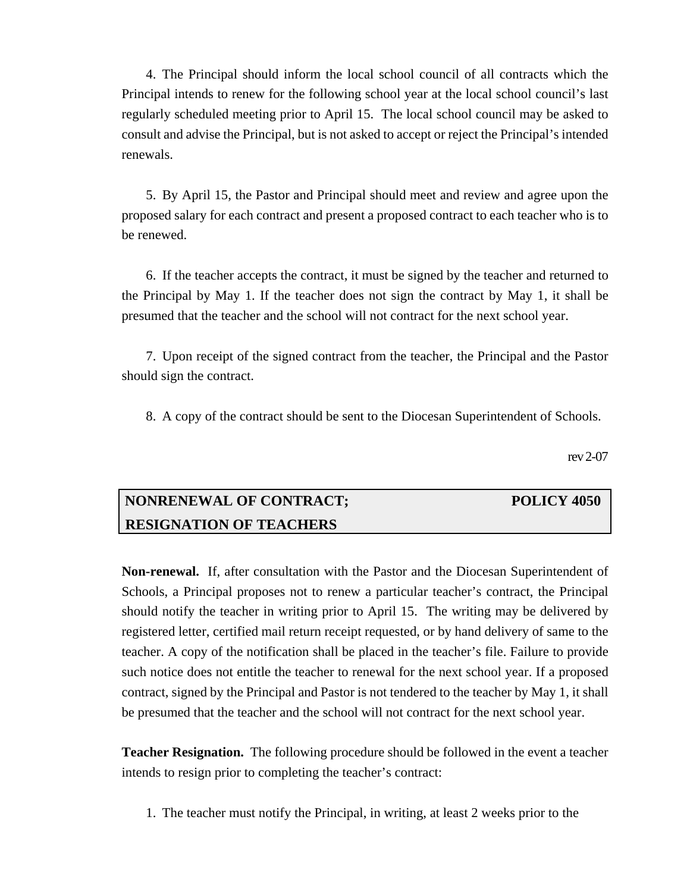4. The Principal should inform the local school council of all contracts which the Principal intends to renew for the following school year at the local school council's last regularly scheduled meeting prior to April 15. The local school council may be asked to consult and advise the Principal, but is not asked to accept or reject the Principal's intended renewals.

5. By April 15, the Pastor and Principal should meet and review and agree upon the proposed salary for each contract and present a proposed contract to each teacher who is to be renewed.

6. If the teacher accepts the contract, it must be signed by the teacher and returned to the Principal by May 1. If the teacher does not sign the contract by May 1, it shall be presumed that the teacher and the school will not contract for the next school year.

7. Upon receipt of the signed contract from the teacher, the Principal and the Pastor should sign the contract.

8. A copy of the contract should be sent to the Diocesan Superintendent of Schools.

rev 2-07

# **NONRENEWAL OF CONTRACT; POLICY 4050 RESIGNATION OF TEACHERS**

**Non-renewal.** If, after consultation with the Pastor and the Diocesan Superintendent of Schools, a Principal proposes not to renew a particular teacher's contract, the Principal should notify the teacher in writing prior to April 15. The writing may be delivered by registered letter, certified mail return receipt requested, or by hand delivery of same to the teacher. A copy of the notification shall be placed in the teacher's file. Failure to provide such notice does not entitle the teacher to renewal for the next school year. If a proposed contract, signed by the Principal and Pastor is not tendered to the teacher by May 1, it shall be presumed that the teacher and the school will not contract for the next school year.

**Teacher Resignation.** The following procedure should be followed in the event a teacher intends to resign prior to completing the teacher's contract:

1. The teacher must notify the Principal, in writing, at least 2 weeks prior to the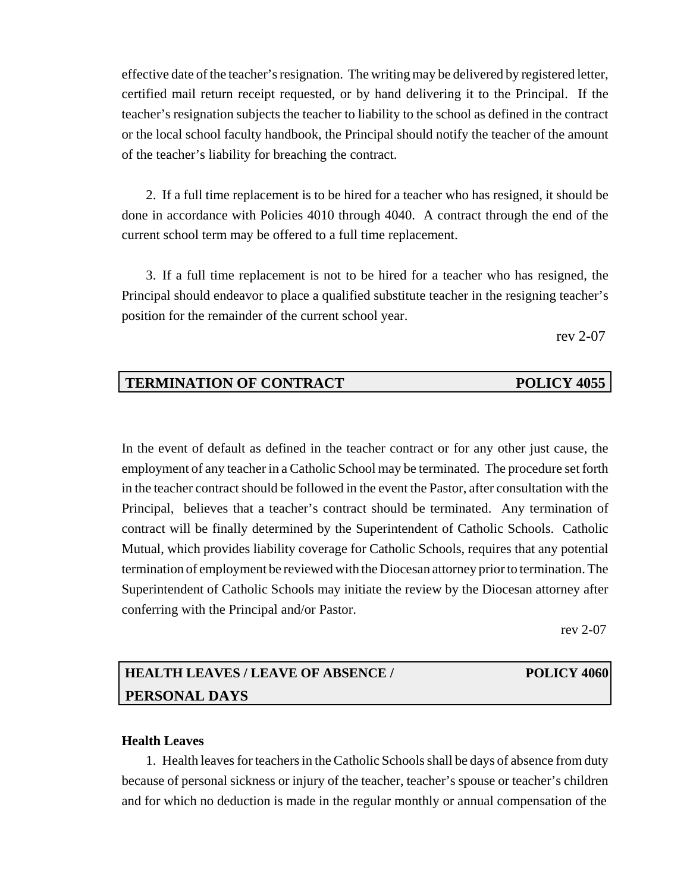effective date of the teacher's resignation. The writing may be delivered by registered letter, certified mail return receipt requested, or by hand delivering it to the Principal. If the teacher's resignation subjects the teacher to liability to the school as defined in the contract or the local school faculty handbook, the Principal should notify the teacher of the amount of the teacher's liability for breaching the contract.

2. If a full time replacement is to be hired for a teacher who has resigned, it should be done in accordance with Policies 4010 through 4040. A contract through the end of the current school term may be offered to a full time replacement.

3. If a full time replacement is not to be hired for a teacher who has resigned, the Principal should endeavor to place a qualified substitute teacher in the resigning teacher's position for the remainder of the current school year.

rev 2-07

## **TERMINATION OF CONTRACT POLICY 4055**

In the event of default as defined in the teacher contract or for any other just cause, the employment of any teacher in a Catholic School may be terminated. The procedure set forth in the teacher contract should be followed in the event the Pastor, after consultation with the Principal, believes that a teacher's contract should be terminated. Any termination of contract will be finally determined by the Superintendent of Catholic Schools. Catholic Mutual, which provides liability coverage for Catholic Schools, requires that any potential termination of employment be reviewed with the Diocesan attorney prior to termination. The Superintendent of Catholic Schools may initiate the review by the Diocesan attorney after conferring with the Principal and/or Pastor.

rev 2-07

# **HEALTH LEAVES / LEAVE OF ABSENCE / POLICY 4060 PERSONAL DAYS**

#### **Health Leaves**

1. Health leaves for teachers in the Catholic Schools shall be days of absence from duty because of personal sickness or injury of the teacher, teacher's spouse or teacher's children and for which no deduction is made in the regular monthly or annual compensation of the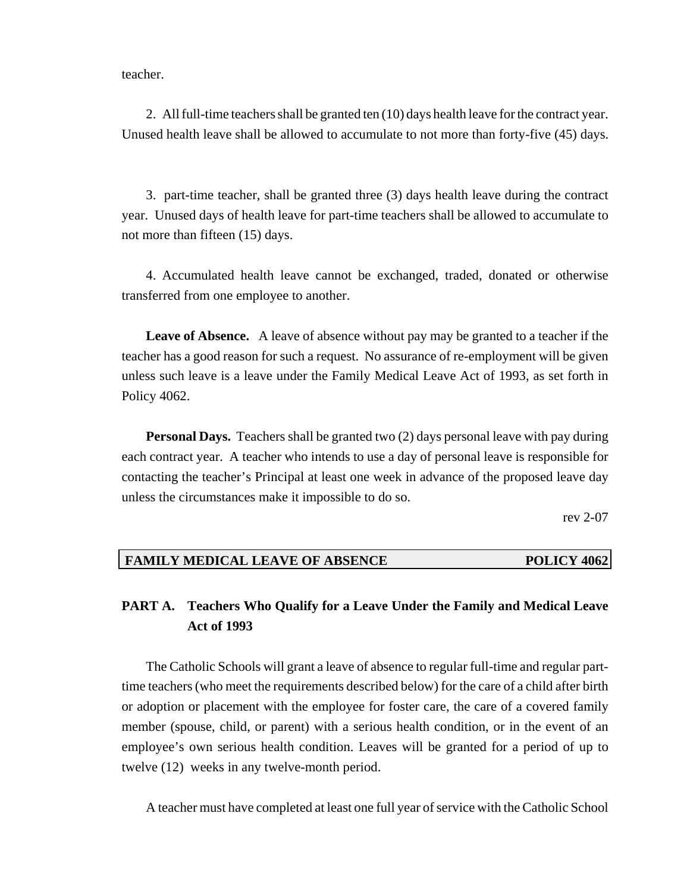teacher.

2. All full-time teachers shall be granted ten (10) days health leave for the contract year. Unused health leave shall be allowed to accumulate to not more than forty-five (45) days.

3. part-time teacher, shall be granted three (3) days health leave during the contract year. Unused days of health leave for part-time teachers shall be allowed to accumulate to not more than fifteen (15) days.

4. Accumulated health leave cannot be exchanged, traded, donated or otherwise transferred from one employee to another.

**Leave of Absence.** A leave of absence without pay may be granted to a teacher if the teacher has a good reason for such a request. No assurance of re-employment will be given unless such leave is a leave under the Family Medical Leave Act of 1993, as set forth in Policy 4062.

**Personal Days.** Teachers shall be granted two (2) days personal leave with pay during each contract year. A teacher who intends to use a day of personal leave is responsible for contacting the teacher's Principal at least one week in advance of the proposed leave day unless the circumstances make it impossible to do so.

rev 2-07

#### **FAMILY MEDICAL LEAVE OF ABSENCE POLICY 4062**

## **PART A. Teachers Who Qualify for a Leave Under the Family and Medical Leave Act of 1993**

The Catholic Schools will grant a leave of absence to regular full-time and regular parttime teachers (who meet the requirements described below) for the care of a child after birth or adoption or placement with the employee for foster care, the care of a covered family member (spouse, child, or parent) with a serious health condition, or in the event of an employee's own serious health condition. Leaves will be granted for a period of up to twelve (12) weeks in any twelve-month period.

A teacher must have completed at least one full year of service with the Catholic School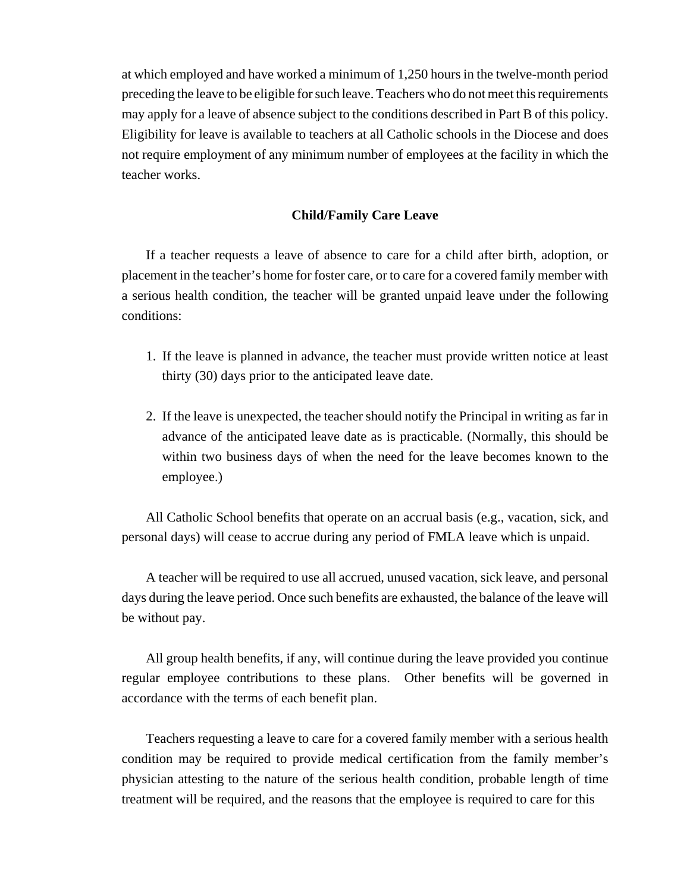at which employed and have worked a minimum of 1,250 hours in the twelve-month period preceding the leave to be eligible for such leave. Teachers who do not meet this requirements may apply for a leave of absence subject to the conditions described in Part B of this policy. Eligibility for leave is available to teachers at all Catholic schools in the Diocese and does not require employment of any minimum number of employees at the facility in which the teacher works.

#### **Child/Family Care Leave**

If a teacher requests a leave of absence to care for a child after birth, adoption, or placement in the teacher's home for foster care, or to care for a covered family member with a serious health condition, the teacher will be granted unpaid leave under the following conditions:

- 1. If the leave is planned in advance, the teacher must provide written notice at least thirty (30) days prior to the anticipated leave date.
- 2. If the leave is unexpected, the teacher should notify the Principal in writing as far in advance of the anticipated leave date as is practicable. (Normally, this should be within two business days of when the need for the leave becomes known to the employee.)

All Catholic School benefits that operate on an accrual basis (e.g., vacation, sick, and personal days) will cease to accrue during any period of FMLA leave which is unpaid.

A teacher will be required to use all accrued, unused vacation, sick leave, and personal days during the leave period. Once such benefits are exhausted, the balance of the leave will be without pay.

All group health benefits, if any, will continue during the leave provided you continue regular employee contributions to these plans. Other benefits will be governed in accordance with the terms of each benefit plan.

Teachers requesting a leave to care for a covered family member with a serious health condition may be required to provide medical certification from the family member's physician attesting to the nature of the serious health condition, probable length of time treatment will be required, and the reasons that the employee is required to care for this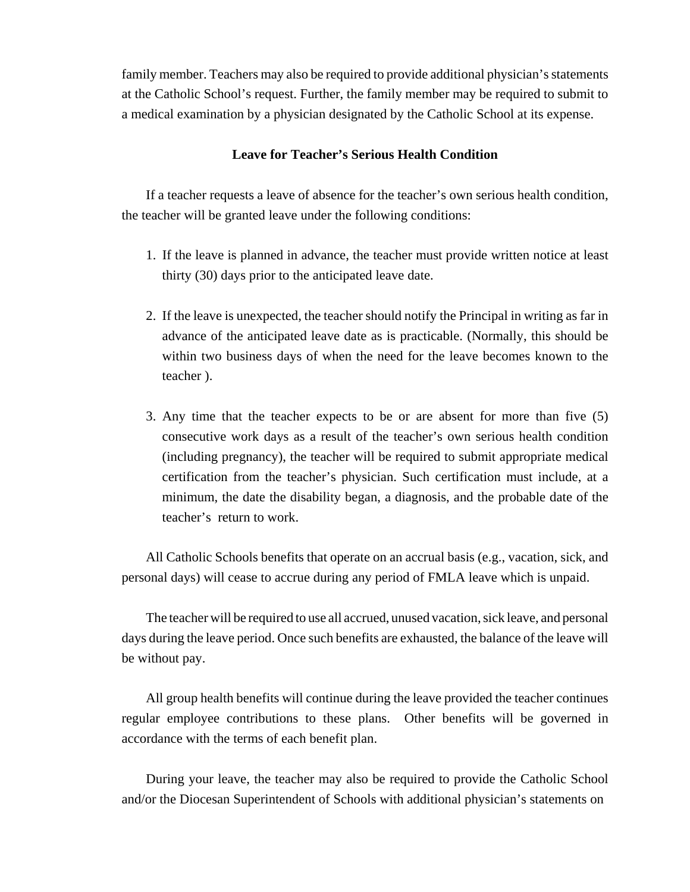family member. Teachers may also be required to provide additional physician's statements at the Catholic School's request. Further, the family member may be required to submit to a medical examination by a physician designated by the Catholic School at its expense.

#### **Leave for Teacher's Serious Health Condition**

If a teacher requests a leave of absence for the teacher's own serious health condition, the teacher will be granted leave under the following conditions:

- 1. If the leave is planned in advance, the teacher must provide written notice at least thirty (30) days prior to the anticipated leave date.
- 2. If the leave is unexpected, the teacher should notify the Principal in writing as far in advance of the anticipated leave date as is practicable. (Normally, this should be within two business days of when the need for the leave becomes known to the teacher ).
- 3. Any time that the teacher expects to be or are absent for more than five (5) consecutive work days as a result of the teacher's own serious health condition (including pregnancy), the teacher will be required to submit appropriate medical certification from the teacher's physician. Such certification must include, at a minimum, the date the disability began, a diagnosis, and the probable date of the teacher's return to work.

All Catholic Schools benefits that operate on an accrual basis (e.g., vacation, sick, and personal days) will cease to accrue during any period of FMLA leave which is unpaid.

The teacher will be required to use all accrued, unused vacation, sick leave, and personal days during the leave period. Once such benefits are exhausted, the balance of the leave will be without pay.

All group health benefits will continue during the leave provided the teacher continues regular employee contributions to these plans. Other benefits will be governed in accordance with the terms of each benefit plan.

During your leave, the teacher may also be required to provide the Catholic School and/or the Diocesan Superintendent of Schools with additional physician's statements on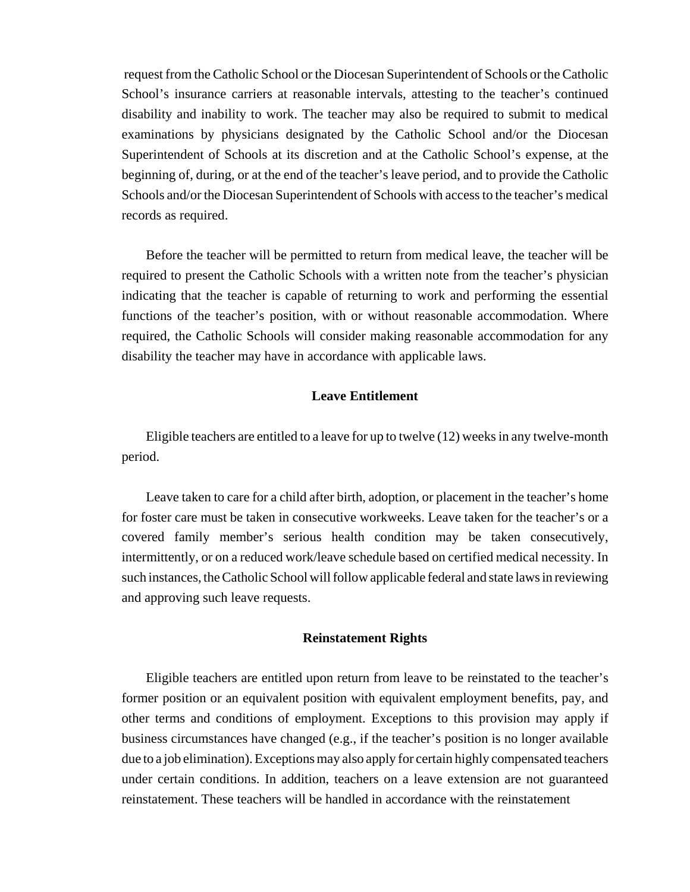request from the Catholic School or the Diocesan Superintendent of Schools or the Catholic School's insurance carriers at reasonable intervals, attesting to the teacher's continued disability and inability to work. The teacher may also be required to submit to medical examinations by physicians designated by the Catholic School and/or the Diocesan Superintendent of Schools at its discretion and at the Catholic School's expense, at the beginning of, during, or at the end of the teacher's leave period, and to provide the Catholic Schools and/or the Diocesan Superintendent of Schools with access to the teacher's medical records as required.

Before the teacher will be permitted to return from medical leave, the teacher will be required to present the Catholic Schools with a written note from the teacher's physician indicating that the teacher is capable of returning to work and performing the essential functions of the teacher's position, with or without reasonable accommodation. Where required, the Catholic Schools will consider making reasonable accommodation for any disability the teacher may have in accordance with applicable laws.

#### **Leave Entitlement**

Eligible teachers are entitled to a leave for up to twelve (12) weeks in any twelve-month period.

Leave taken to care for a child after birth, adoption, or placement in the teacher's home for foster care must be taken in consecutive workweeks. Leave taken for the teacher's or a covered family member's serious health condition may be taken consecutively, intermittently, or on a reduced work/leave schedule based on certified medical necessity. In such instances, the Catholic School will follow applicable federal and state laws in reviewing and approving such leave requests.

#### **Reinstatement Rights**

Eligible teachers are entitled upon return from leave to be reinstated to the teacher's former position or an equivalent position with equivalent employment benefits, pay, and other terms and conditions of employment. Exceptions to this provision may apply if business circumstances have changed (e.g., if the teacher's position is no longer available due to a job elimination). Exceptions may also apply for certain highly compensated teachers under certain conditions. In addition, teachers on a leave extension are not guaranteed reinstatement. These teachers will be handled in accordance with the reinstatement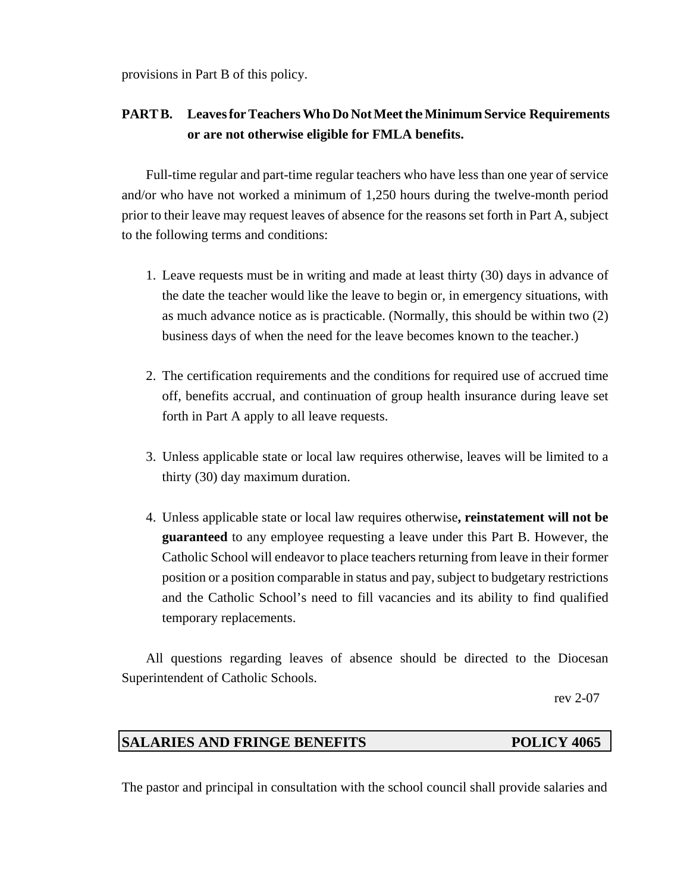provisions in Part B of this policy.

# **PART B. Leaves for Teachers Who Do Not Meet the Minimum Service Requirements or are not otherwise eligible for FMLA benefits.**

Full-time regular and part-time regular teachers who have less than one year of service and/or who have not worked a minimum of 1,250 hours during the twelve-month period prior to their leave may request leaves of absence for the reasons set forth in Part A, subject to the following terms and conditions:

- 1. Leave requests must be in writing and made at least thirty (30) days in advance of the date the teacher would like the leave to begin or, in emergency situations, with as much advance notice as is practicable. (Normally, this should be within two (2) business days of when the need for the leave becomes known to the teacher.)
- 2. The certification requirements and the conditions for required use of accrued time off, benefits accrual, and continuation of group health insurance during leave set forth in Part A apply to all leave requests.
- 3. Unless applicable state or local law requires otherwise, leaves will be limited to a thirty (30) day maximum duration.
- 4. Unless applicable state or local law requires otherwise**, reinstatement will not be guaranteed** to any employee requesting a leave under this Part B. However, the Catholic School will endeavor to place teachers returning from leave in their former position or a position comparable in status and pay, subject to budgetary restrictions and the Catholic School's need to fill vacancies and its ability to find qualified temporary replacements.

All questions regarding leaves of absence should be directed to the Diocesan Superintendent of Catholic Schools.

rev 2-07

# **SALARIES AND FRINGE BENEFITS POLICY 4065**

The pastor and principal in consultation with the school council shall provide salaries and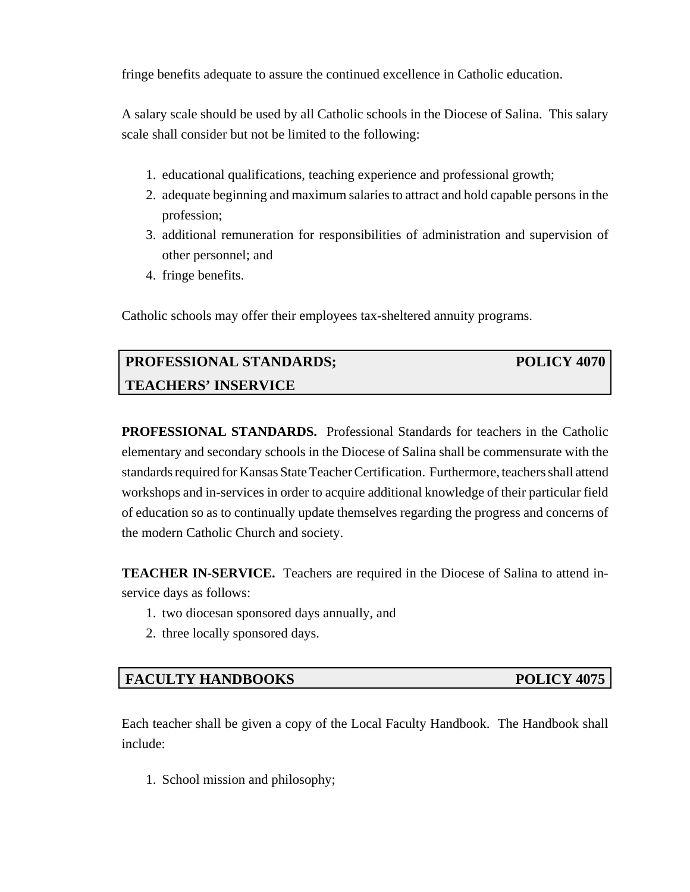fringe benefits adequate to assure the continued excellence in Catholic education.

A salary scale should be used by all Catholic schools in the Diocese of Salina. This salary scale shall consider but not be limited to the following:

- 1. educational qualifications, teaching experience and professional growth;
- 2. adequate beginning and maximum salaries to attract and hold capable persons in the profession;
- 3. additional remuneration for responsibilities of administration and supervision of other personnel; and
- 4. fringe benefits.

Catholic schools may offer their employees tax-sheltered annuity programs.

# **PROFESSIONAL STANDARDS; POLICY 4070 TEACHERS' INSERVICE**

**PROFESSIONAL STANDARDS.** Professional Standards for teachers in the Catholic elementary and secondary schools in the Diocese of Salina shall be commensurate with the standards required for Kansas State Teacher Certification. Furthermore, teachers shall attend workshops and in-services in order to acquire additional knowledge of their particular field of education so as to continually update themselves regarding the progress and concerns of the modern Catholic Church and society.

**TEACHER IN-SERVICE.** Teachers are required in the Diocese of Salina to attend inservice days as follows:

- 1. two diocesan sponsored days annually, and
- 2. three locally sponsored days.

### **FACULTY HANDBOOKS** POLICY 4075

Each teacher shall be given a copy of the Local Faculty Handbook. The Handbook shall include:

1. School mission and philosophy;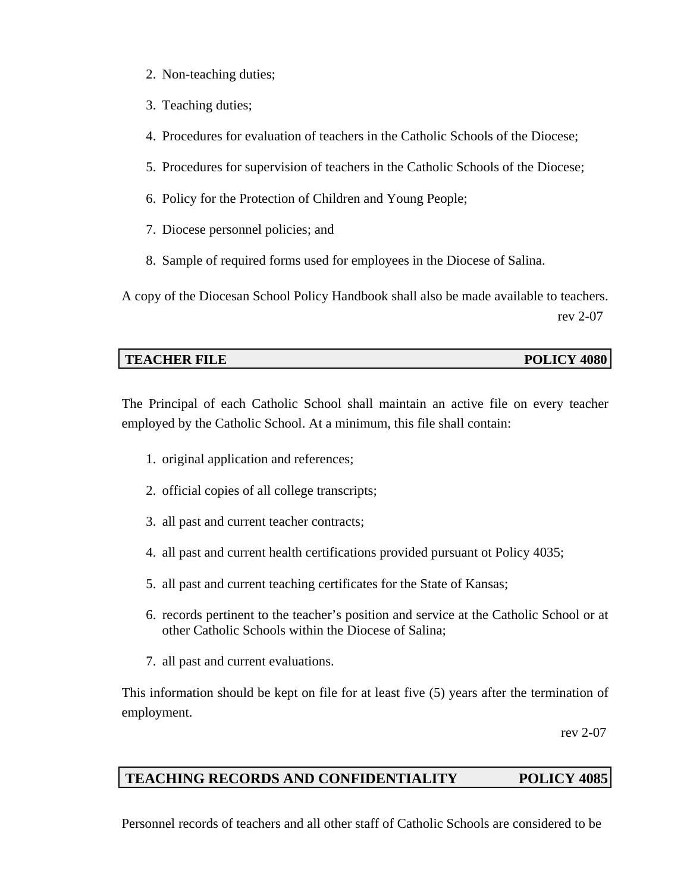- 2. Non-teaching duties;
- 3. Teaching duties;
- 4. Procedures for evaluation of teachers in the Catholic Schools of the Diocese;
- 5. Procedures for supervision of teachers in the Catholic Schools of the Diocese;
- 6. Policy for the Protection of Children and Young People;
- 7. Diocese personnel policies; and
- 8. Sample of required forms used for employees in the Diocese of Salina.

A copy of the Diocesan School Policy Handbook shall also be made available to teachers. rev 2-07

### **TEACHER FILE POLICY 4080**

The Principal of each Catholic School shall maintain an active file on every teacher employed by the Catholic School. At a minimum, this file shall contain:

- 1. original application and references;
- 2. official copies of all college transcripts;
- 3. all past and current teacher contracts;
- 4. all past and current health certifications provided pursuant ot Policy 4035;
- 5. all past and current teaching certificates for the State of Kansas;
- 6. records pertinent to the teacher's position and service at the Catholic School or at other Catholic Schools within the Diocese of Salina;
- 7. all past and current evaluations.

This information should be kept on file for at least five (5) years after the termination of employment.

rev 2-07

### **TEACHING RECORDS AND CONFIDENTIALITY POLICY 4085**

Personnel records of teachers and all other staff of Catholic Schools are considered to be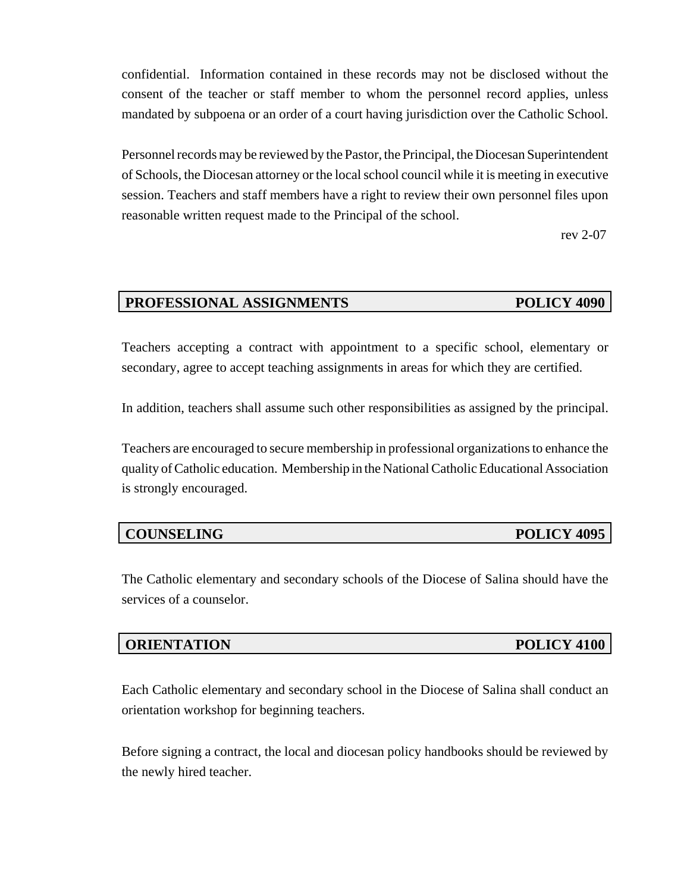confidential. Information contained in these records may not be disclosed without the consent of the teacher or staff member to whom the personnel record applies, unless mandated by subpoena or an order of a court having jurisdiction over the Catholic School.

Personnel records may be reviewed by the Pastor, the Principal, the Diocesan Superintendent of Schools, the Diocesan attorney or the local school council while it is meeting in executive session. Teachers and staff members have a right to review their own personnel files upon reasonable written request made to the Principal of the school.

rev 2-07

# **PROFESSIONAL ASSIGNMENTS POLICY 4090**

Teachers accepting a contract with appointment to a specific school, elementary or secondary, agree to accept teaching assignments in areas for which they are certified.

In addition, teachers shall assume such other responsibilities as assigned by the principal.

Teachers are encouraged to secure membership in professional organizations to enhance the quality of Catholic education. Membership in the National Catholic Educational Association is strongly encouraged.

| <b>COUNSELING</b> |
|-------------------|
|                   |

The Catholic elementary and secondary schools of the Diocese of Salina should have the services of a counselor.

### **ORIENTATION POLICY 4100**

Each Catholic elementary and secondary school in the Diocese of Salina shall conduct an orientation workshop for beginning teachers.

Before signing a contract, the local and diocesan policy handbooks should be reviewed by the newly hired teacher.

**POLICY 4095**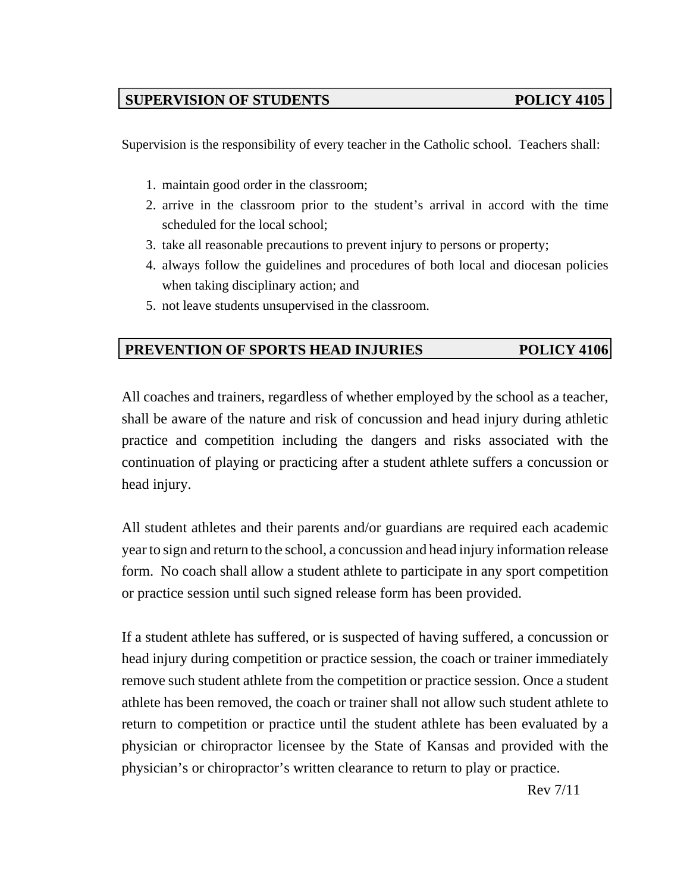# **SUPERVISION OF STUDENTS POLICY 4105**

Supervision is the responsibility of every teacher in the Catholic school. Teachers shall:

- 1. maintain good order in the classroom;
- 2. arrive in the classroom prior to the student's arrival in accord with the time scheduled for the local school;
- 3. take all reasonable precautions to prevent injury to persons or property;
- 4. always follow the guidelines and procedures of both local and diocesan policies when taking disciplinary action; and
- 5. not leave students unsupervised in the classroom.

# **PREVENTION OF SPORTS HEAD INJURIES POLICY 4106**

All coaches and trainers, regardless of whether employed by the school as a teacher, shall be aware of the nature and risk of concussion and head injury during athletic practice and competition including the dangers and risks associated with the continuation of playing or practicing after a student athlete suffers a concussion or head injury.

All student athletes and their parents and/or guardians are required each academic year to sign and return to the school, a concussion and head injury information release form. No coach shall allow a student athlete to participate in any sport competition or practice session until such signed release form has been provided.

If a student athlete has suffered, or is suspected of having suffered, a concussion or head injury during competition or practice session, the coach or trainer immediately remove such student athlete from the competition or practice session. Once a student athlete has been removed, the coach or trainer shall not allow such student athlete to return to competition or practice until the student athlete has been evaluated by a physician or chiropractor licensee by the State of Kansas and provided with the physician's or chiropractor's written clearance to return to play or practice.

Rev 7/11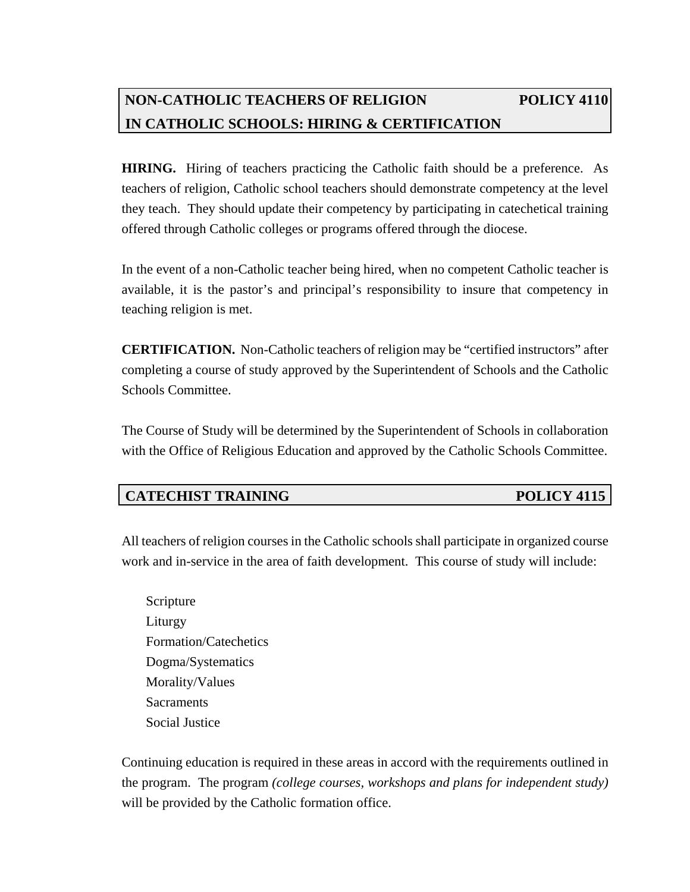# **NON-CATHOLIC TEACHERS OF RELIGION POLICY 4110 IN CATHOLIC SCHOOLS: HIRING & CERTIFICATION**

**HIRING.** Hiring of teachers practicing the Catholic faith should be a preference. As teachers of religion, Catholic school teachers should demonstrate competency at the level they teach. They should update their competency by participating in catechetical training offered through Catholic colleges or programs offered through the diocese.

In the event of a non-Catholic teacher being hired, when no competent Catholic teacher is available, it is the pastor's and principal's responsibility to insure that competency in teaching religion is met.

**CERTIFICATION.** Non-Catholic teachers of religion may be "certified instructors" after completing a course of study approved by the Superintendent of Schools and the Catholic Schools Committee.

The Course of Study will be determined by the Superintendent of Schools in collaboration with the Office of Religious Education and approved by the Catholic Schools Committee.

# **CATECHIST TRAINING POLICY 4115**

All teachers of religion courses in the Catholic schools shall participate in organized course work and in-service in the area of faith development. This course of study will include:

Scripture Liturgy Formation/Catechetics Dogma/Systematics Morality/Values **Sacraments** Social Justice

Continuing education is required in these areas in accord with the requirements outlined in the program. The program *(college courses, workshops and plans for independent study)* will be provided by the Catholic formation office.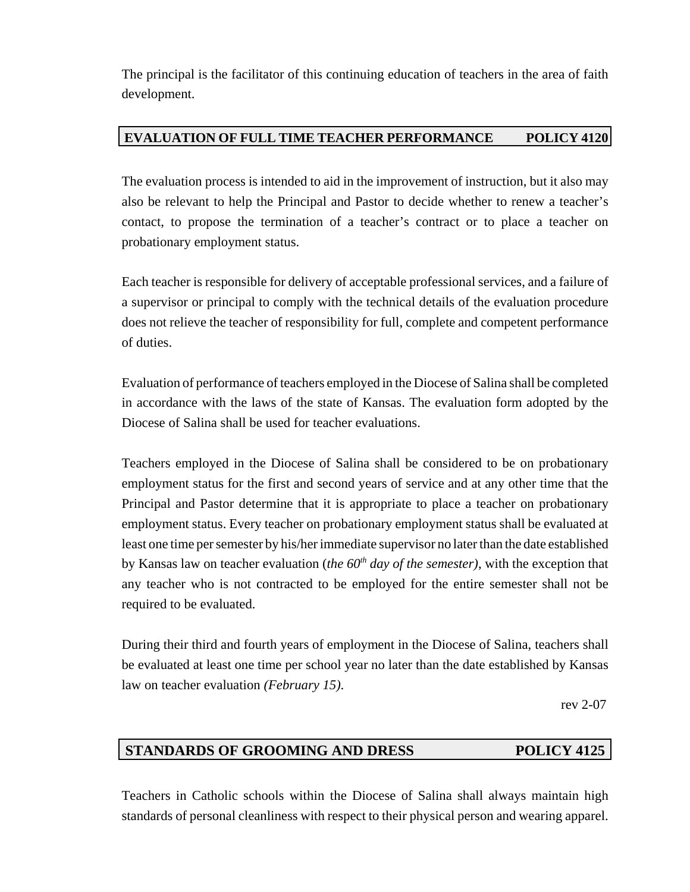The principal is the facilitator of this continuing education of teachers in the area of faith development.

## **EVALUATION OF FULL TIME TEACHER PERFORMANCE POLICY 4120**

The evaluation process is intended to aid in the improvement of instruction, but it also may also be relevant to help the Principal and Pastor to decide whether to renew a teacher's contact, to propose the termination of a teacher's contract or to place a teacher on probationary employment status.

Each teacher is responsible for delivery of acceptable professional services, and a failure of a supervisor or principal to comply with the technical details of the evaluation procedure does not relieve the teacher of responsibility for full, complete and competent performance of duties.

Evaluation of performance of teachers employed in the Diocese of Salina shall be completed in accordance with the laws of the state of Kansas. The evaluation form adopted by the Diocese of Salina shall be used for teacher evaluations.

Teachers employed in the Diocese of Salina shall be considered to be on probationary employment status for the first and second years of service and at any other time that the Principal and Pastor determine that it is appropriate to place a teacher on probationary employment status. Every teacher on probationary employment status shall be evaluated at least one time per semester by his/her immediate supervisor no later than the date established by Kansas law on teacher evaluation (*the 60th day of the semester)*, with the exception that any teacher who is not contracted to be employed for the entire semester shall not be required to be evaluated.

During their third and fourth years of employment in the Diocese of Salina, teachers shall be evaluated at least one time per school year no later than the date established by Kansas law on teacher evaluation *(February 15)*.

rev 2-07

# **STANDARDS OF GROOMING AND DRESS POLICY 4125**

Teachers in Catholic schools within the Diocese of Salina shall always maintain high standards of personal cleanliness with respect to their physical person and wearing apparel.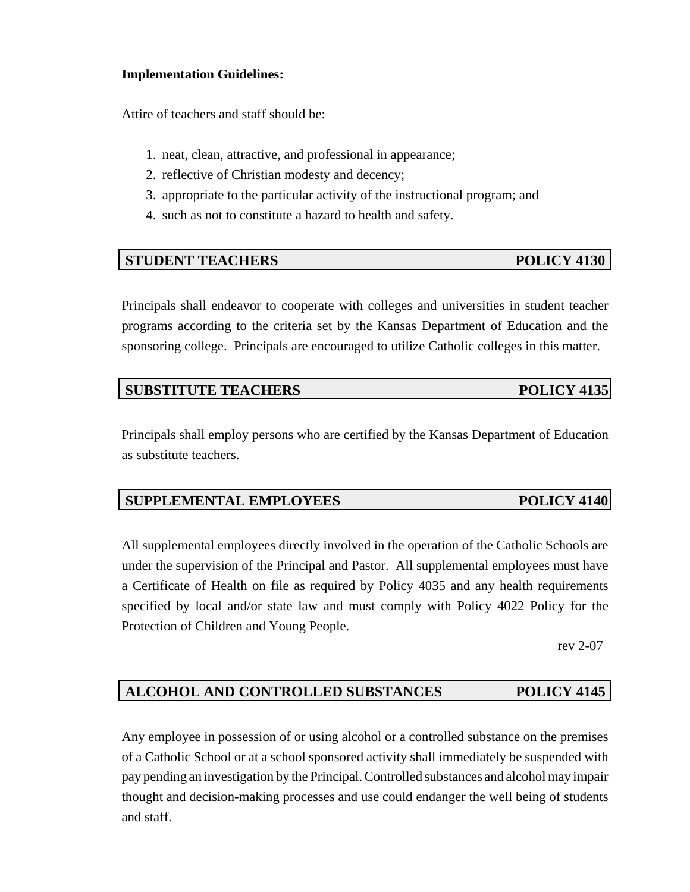### **Implementation Guidelines:**

Attire of teachers and staff should be:

- 1. neat, clean, attractive, and professional in appearance;
- 2. reflective of Christian modesty and decency;
- 3. appropriate to the particular activity of the instructional program; and
- 4. such as not to constitute a hazard to health and safety.

### **STUDENT TEACHERS** POLICY 4130

Principals shall endeavor to cooperate with colleges and universities in student teacher programs according to the criteria set by the Kansas Department of Education and the sponsoring college. Principals are encouraged to utilize Catholic colleges in this matter.

### **SUBSTITUTE TEACHERS** POLICY 4135

Principals shall employ persons who are certified by the Kansas Department of Education as substitute teachers.

# **SUPPLEMENTAL EMPLOYEES** POLICY 4140

All supplemental employees directly involved in the operation of the Catholic Schools are under the supervision of the Principal and Pastor. All supplemental employees must have a Certificate of Health on file as required by Policy 4035 and any health requirements specified by local and/or state law and must comply with Policy 4022 Policy for the Protection of Children and Young People.

rev 2-07

# **ALCOHOL AND CONTROLLED SUBSTANCES POLICY 4145**

Any employee in possession of or using alcohol or a controlled substance on the premises of a Catholic School or at a school sponsored activity shall immediately be suspended with pay pending an investigation by the Principal. Controlled substances and alcohol may impair thought and decision-making processes and use could endanger the well being of students and staff.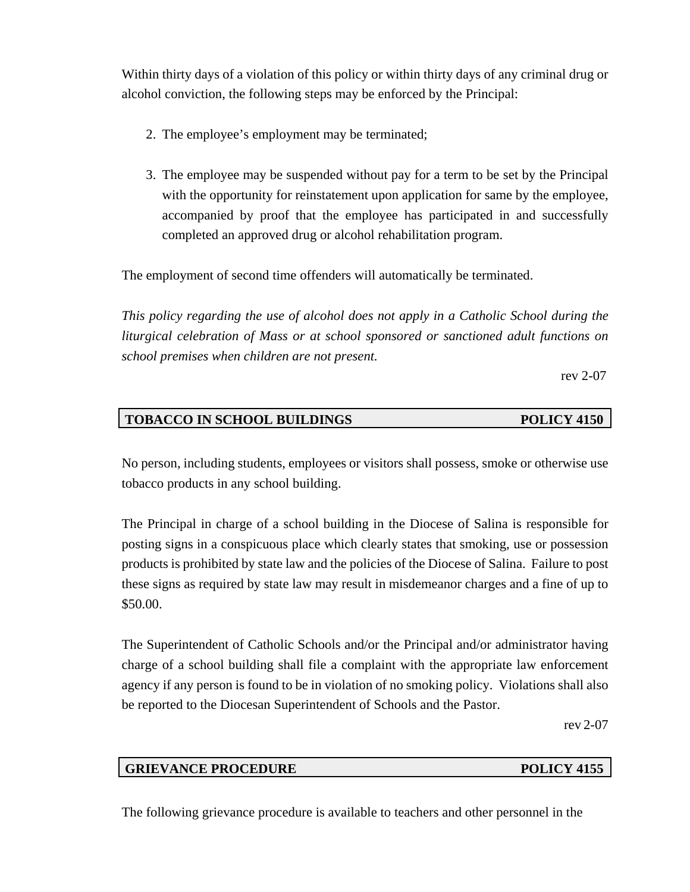Within thirty days of a violation of this policy or within thirty days of any criminal drug or alcohol conviction, the following steps may be enforced by the Principal:

- 2. The employee's employment may be terminated;
- 3. The employee may be suspended without pay for a term to be set by the Principal with the opportunity for reinstatement upon application for same by the employee, accompanied by proof that the employee has participated in and successfully completed an approved drug or alcohol rehabilitation program.

The employment of second time offenders will automatically be terminated.

*This policy regarding the use of alcohol does not apply in a Catholic School during the liturgical celebration of Mass or at school sponsored or sanctioned adult functions on school premises when children are not present.*

rev 2-07

# **TOBACCO IN SCHOOL BUILDINGS POLICY 4150**

No person, including students, employees or visitors shall possess, smoke or otherwise use tobacco products in any school building.

The Principal in charge of a school building in the Diocese of Salina is responsible for posting signs in a conspicuous place which clearly states that smoking, use or possession products is prohibited by state law and the policies of the Diocese of Salina. Failure to post these signs as required by state law may result in misdemeanor charges and a fine of up to \$50.00.

The Superintendent of Catholic Schools and/or the Principal and/or administrator having charge of a school building shall file a complaint with the appropriate law enforcement agency if any person is found to be in violation of no smoking policy. Violations shall also be reported to the Diocesan Superintendent of Schools and the Pastor.

rev 2-07

### **GRIEVANCE PROCEDURE POLICY 4155**

The following grievance procedure is available to teachers and other personnel in the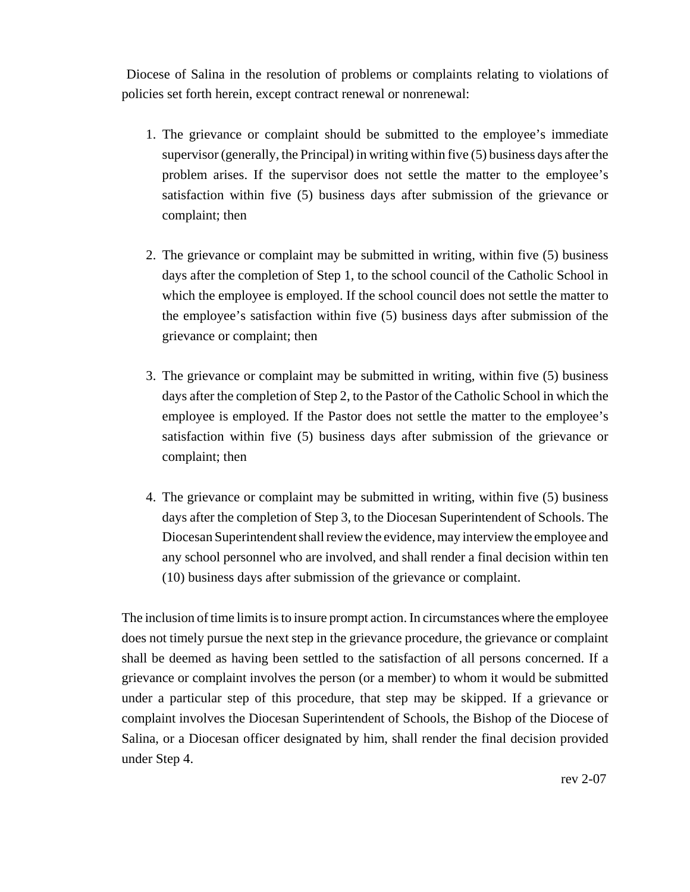Diocese of Salina in the resolution of problems or complaints relating to violations of policies set forth herein, except contract renewal or nonrenewal:

- 1. The grievance or complaint should be submitted to the employee's immediate supervisor (generally, the Principal) in writing within five (5) business days after the problem arises. If the supervisor does not settle the matter to the employee's satisfaction within five (5) business days after submission of the grievance or complaint; then
- 2. The grievance or complaint may be submitted in writing, within five (5) business days after the completion of Step 1, to the school council of the Catholic School in which the employee is employed. If the school council does not settle the matter to the employee's satisfaction within five (5) business days after submission of the grievance or complaint; then
- 3. The grievance or complaint may be submitted in writing, within five (5) business days after the completion of Step 2, to the Pastor of the Catholic School in which the employee is employed. If the Pastor does not settle the matter to the employee's satisfaction within five (5) business days after submission of the grievance or complaint; then
- 4. The grievance or complaint may be submitted in writing, within five (5) business days after the completion of Step 3, to the Diocesan Superintendent of Schools. The Diocesan Superintendent shall review the evidence, may interview the employee and any school personnel who are involved, and shall render a final decision within ten (10) business days after submission of the grievance or complaint.

The inclusion of time limits is to insure prompt action. In circumstances where the employee does not timely pursue the next step in the grievance procedure, the grievance or complaint shall be deemed as having been settled to the satisfaction of all persons concerned. If a grievance or complaint involves the person (or a member) to whom it would be submitted under a particular step of this procedure, that step may be skipped. If a grievance or complaint involves the Diocesan Superintendent of Schools, the Bishop of the Diocese of Salina, or a Diocesan officer designated by him, shall render the final decision provided under Step 4.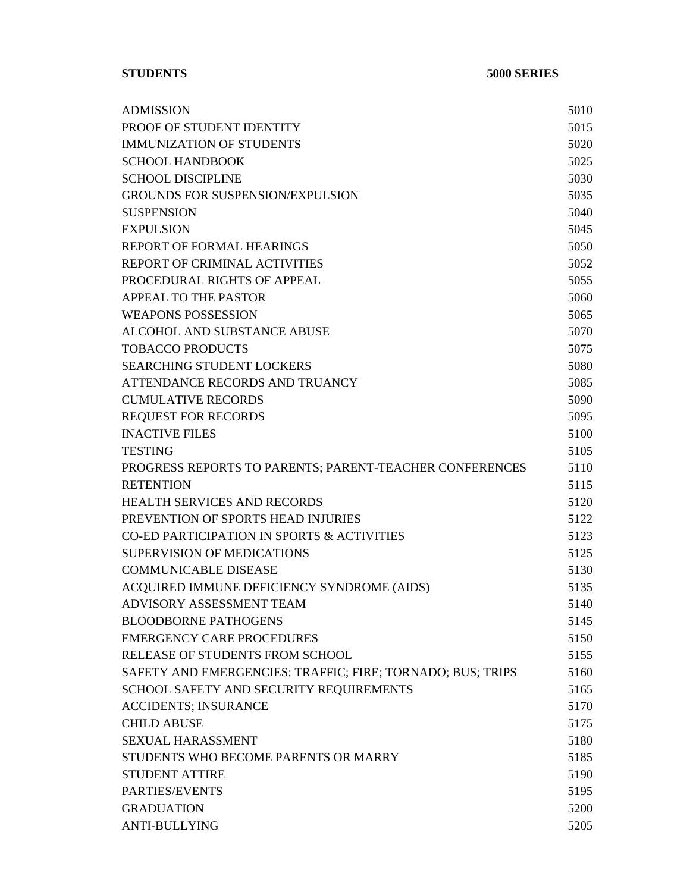**STUDENTS 5000 SERIES**

| <b>ADMISSION</b>                                           | 5010 |
|------------------------------------------------------------|------|
| PROOF OF STUDENT IDENTITY                                  | 5015 |
| <b>IMMUNIZATION OF STUDENTS</b>                            | 5020 |
| <b>SCHOOL HANDBOOK</b>                                     | 5025 |
| <b>SCHOOL DISCIPLINE</b>                                   | 5030 |
| <b>GROUNDS FOR SUSPENSION/EXPULSION</b>                    | 5035 |
| <b>SUSPENSION</b>                                          | 5040 |
| <b>EXPULSION</b>                                           | 5045 |
| <b>REPORT OF FORMAL HEARINGS</b>                           | 5050 |
| REPORT OF CRIMINAL ACTIVITIES                              | 5052 |
| PROCEDURAL RIGHTS OF APPEAL                                | 5055 |
| APPEAL TO THE PASTOR                                       | 5060 |
| <b>WEAPONS POSSESSION</b>                                  | 5065 |
| ALCOHOL AND SUBSTANCE ABUSE                                | 5070 |
| <b>TOBACCO PRODUCTS</b>                                    | 5075 |
| <b>SEARCHING STUDENT LOCKERS</b>                           | 5080 |
| ATTENDANCE RECORDS AND TRUANCY                             | 5085 |
| <b>CUMULATIVE RECORDS</b>                                  | 5090 |
| <b>REQUEST FOR RECORDS</b>                                 | 5095 |
| <b>INACTIVE FILES</b>                                      | 5100 |
| <b>TESTING</b>                                             | 5105 |
| PROGRESS REPORTS TO PARENTS; PARENT-TEACHER CONFERENCES    | 5110 |
| <b>RETENTION</b>                                           | 5115 |
| <b>HEALTH SERVICES AND RECORDS</b>                         | 5120 |
| PREVENTION OF SPORTS HEAD INJURIES                         | 5122 |
| CO-ED PARTICIPATION IN SPORTS & ACTIVITIES                 | 5123 |
| <b>SUPERVISION OF MEDICATIONS</b>                          | 5125 |
| <b>COMMUNICABLE DISEASE</b>                                | 5130 |
| ACQUIRED IMMUNE DEFICIENCY SYNDROME (AIDS)                 | 5135 |
| ADVISORY ASSESSMENT TEAM                                   | 5140 |
| <b>BLOODBORNE PATHOGENS</b>                                | 5145 |
| <b>EMERGENCY CARE PROCEDURES</b>                           | 5150 |
| RELEASE OF STUDENTS FROM SCHOOL                            | 5155 |
| SAFETY AND EMERGENCIES: TRAFFIC; FIRE; TORNADO; BUS; TRIPS | 5160 |
| SCHOOL SAFETY AND SECURITY REQUIREMENTS                    | 5165 |
| <b>ACCIDENTS; INSURANCE</b>                                | 5170 |
| <b>CHILD ABUSE</b>                                         | 5175 |
| <b>SEXUAL HARASSMENT</b>                                   | 5180 |
| STUDENTS WHO BECOME PARENTS OR MARRY                       | 5185 |
| <b>STUDENT ATTIRE</b>                                      | 5190 |
| PARTIES/EVENTS                                             | 5195 |
| <b>GRADUATION</b>                                          | 5200 |
| <b>ANTI-BULLYING</b>                                       | 5205 |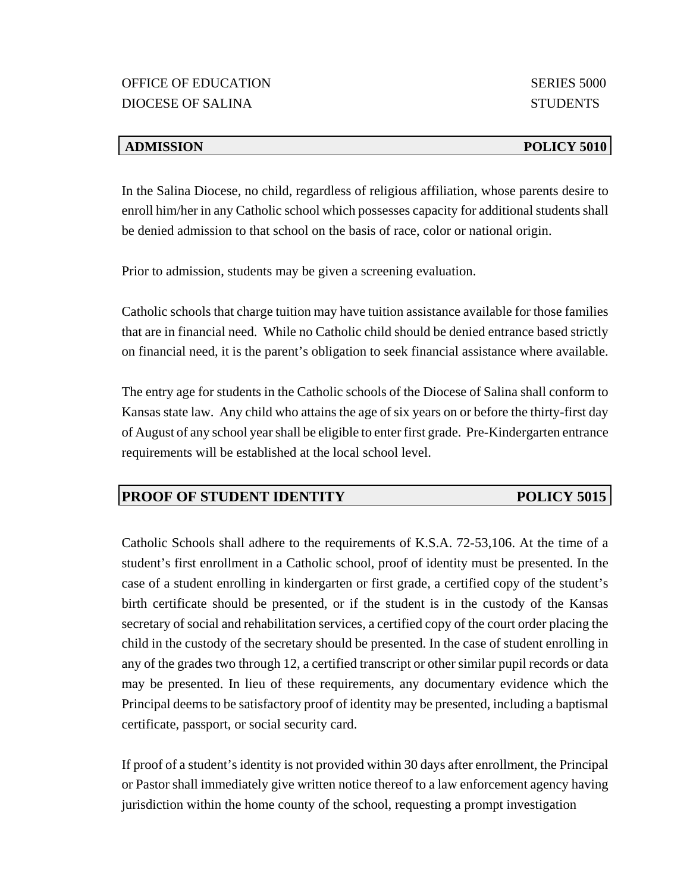### *ADMISSION* POLICY 5010

In the Salina Diocese, no child, regardless of religious affiliation, whose parents desire to enroll him/her in any Catholic school which possesses capacity for additional students shall be denied admission to that school on the basis of race, color or national origin.

Prior to admission, students may be given a screening evaluation.

Catholic schools that charge tuition may have tuition assistance available for those families that are in financial need. While no Catholic child should be denied entrance based strictly on financial need, it is the parent's obligation to seek financial assistance where available.

The entry age for students in the Catholic schools of the Diocese of Salina shall conform to Kansas state law. Any child who attains the age of six years on or before the thirty-first day of August of any school year shall be eligible to enter first grade. Pre-Kindergarten entrance requirements will be established at the local school level.

# **PROOF OF STUDENT IDENTITY POLICY 5015**

Catholic Schools shall adhere to the requirements of K.S.A. 72-53,106. At the time of a student's first enrollment in a Catholic school, proof of identity must be presented. In the case of a student enrolling in kindergarten or first grade, a certified copy of the student's birth certificate should be presented, or if the student is in the custody of the Kansas secretary of social and rehabilitation services, a certified copy of the court order placing the child in the custody of the secretary should be presented. In the case of student enrolling in any of the grades two through 12, a certified transcript or other similar pupil records or data may be presented. In lieu of these requirements, any documentary evidence which the Principal deems to be satisfactory proof of identity may be presented, including a baptismal certificate, passport, or social security card.

If proof of a student's identity is not provided within 30 days after enrollment, the Principal or Pastor shall immediately give written notice thereof to a law enforcement agency having jurisdiction within the home county of the school, requesting a prompt investigation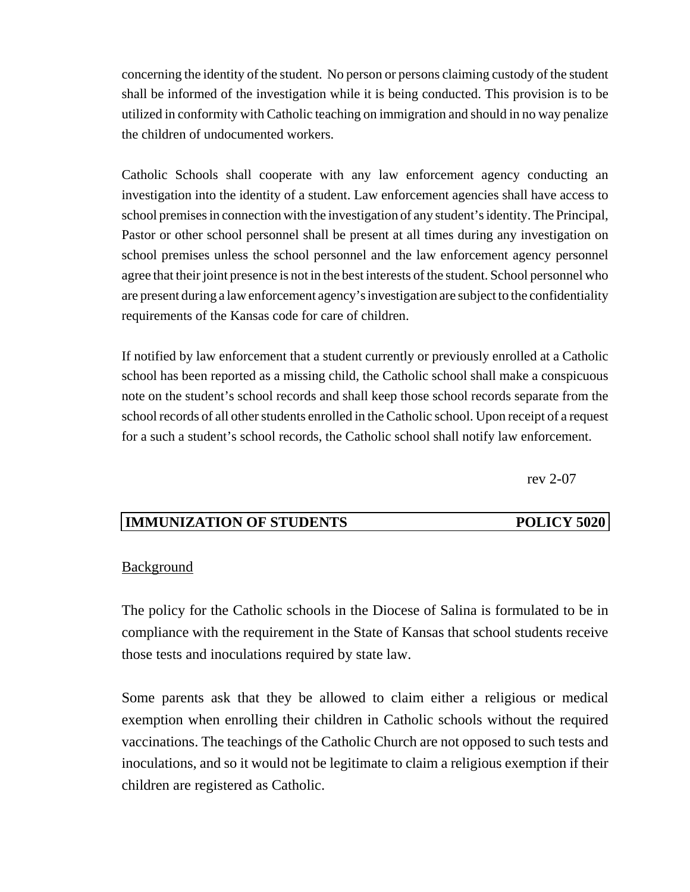concerning the identity of the student. No person or persons claiming custody of the student shall be informed of the investigation while it is being conducted. This provision is to be utilized in conformity with Catholic teaching on immigration and should in no way penalize the children of undocumented workers.

Catholic Schools shall cooperate with any law enforcement agency conducting an investigation into the identity of a student. Law enforcement agencies shall have access to school premises in connection with the investigation of any student's identity. The Principal, Pastor or other school personnel shall be present at all times during any investigation on school premises unless the school personnel and the law enforcement agency personnel agree that their joint presence is not in the best interests of the student. School personnel who are present during a law enforcement agency's investigation are subject to the confidentiality requirements of the Kansas code for care of children.

If notified by law enforcement that a student currently or previously enrolled at a Catholic school has been reported as a missing child, the Catholic school shall make a conspicuous note on the student's school records and shall keep those school records separate from the school records of all other students enrolled in the Catholic school. Upon receipt of a request for a such a student's school records, the Catholic school shall notify law enforcement.

rev 2-07

# **IMMUNIZATION OF STUDENTS POLICY 5020**

### **Background**

The policy for the Catholic schools in the Diocese of Salina is formulated to be in compliance with the requirement in the State of Kansas that school students receive those tests and inoculations required by state law.

Some parents ask that they be allowed to claim either a religious or medical exemption when enrolling their children in Catholic schools without the required vaccinations. The teachings of the Catholic Church are not opposed to such tests and inoculations, and so it would not be legitimate to claim a religious exemption if their children are registered as Catholic.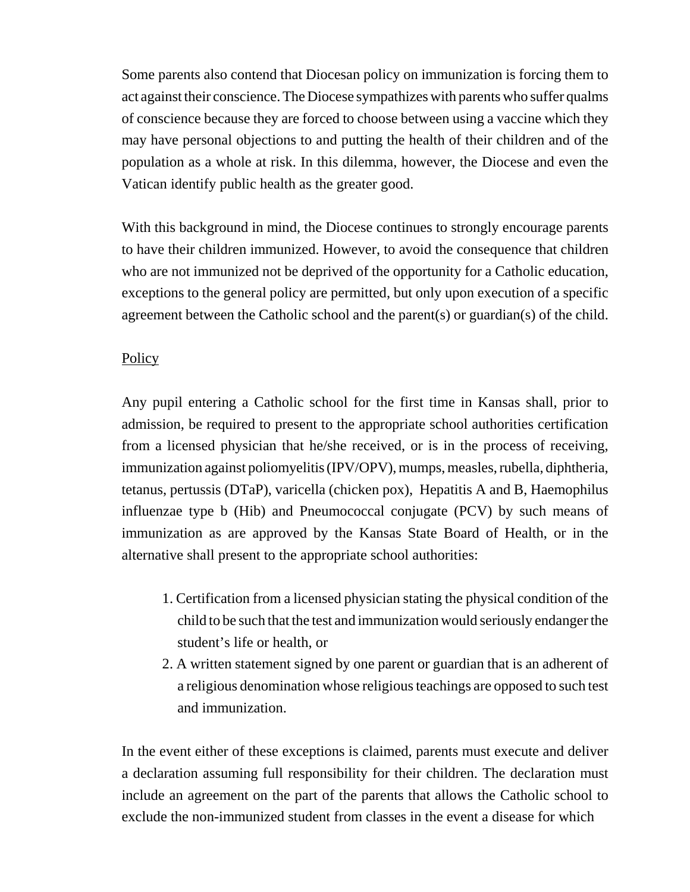Some parents also contend that Diocesan policy on immunization is forcing them to act against their conscience. The Diocese sympathizes with parents who suffer qualms of conscience because they are forced to choose between using a vaccine which they may have personal objections to and putting the health of their children and of the population as a whole at risk. In this dilemma, however, the Diocese and even the Vatican identify public health as the greater good.

With this background in mind, the Diocese continues to strongly encourage parents to have their children immunized. However, to avoid the consequence that children who are not immunized not be deprived of the opportunity for a Catholic education, exceptions to the general policy are permitted, but only upon execution of a specific agreement between the Catholic school and the parent(s) or guardian(s) of the child.

# **Policy**

Any pupil entering a Catholic school for the first time in Kansas shall, prior to admission, be required to present to the appropriate school authorities certification from a licensed physician that he/she received, or is in the process of receiving, immunization against poliomyelitis (IPV/OPV), mumps, measles, rubella, diphtheria, tetanus, pertussis (DTaP), varicella (chicken pox), Hepatitis A and B, Haemophilus influenzae type b (Hib) and Pneumococcal conjugate (PCV) by such means of immunization as are approved by the Kansas State Board of Health, or in the alternative shall present to the appropriate school authorities:

- 1. Certification from a licensed physician stating the physical condition of the child to be such that the test and immunization would seriously endanger the student's life or health, or
- 2. A written statement signed by one parent or guardian that is an adherent of a religious denomination whose religious teachings are opposed to such test and immunization.

In the event either of these exceptions is claimed, parents must execute and deliver a declaration assuming full responsibility for their children. The declaration must include an agreement on the part of the parents that allows the Catholic school to exclude the non-immunized student from classes in the event a disease for which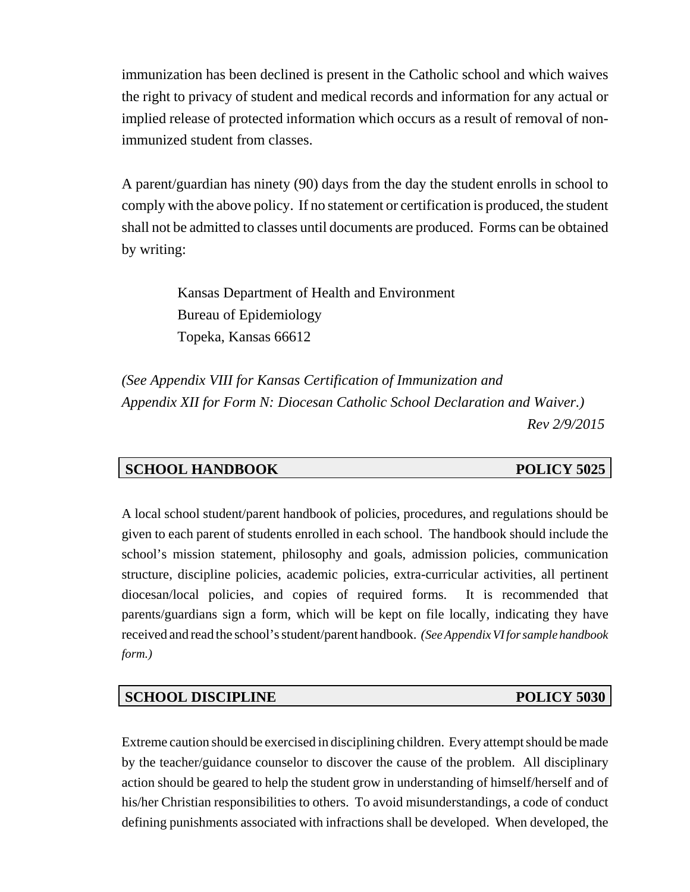immunization has been declined is present in the Catholic school and which waives the right to privacy of student and medical records and information for any actual or implied release of protected information which occurs as a result of removal of nonimmunized student from classes.

A parent/guardian has ninety (90) days from the day the student enrolls in school to comply with the above policy. If no statement or certification is produced, the student shall not be admitted to classes until documents are produced. Forms can be obtained by writing:

> Kansas Department of Health and Environment Bureau of Epidemiology Topeka, Kansas 66612

*(See Appendix VIII for Kansas Certification of Immunization and Appendix XII for Form N: Diocesan Catholic School Declaration and Waiver.) Rev 2/9/2015*

# **SCHOOL HANDBOOK POLICY 5025**

A local school student/parent handbook of policies, procedures, and regulations should be given to each parent of students enrolled in each school. The handbook should include the school's mission statement, philosophy and goals, admission policies, communication structure, discipline policies, academic policies, extra-curricular activities, all pertinent diocesan/local policies, and copies of required forms. It is recommended that parents/guardians sign a form, which will be kept on file locally, indicating they have received and read the school's student/parent handbook. *(See Appendix VI for sample handbook form.)*

# **SCHOOL DISCIPLINE** POLICY 5030

Extreme caution should be exercised in disciplining children. Every attempt should be made by the teacher/guidance counselor to discover the cause of the problem. All disciplinary action should be geared to help the student grow in understanding of himself/herself and of his/her Christian responsibilities to others. To avoid misunderstandings, a code of conduct defining punishments associated with infractions shall be developed. When developed, the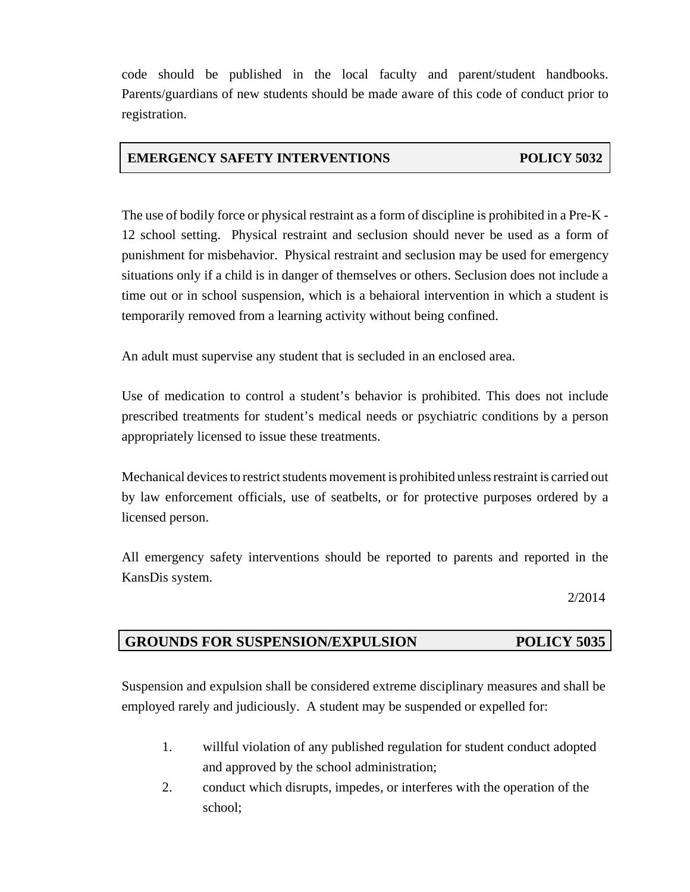code should be published in the local faculty and parent/student handbooks. Parents/guardians of new students should be made aware of this code of conduct prior to registration.

## **EMERGENCY SAFETY INTERVENTIONS POLICY 5032**

The use of bodily force or physical restraint as a form of discipline is prohibited in a Pre-K - 12 school setting. Physical restraint and seclusion should never be used as a form of punishment for misbehavior. Physical restraint and seclusion may be used for emergency situations only if a child is in danger of themselves or others. Seclusion does not include a time out or in school suspension, which is a behaioral intervention in which a student is temporarily removed from a learning activity without being confined.

An adult must supervise any student that is secluded in an enclosed area.

Use of medication to control a student's behavior is prohibited. This does not include prescribed treatments for student's medical needs or psychiatric conditions by a person appropriately licensed to issue these treatments.

Mechanical devices to restrict students movement is prohibited unless restraint is carried out by law enforcement officials, use of seatbelts, or for protective purposes ordered by a licensed person.

All emergency safety interventions should be reported to parents and reported in the KansDis system.

2/2014

# **GROUNDS FOR SUSPENSION/EXPULSION POLICY 5035**

Suspension and expulsion shall be considered extreme disciplinary measures and shall be employed rarely and judiciously. A student may be suspended or expelled for:

- 1. willful violation of any published regulation for student conduct adopted and approved by the school administration;
- 2. conduct which disrupts, impedes, or interferes with the operation of the school;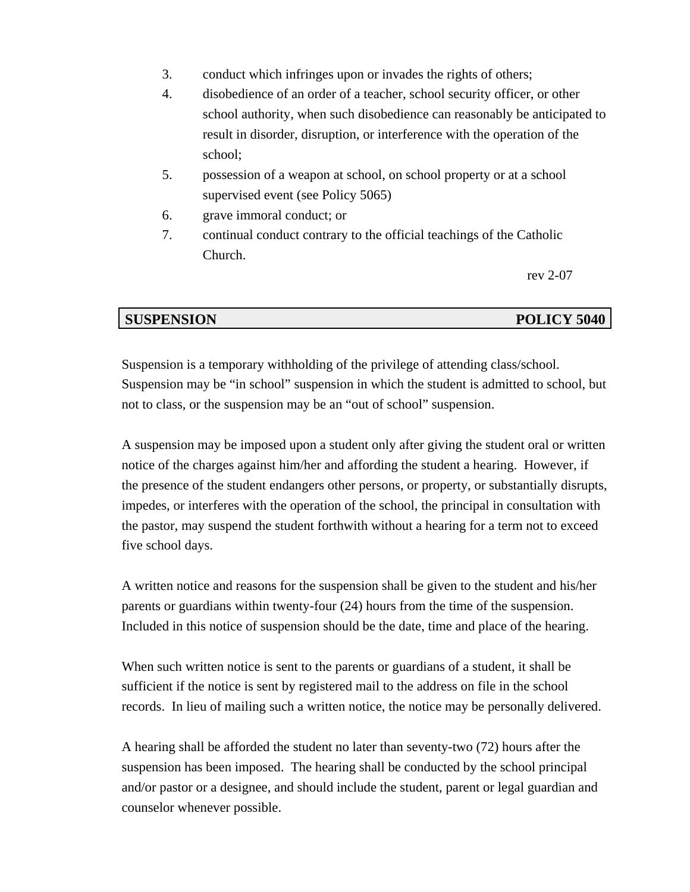- 3. conduct which infringes upon or invades the rights of others;
- 4. disobedience of an order of a teacher, school security officer, or other school authority, when such disobedience can reasonably be anticipated to result in disorder, disruption, or interference with the operation of the school;
- 5. possession of a weapon at school, on school property or at a school supervised event (see Policy 5065)
- 6. grave immoral conduct; or
- 7. continual conduct contrary to the official teachings of the Catholic Church.

rev 2-07

### **SUSPENSION POLICY 5040**

Suspension is a temporary withholding of the privilege of attending class/school. Suspension may be "in school" suspension in which the student is admitted to school, but not to class, or the suspension may be an "out of school" suspension.

A suspension may be imposed upon a student only after giving the student oral or written notice of the charges against him/her and affording the student a hearing. However, if the presence of the student endangers other persons, or property, or substantially disrupts, impedes, or interferes with the operation of the school, the principal in consultation with the pastor, may suspend the student forthwith without a hearing for a term not to exceed five school days.

A written notice and reasons for the suspension shall be given to the student and his/her parents or guardians within twenty-four (24) hours from the time of the suspension. Included in this notice of suspension should be the date, time and place of the hearing.

When such written notice is sent to the parents or guardians of a student, it shall be sufficient if the notice is sent by registered mail to the address on file in the school records. In lieu of mailing such a written notice, the notice may be personally delivered.

A hearing shall be afforded the student no later than seventy-two (72) hours after the suspension has been imposed. The hearing shall be conducted by the school principal and/or pastor or a designee, and should include the student, parent or legal guardian and counselor whenever possible.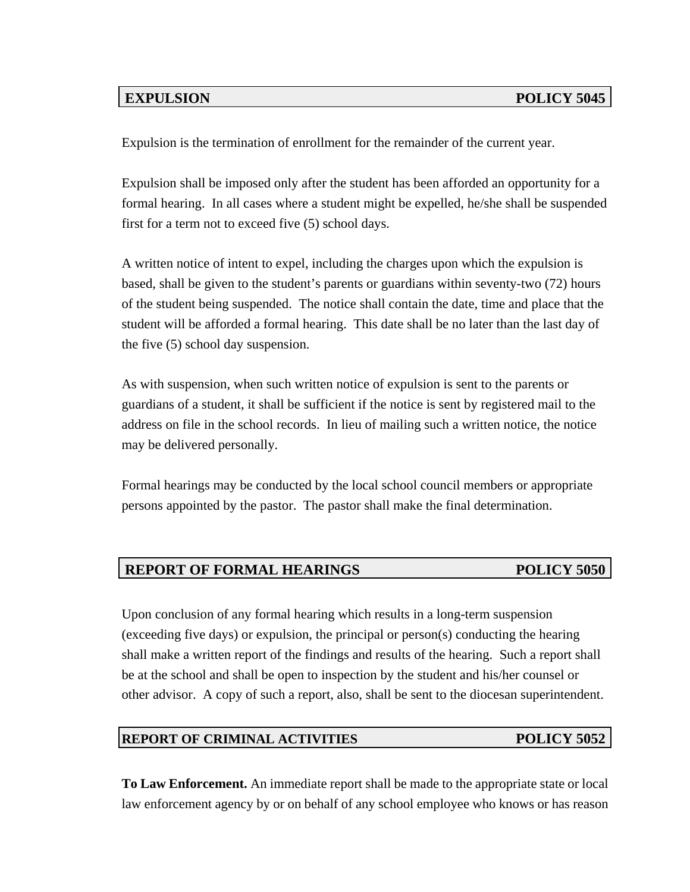Expulsion is the termination of enrollment for the remainder of the current year.

Expulsion shall be imposed only after the student has been afforded an opportunity for a formal hearing. In all cases where a student might be expelled, he/she shall be suspended first for a term not to exceed five (5) school days.

A written notice of intent to expel, including the charges upon which the expulsion is based, shall be given to the student's parents or guardians within seventy-two (72) hours of the student being suspended. The notice shall contain the date, time and place that the student will be afforded a formal hearing. This date shall be no later than the last day of the five (5) school day suspension.

As with suspension, when such written notice of expulsion is sent to the parents or guardians of a student, it shall be sufficient if the notice is sent by registered mail to the address on file in the school records. In lieu of mailing such a written notice, the notice may be delivered personally.

Formal hearings may be conducted by the local school council members or appropriate persons appointed by the pastor. The pastor shall make the final determination.

# **REPORT OF FORMAL HEARINGS POLICY 5050**

Upon conclusion of any formal hearing which results in a long-term suspension (exceeding five days) or expulsion, the principal or person(s) conducting the hearing shall make a written report of the findings and results of the hearing. Such a report shall be at the school and shall be open to inspection by the student and his/her counsel or other advisor. A copy of such a report, also, shall be sent to the diocesan superintendent.

### **REPORT OF CRIMINAL ACTIVITIES POLICY 5052**

**To Law Enforcement.** An immediate report shall be made to the appropriate state or local law enforcement agency by or on behalf of any school employee who knows or has reason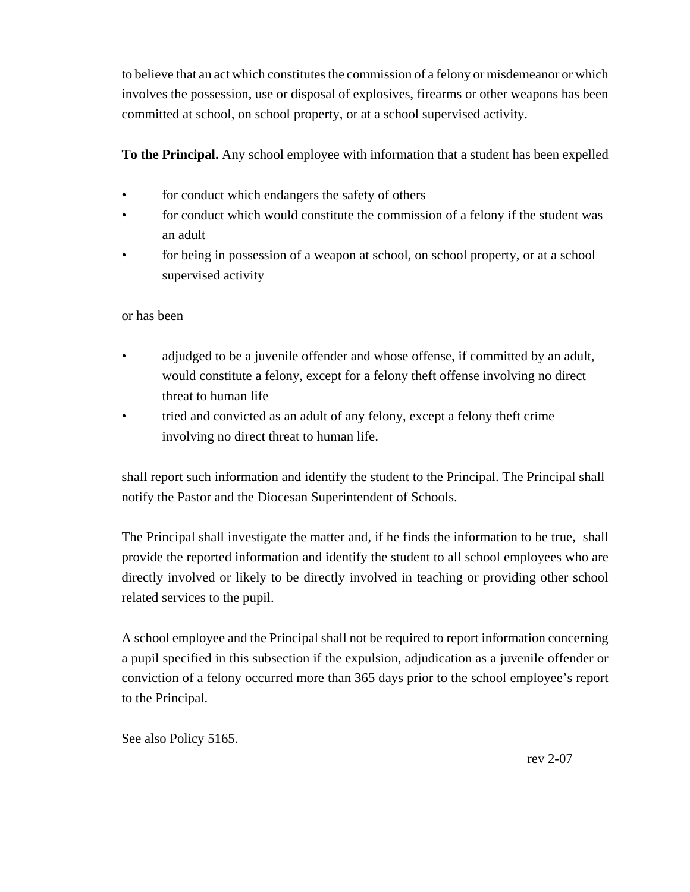to believe that an act which constitutes the commission of a felony or misdemeanor or which involves the possession, use or disposal of explosives, firearms or other weapons has been committed at school, on school property, or at a school supervised activity.

**To the Principal.** Any school employee with information that a student has been expelled

- for conduct which endangers the safety of others
- for conduct which would constitute the commission of a felony if the student was an adult
- for being in possession of a weapon at school, on school property, or at a school supervised activity

or has been

- adjudged to be a juvenile offender and whose offense, if committed by an adult, would constitute a felony, except for a felony theft offense involving no direct threat to human life
- tried and convicted as an adult of any felony, except a felony theft crime involving no direct threat to human life.

shall report such information and identify the student to the Principal. The Principal shall notify the Pastor and the Diocesan Superintendent of Schools.

The Principal shall investigate the matter and, if he finds the information to be true, shall provide the reported information and identify the student to all school employees who are directly involved or likely to be directly involved in teaching or providing other school related services to the pupil.

A school employee and the Principal shall not be required to report information concerning a pupil specified in this subsection if the expulsion, adjudication as a juvenile offender or conviction of a felony occurred more than 365 days prior to the school employee's report to the Principal.

See also Policy 5165.

rev 2-07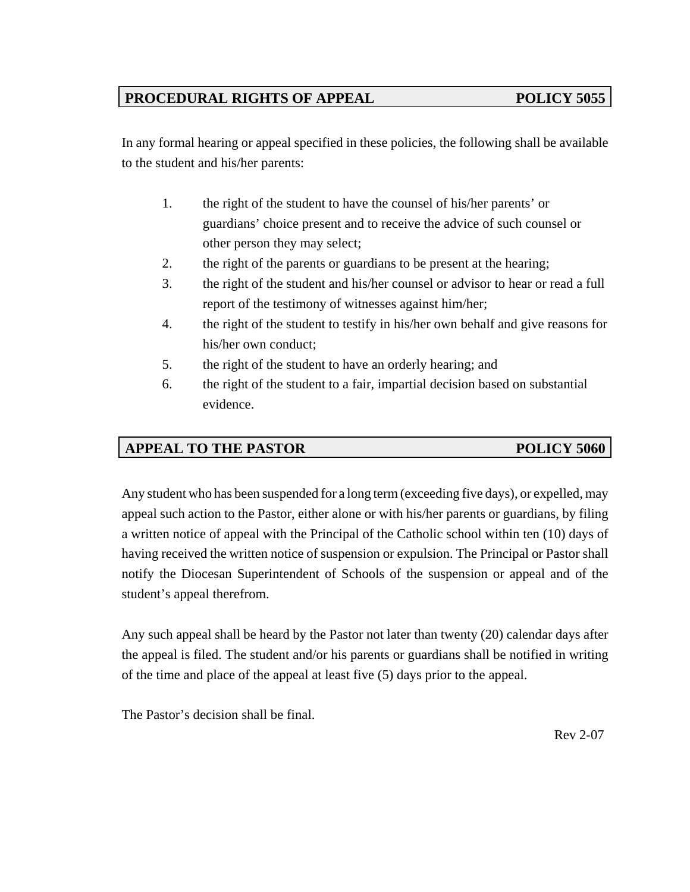# PROCEDURAL RIGHTS OF APPEAL **POLICY 5055**

In any formal hearing or appeal specified in these policies, the following shall be available to the student and his/her parents:

- 1. the right of the student to have the counsel of his/her parents' or guardians' choice present and to receive the advice of such counsel or other person they may select;
- 2. the right of the parents or guardians to be present at the hearing;
- 3. the right of the student and his/her counsel or advisor to hear or read a full report of the testimony of witnesses against him/her;
- 4. the right of the student to testify in his/her own behalf and give reasons for his/her own conduct;
- 5. the right of the student to have an orderly hearing; and
- 6. the right of the student to a fair, impartial decision based on substantial evidence.

# **APPEAL TO THE PASTOR POLICY 5060**

Any student who has been suspended for a long term (exceeding five days), or expelled, may appeal such action to the Pastor, either alone or with his/her parents or guardians, by filing a written notice of appeal with the Principal of the Catholic school within ten (10) days of having received the written notice of suspension or expulsion. The Principal or Pastor shall notify the Diocesan Superintendent of Schools of the suspension or appeal and of the student's appeal therefrom.

Any such appeal shall be heard by the Pastor not later than twenty (20) calendar days after the appeal is filed. The student and/or his parents or guardians shall be notified in writing of the time and place of the appeal at least five (5) days prior to the appeal.

The Pastor's decision shall be final.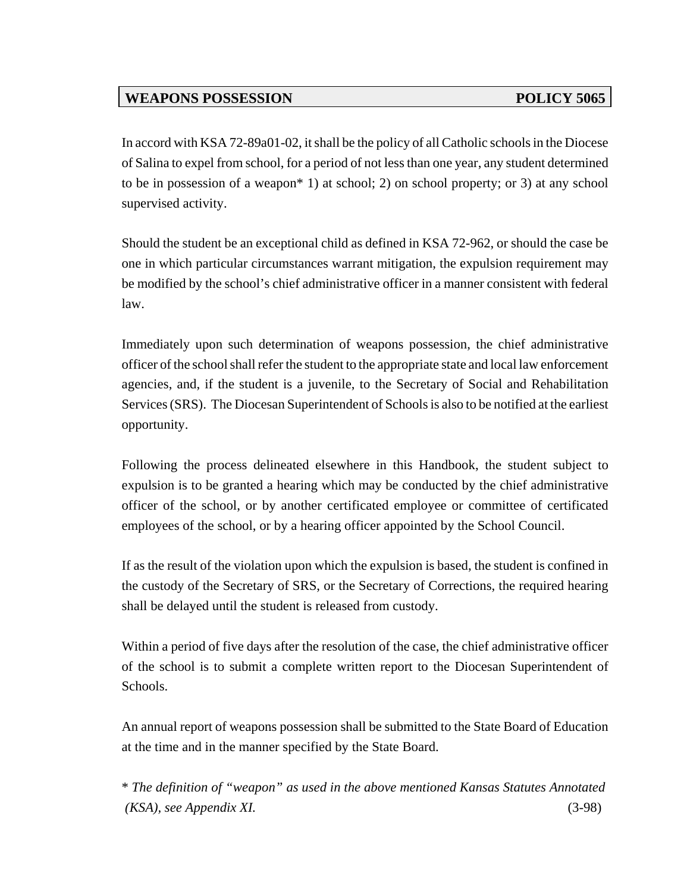# WEAPONS POSSESSION POLICY 5065

In accord with KSA 72-89a01-02, it shall be the policy of all Catholic schools in the Diocese of Salina to expel from school, for a period of not less than one year, any student determined to be in possession of a weapon\* 1) at school; 2) on school property; or 3) at any school supervised activity.

Should the student be an exceptional child as defined in KSA 72-962, or should the case be one in which particular circumstances warrant mitigation, the expulsion requirement may be modified by the school's chief administrative officer in a manner consistent with federal law.

Immediately upon such determination of weapons possession, the chief administrative officer of the school shall refer the student to the appropriate state and local law enforcement agencies, and, if the student is a juvenile, to the Secretary of Social and Rehabilitation Services (SRS). The Diocesan Superintendent of Schools is also to be notified at the earliest opportunity.

Following the process delineated elsewhere in this Handbook, the student subject to expulsion is to be granted a hearing which may be conducted by the chief administrative officer of the school, or by another certificated employee or committee of certificated employees of the school, or by a hearing officer appointed by the School Council.

If as the result of the violation upon which the expulsion is based, the student is confined in the custody of the Secretary of SRS, or the Secretary of Corrections, the required hearing shall be delayed until the student is released from custody.

Within a period of five days after the resolution of the case, the chief administrative officer of the school is to submit a complete written report to the Diocesan Superintendent of Schools.

An annual report of weapons possession shall be submitted to the State Board of Education at the time and in the manner specified by the State Board.

\* *The definition of "weapon" as used in the above mentioned Kansas Statutes Annotated (KSA), see Appendix XI.* (3-98)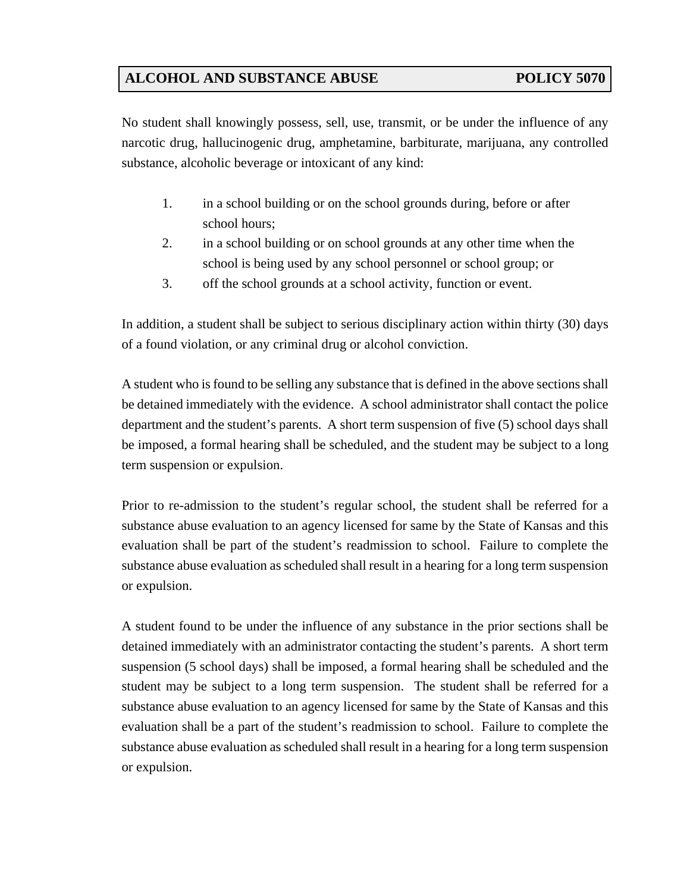# **ALCOHOL AND SUBSTANCE ABUSE POLICY 5070**

No student shall knowingly possess, sell, use, transmit, or be under the influence of any narcotic drug, hallucinogenic drug, amphetamine, barbiturate, marijuana, any controlled substance, alcoholic beverage or intoxicant of any kind:

- 1. in a school building or on the school grounds during, before or after school hours;
- 2. in a school building or on school grounds at any other time when the school is being used by any school personnel or school group; or
- 3. off the school grounds at a school activity, function or event.

In addition, a student shall be subject to serious disciplinary action within thirty (30) days of a found violation, or any criminal drug or alcohol conviction.

A student who is found to be selling any substance that is defined in the above sections shall be detained immediately with the evidence. A school administrator shall contact the police department and the student's parents. A short term suspension of five (5) school days shall be imposed, a formal hearing shall be scheduled, and the student may be subject to a long term suspension or expulsion.

Prior to re-admission to the student's regular school, the student shall be referred for a substance abuse evaluation to an agency licensed for same by the State of Kansas and this evaluation shall be part of the student's readmission to school. Failure to complete the substance abuse evaluation as scheduled shall result in a hearing for a long term suspension or expulsion.

A student found to be under the influence of any substance in the prior sections shall be detained immediately with an administrator contacting the student's parents. A short term suspension (5 school days) shall be imposed, a formal hearing shall be scheduled and the student may be subject to a long term suspension. The student shall be referred for a substance abuse evaluation to an agency licensed for same by the State of Kansas and this evaluation shall be a part of the student's readmission to school. Failure to complete the substance abuse evaluation as scheduled shall result in a hearing for a long term suspension or expulsion.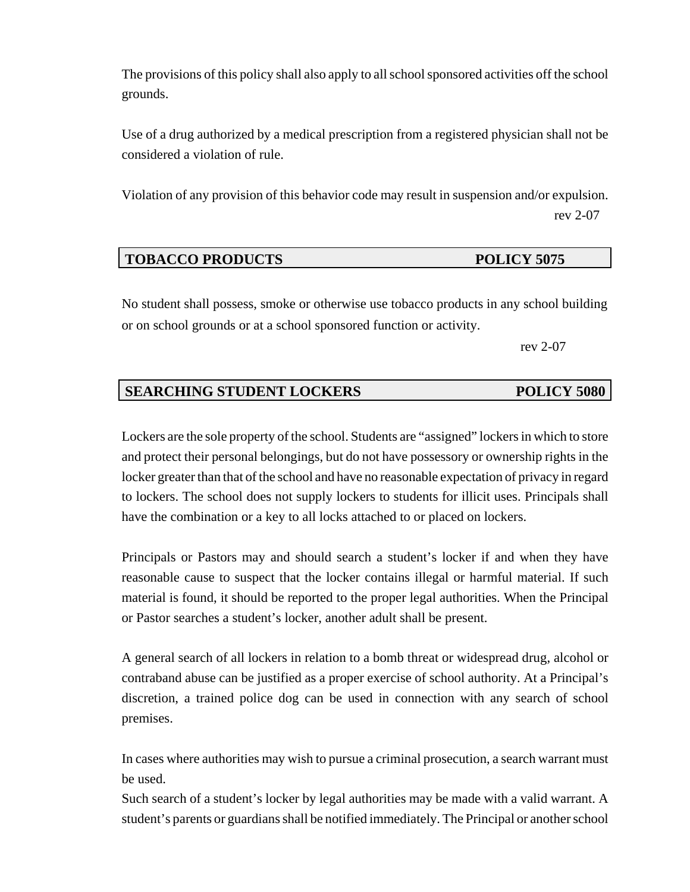The provisions of this policy shall also apply to all school sponsored activities off the school grounds.

Use of a drug authorized by a medical prescription from a registered physician shall not be considered a violation of rule.

Violation of any provision of this behavior code may result in suspension and/or expulsion. rev 2-07

## **TOBACCO PRODUCTS** POLICY 5075

No student shall possess, smoke or otherwise use tobacco products in any school building or on school grounds or at a school sponsored function or activity.

rev 2-07

# **SEARCHING STUDENT LOCKERS POLICY 5080**

Lockers are the sole property of the school. Students are "assigned" lockers in which to store and protect their personal belongings, but do not have possessory or ownership rights in the locker greater than that of the school and have no reasonable expectation of privacy in regard to lockers. The school does not supply lockers to students for illicit uses. Principals shall have the combination or a key to all locks attached to or placed on lockers.

Principals or Pastors may and should search a student's locker if and when they have reasonable cause to suspect that the locker contains illegal or harmful material. If such material is found, it should be reported to the proper legal authorities. When the Principal or Pastor searches a student's locker, another adult shall be present.

A general search of all lockers in relation to a bomb threat or widespread drug, alcohol or contraband abuse can be justified as a proper exercise of school authority. At a Principal's discretion, a trained police dog can be used in connection with any search of school premises.

In cases where authorities may wish to pursue a criminal prosecution, a search warrant must be used.

Such search of a student's locker by legal authorities may be made with a valid warrant. A student's parents or guardians shall be notified immediately. The Principal or another school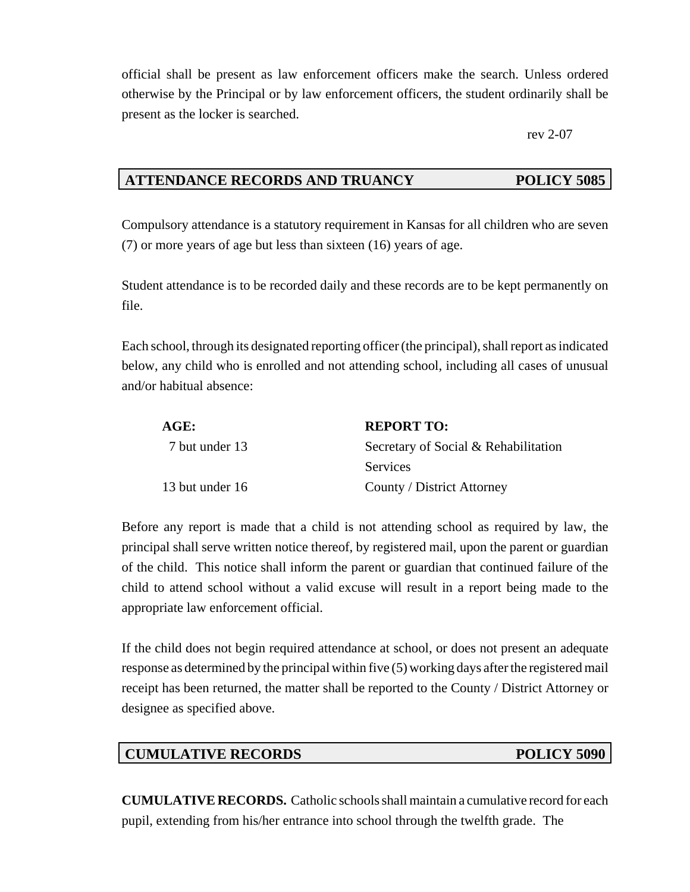official shall be present as law enforcement officers make the search. Unless ordered otherwise by the Principal or by law enforcement officers, the student ordinarily shall be present as the locker is searched.

rev 2-07

## **ATTENDANCE RECORDS AND TRUANCY POLICY 5085**

Compulsory attendance is a statutory requirement in Kansas for all children who are seven (7) or more years of age but less than sixteen (16) years of age.

Student attendance is to be recorded daily and these records are to be kept permanently on file.

Each school, through its designated reporting officer (the principal), shall report as indicated below, any child who is enrolled and not attending school, including all cases of unusual and/or habitual absence:

| AGE:            | <b>REPORT TO:</b>                    |
|-----------------|--------------------------------------|
| 7 but under 13  | Secretary of Social & Rehabilitation |
|                 | Services                             |
| 13 but under 16 | County / District Attorney           |

Before any report is made that a child is not attending school as required by law, the principal shall serve written notice thereof, by registered mail, upon the parent or guardian of the child. This notice shall inform the parent or guardian that continued failure of the child to attend school without a valid excuse will result in a report being made to the appropriate law enforcement official.

If the child does not begin required attendance at school, or does not present an adequate response as determined by the principal within five (5) working days after the registered mail receipt has been returned, the matter shall be reported to the County / District Attorney or designee as specified above.

### **CUMULATIVE RECORDS** POLICY 5090

**CUMULATIVE RECORDS.** Catholic schools shall maintain a cumulative record for each pupil, extending from his/her entrance into school through the twelfth grade. The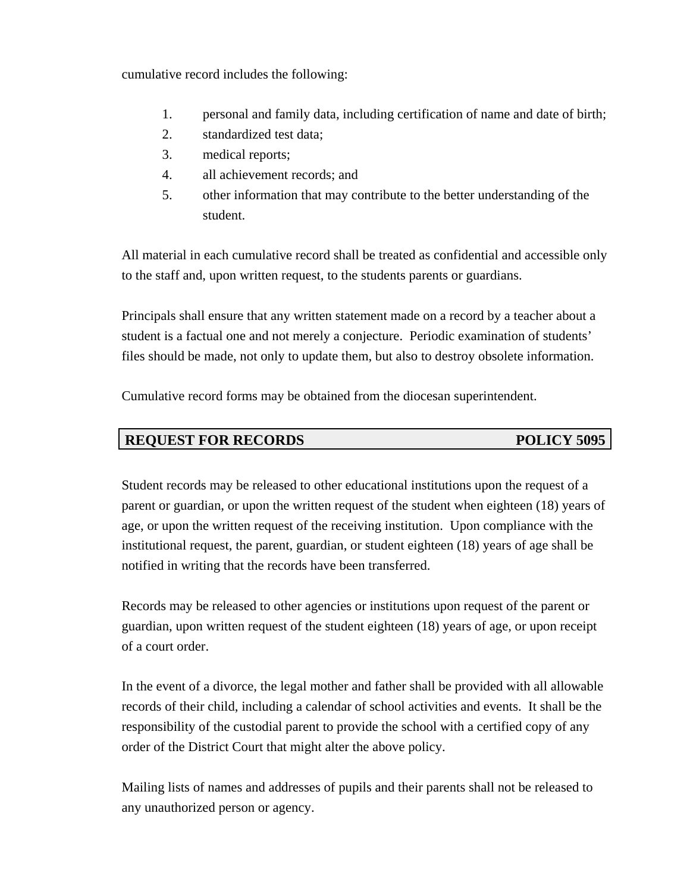cumulative record includes the following:

- 1. personal and family data, including certification of name and date of birth;
- 2. standardized test data;
- 3. medical reports;
- 4. all achievement records; and
- 5. other information that may contribute to the better understanding of the student.

All material in each cumulative record shall be treated as confidential and accessible only to the staff and, upon written request, to the students parents or guardians.

Principals shall ensure that any written statement made on a record by a teacher about a student is a factual one and not merely a conjecture. Periodic examination of students' files should be made, not only to update them, but also to destroy obsolete information.

Cumulative record forms may be obtained from the diocesan superintendent.

# **REQUEST FOR RECORDS** POLICY 5095

Student records may be released to other educational institutions upon the request of a parent or guardian, or upon the written request of the student when eighteen (18) years of age, or upon the written request of the receiving institution. Upon compliance with the institutional request, the parent, guardian, or student eighteen (18) years of age shall be notified in writing that the records have been transferred.

Records may be released to other agencies or institutions upon request of the parent or guardian, upon written request of the student eighteen (18) years of age, or upon receipt of a court order.

In the event of a divorce, the legal mother and father shall be provided with all allowable records of their child, including a calendar of school activities and events. It shall be the responsibility of the custodial parent to provide the school with a certified copy of any order of the District Court that might alter the above policy.

Mailing lists of names and addresses of pupils and their parents shall not be released to any unauthorized person or agency.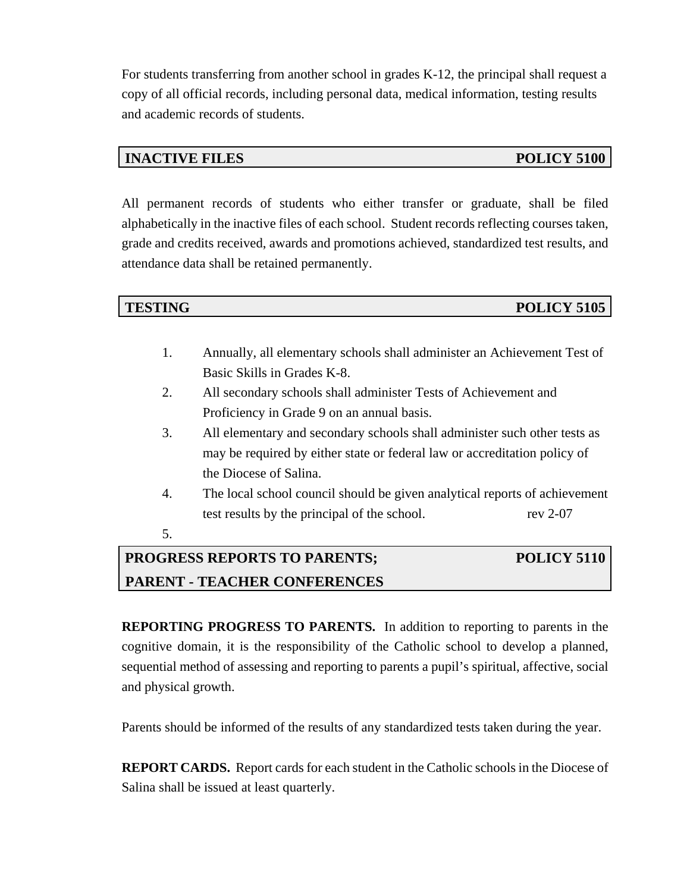For students transferring from another school in grades K-12, the principal shall request a copy of all official records, including personal data, medical information, testing results and academic records of students.

## **INACTIVE FILES** POLICY 5100

All permanent records of students who either transfer or graduate, shall be filed alphabetically in the inactive files of each school. Student records reflecting courses taken, grade and credits received, awards and promotions achieved, standardized test results, and attendance data shall be retained permanently.

**TESTING POLICY 5105** 

- 1. Annually, all elementary schools shall administer an Achievement Test of Basic Skills in Grades K-8.
- 2. All secondary schools shall administer Tests of Achievement and Proficiency in Grade 9 on an annual basis.
- 3. All elementary and secondary schools shall administer such other tests as may be required by either state or federal law or accreditation policy of the Diocese of Salina.
- 4. The local school council should be given analytical reports of achievement test results by the principal of the school. rev 2-07
- 5.

# **PROGRESS REPORTS TO PARENTS; POLICY 5110 PARENT - TEACHER CONFERENCES**

**REPORTING PROGRESS TO PARENTS.** In addition to reporting to parents in the cognitive domain, it is the responsibility of the Catholic school to develop a planned, sequential method of assessing and reporting to parents a pupil's spiritual, affective, social and physical growth.

Parents should be informed of the results of any standardized tests taken during the year.

**REPORT CARDS.** Report cards for each student in the Catholic schools in the Diocese of Salina shall be issued at least quarterly.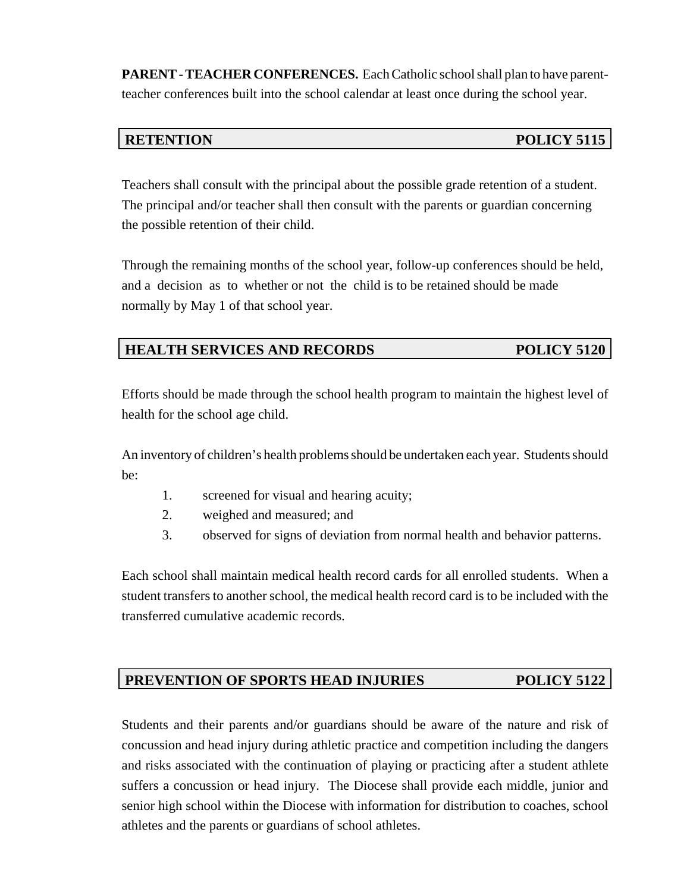**PARENT - TEACHER CONFERENCES.** Each Catholic school shall plan to have parentteacher conferences built into the school calendar at least once during the school year.

# **RETENTION POLICY 5115**

Teachers shall consult with the principal about the possible grade retention of a student. The principal and/or teacher shall then consult with the parents or guardian concerning the possible retention of their child.

Through the remaining months of the school year, follow-up conferences should be held, and a decision as to whether or not the child is to be retained should be made normally by May 1 of that school year.

# **HEALTH SERVICES AND RECORDS POLICY 5120**

Efforts should be made through the school health program to maintain the highest level of health for the school age child.

An inventory of children's health problems should be undertaken each year. Students should be:

- 1. screened for visual and hearing acuity;
- 2. weighed and measured; and
- 3. observed for signs of deviation from normal health and behavior patterns.

Each school shall maintain medical health record cards for all enrolled students. When a student transfers to another school, the medical health record card is to be included with the transferred cumulative academic records.

# PREVENTION OF SPORTS HEAD INJURIES POLICY 5122

Students and their parents and/or guardians should be aware of the nature and risk of concussion and head injury during athletic practice and competition including the dangers and risks associated with the continuation of playing or practicing after a student athlete suffers a concussion or head injury. The Diocese shall provide each middle, junior and senior high school within the Diocese with information for distribution to coaches, school athletes and the parents or guardians of school athletes.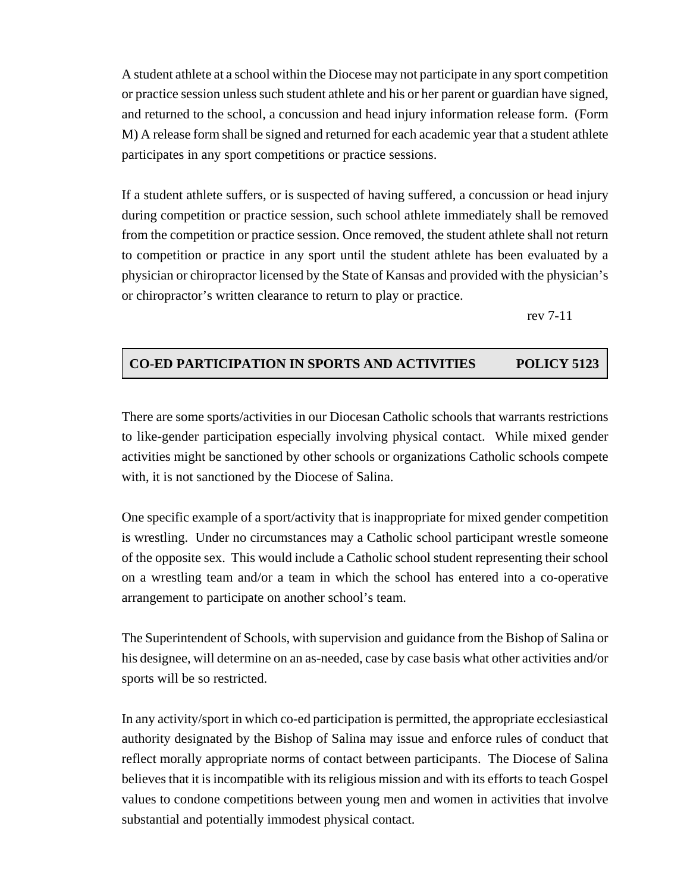A student athlete at a school within the Diocese may not participate in any sport competition or practice session unless such student athlete and his or her parent or guardian have signed, and returned to the school, a concussion and head injury information release form. (Form M) A release form shall be signed and returned for each academic year that a student athlete participates in any sport competitions or practice sessions.

If a student athlete suffers, or is suspected of having suffered, a concussion or head injury during competition or practice session, such school athlete immediately shall be removed from the competition or practice session. Once removed, the student athlete shall not return to competition or practice in any sport until the student athlete has been evaluated by a physician or chiropractor licensed by the State of Kansas and provided with the physician's or chiropractor's written clearance to return to play or practice.

rev 7-11

### **CO-ED PARTICIPATION IN SPORTS AND ACTIVITIES POLICY 5123**

There are some sports/activities in our Diocesan Catholic schools that warrants restrictions to like-gender participation especially involving physical contact. While mixed gender activities might be sanctioned by other schools or organizations Catholic schools compete with, it is not sanctioned by the Diocese of Salina.

One specific example of a sport/activity that is inappropriate for mixed gender competition is wrestling. Under no circumstances may a Catholic school participant wrestle someone of the opposite sex. This would include a Catholic school student representing their school on a wrestling team and/or a team in which the school has entered into a co-operative arrangement to participate on another school's team.

The Superintendent of Schools, with supervision and guidance from the Bishop of Salina or his designee, will determine on an as-needed, case by case basis what other activities and/or sports will be so restricted.

In any activity/sport in which co-ed participation is permitted, the appropriate ecclesiastical authority designated by the Bishop of Salina may issue and enforce rules of conduct that reflect morally appropriate norms of contact between participants. The Diocese of Salina believes that it is incompatible with its religious mission and with its efforts to teach Gospel values to condone competitions between young men and women in activities that involve substantial and potentially immodest physical contact.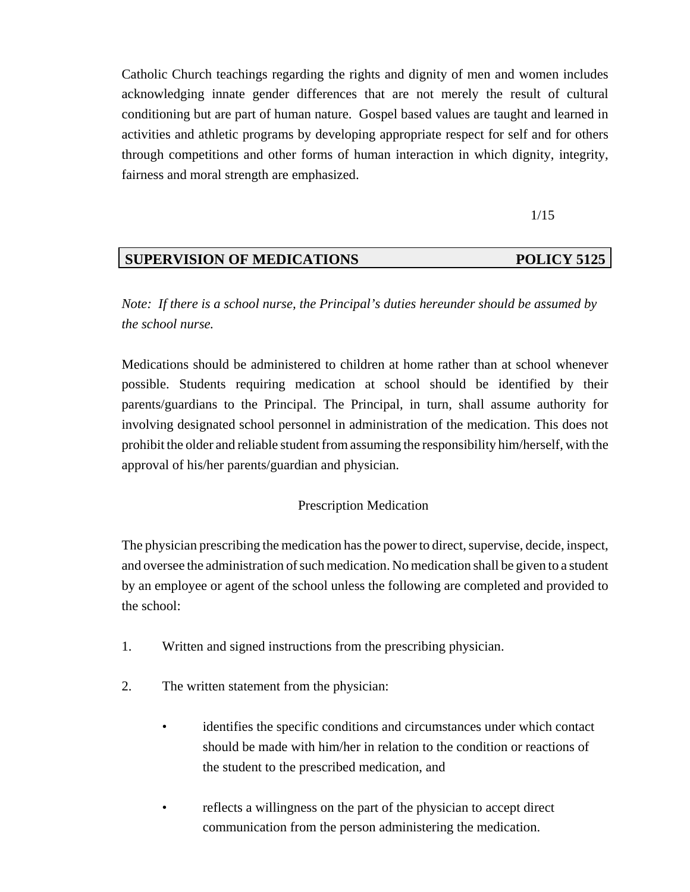Catholic Church teachings regarding the rights and dignity of men and women includes acknowledging innate gender differences that are not merely the result of cultural conditioning but are part of human nature. Gospel based values are taught and learned in activities and athletic programs by developing appropriate respect for self and for others through competitions and other forms of human interaction in which dignity, integrity, fairness and moral strength are emphasized.

1/15

### **SUPERVISION OF MEDICATIONS POLICY 5125**

*Note: If there is a school nurse, the Principal's duties hereunder should be assumed by the school nurse.* 

Medications should be administered to children at home rather than at school whenever possible. Students requiring medication at school should be identified by their parents/guardians to the Principal. The Principal, in turn, shall assume authority for involving designated school personnel in administration of the medication. This does not prohibit the older and reliable student from assuming the responsibility him/herself, with the approval of his/her parents/guardian and physician.

### Prescription Medication

The physician prescribing the medication has the power to direct, supervise, decide, inspect, and oversee the administration of such medication. No medication shall be given to a student by an employee or agent of the school unless the following are completed and provided to the school:

- 1. Written and signed instructions from the prescribing physician.
- 2. The written statement from the physician:
	- identifies the specific conditions and circumstances under which contact should be made with him/her in relation to the condition or reactions of the student to the prescribed medication, and
	- reflects a willingness on the part of the physician to accept direct communication from the person administering the medication.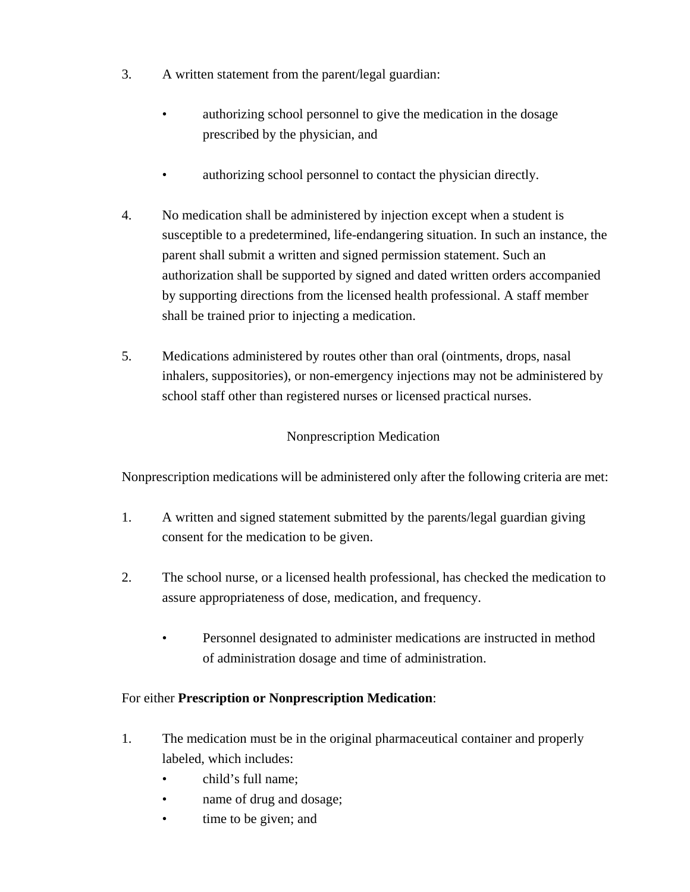- 3. A written statement from the parent/legal guardian:
	- authorizing school personnel to give the medication in the dosage prescribed by the physician, and
	- authorizing school personnel to contact the physician directly.
- 4. No medication shall be administered by injection except when a student is susceptible to a predetermined, life-endangering situation. In such an instance, the parent shall submit a written and signed permission statement. Such an authorization shall be supported by signed and dated written orders accompanied by supporting directions from the licensed health professional. A staff member shall be trained prior to injecting a medication.
- 5. Medications administered by routes other than oral (ointments, drops, nasal inhalers, suppositories), or non-emergency injections may not be administered by school staff other than registered nurses or licensed practical nurses.

# Nonprescription Medication

Nonprescription medications will be administered only after the following criteria are met:

- 1. A written and signed statement submitted by the parents/legal guardian giving consent for the medication to be given.
- 2. The school nurse, or a licensed health professional, has checked the medication to assure appropriateness of dose, medication, and frequency.
	- Personnel designated to administer medications are instructed in method of administration dosage and time of administration.

### For either **Prescription or Nonprescription Medication**:

- 1. The medication must be in the original pharmaceutical container and properly labeled, which includes:
	- child's full name;
	- name of drug and dosage;
	- time to be given; and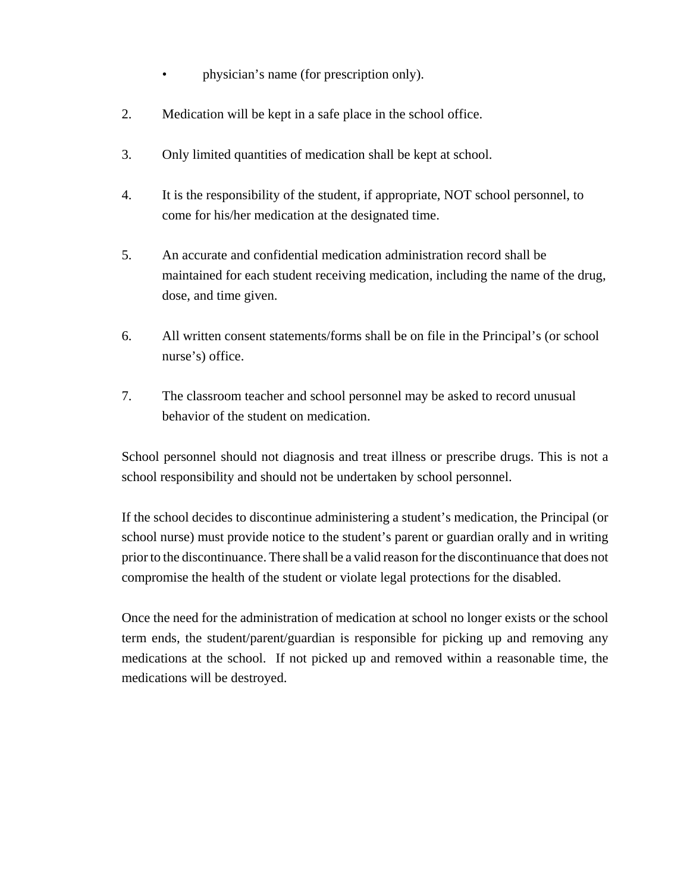- physician's name (for prescription only).
- 2. Medication will be kept in a safe place in the school office.
- 3. Only limited quantities of medication shall be kept at school.
- 4. It is the responsibility of the student, if appropriate, NOT school personnel, to come for his/her medication at the designated time.
- 5. An accurate and confidential medication administration record shall be maintained for each student receiving medication, including the name of the drug, dose, and time given.
- 6. All written consent statements/forms shall be on file in the Principal's (or school nurse's) office.
- 7. The classroom teacher and school personnel may be asked to record unusual behavior of the student on medication.

School personnel should not diagnosis and treat illness or prescribe drugs. This is not a school responsibility and should not be undertaken by school personnel.

If the school decides to discontinue administering a student's medication, the Principal (or school nurse) must provide notice to the student's parent or guardian orally and in writing prior to the discontinuance. There shall be a valid reason for the discontinuance that does not compromise the health of the student or violate legal protections for the disabled.

Once the need for the administration of medication at school no longer exists or the school term ends, the student/parent/guardian is responsible for picking up and removing any medications at the school. If not picked up and removed within a reasonable time, the medications will be destroyed.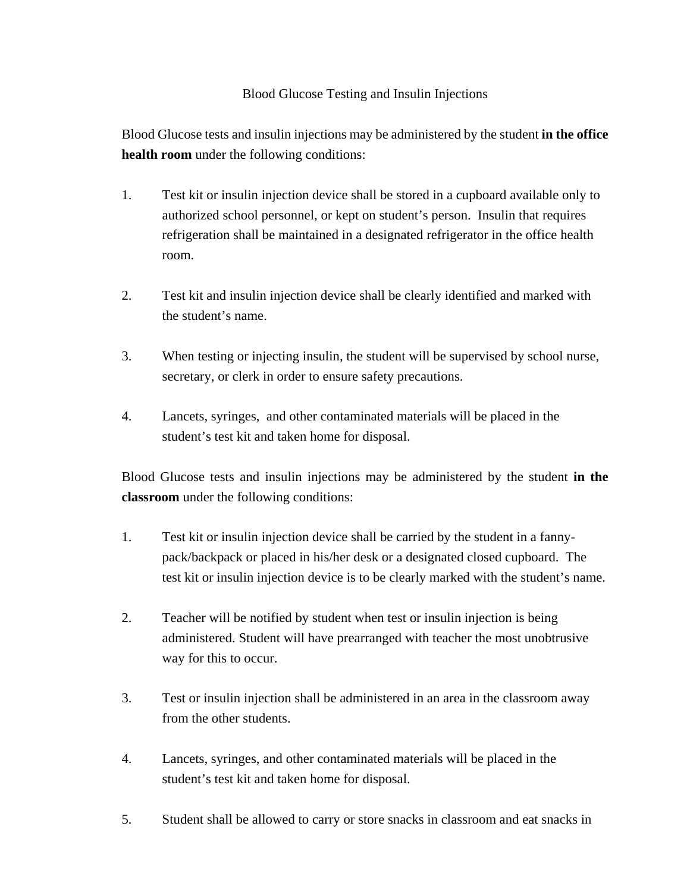### Blood Glucose Testing and Insulin Injections

Blood Glucose tests and insulin injections may be administered by the student **in the office health room** under the following conditions:

- 1. Test kit or insulin injection device shall be stored in a cupboard available only to authorized school personnel, or kept on student's person. Insulin that requires refrigeration shall be maintained in a designated refrigerator in the office health room.
- 2. Test kit and insulin injection device shall be clearly identified and marked with the student's name.
- 3. When testing or injecting insulin, the student will be supervised by school nurse, secretary, or clerk in order to ensure safety precautions.
- 4. Lancets, syringes, and other contaminated materials will be placed in the student's test kit and taken home for disposal.

Blood Glucose tests and insulin injections may be administered by the student **in the classroom** under the following conditions:

- 1. Test kit or insulin injection device shall be carried by the student in a fannypack/backpack or placed in his/her desk or a designated closed cupboard. The test kit or insulin injection device is to be clearly marked with the student's name.
- 2. Teacher will be notified by student when test or insulin injection is being administered. Student will have prearranged with teacher the most unobtrusive way for this to occur.
- 3. Test or insulin injection shall be administered in an area in the classroom away from the other students.
- 4. Lancets, syringes, and other contaminated materials will be placed in the student's test kit and taken home for disposal.
- 5. Student shall be allowed to carry or store snacks in classroom and eat snacks in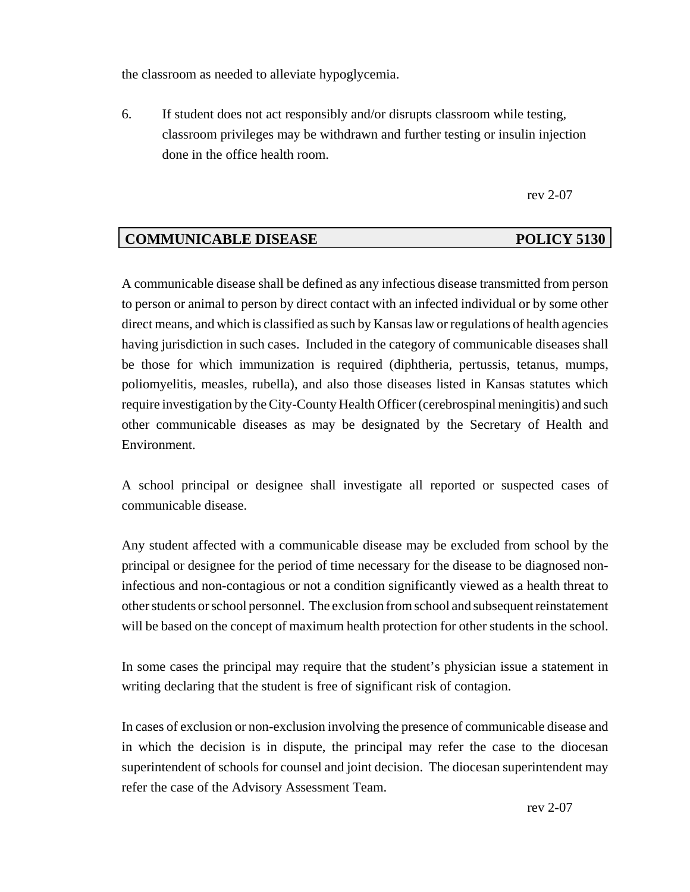the classroom as needed to alleviate hypoglycemia.

6. If student does not act responsibly and/or disrupts classroom while testing, classroom privileges may be withdrawn and further testing or insulin injection done in the office health room.

rev 2-07

# **COMMUNICABLE DISEASE POLICY 5130**

A communicable disease shall be defined as any infectious disease transmitted from person to person or animal to person by direct contact with an infected individual or by some other direct means, and which is classified as such by Kansas law or regulations of health agencies having jurisdiction in such cases. Included in the category of communicable diseases shall be those for which immunization is required (diphtheria, pertussis, tetanus, mumps, poliomyelitis, measles, rubella), and also those diseases listed in Kansas statutes which require investigation by the City-County Health Officer (cerebrospinal meningitis) and such other communicable diseases as may be designated by the Secretary of Health and Environment.

A school principal or designee shall investigate all reported or suspected cases of communicable disease.

Any student affected with a communicable disease may be excluded from school by the principal or designee for the period of time necessary for the disease to be diagnosed noninfectious and non-contagious or not a condition significantly viewed as a health threat to other students or school personnel. The exclusion from school and subsequent reinstatement will be based on the concept of maximum health protection for other students in the school.

In some cases the principal may require that the student's physician issue a statement in writing declaring that the student is free of significant risk of contagion.

In cases of exclusion or non-exclusion involving the presence of communicable disease and in which the decision is in dispute, the principal may refer the case to the diocesan superintendent of schools for counsel and joint decision. The diocesan superintendent may refer the case of the Advisory Assessment Team.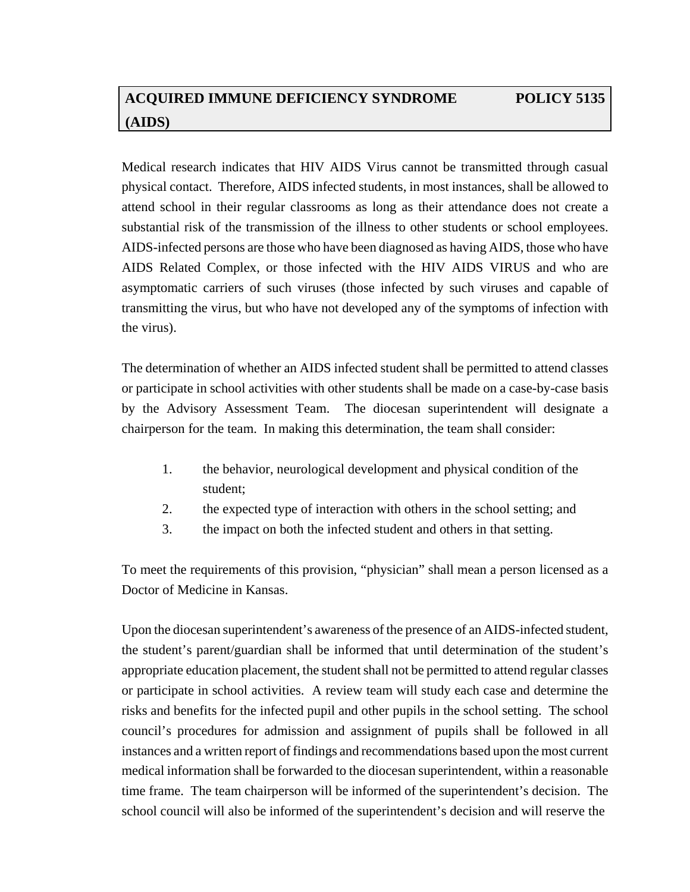# **ACQUIRED IMMUNE DEFICIENCY SYNDROME POLICY 5135 (AIDS)**

Medical research indicates that HIV AIDS Virus cannot be transmitted through casual physical contact. Therefore, AIDS infected students, in most instances, shall be allowed to attend school in their regular classrooms as long as their attendance does not create a substantial risk of the transmission of the illness to other students or school employees. AIDS-infected persons are those who have been diagnosed as having AIDS, those who have AIDS Related Complex, or those infected with the HIV AIDS VIRUS and who are asymptomatic carriers of such viruses (those infected by such viruses and capable of transmitting the virus, but who have not developed any of the symptoms of infection with the virus).

The determination of whether an AIDS infected student shall be permitted to attend classes or participate in school activities with other students shall be made on a case-by-case basis by the Advisory Assessment Team. The diocesan superintendent will designate a chairperson for the team. In making this determination, the team shall consider:

- 1. the behavior, neurological development and physical condition of the student;
- 2. the expected type of interaction with others in the school setting; and
- 3. the impact on both the infected student and others in that setting.

To meet the requirements of this provision, "physician" shall mean a person licensed as a Doctor of Medicine in Kansas.

Upon the diocesan superintendent's awareness of the presence of an AIDS-infected student, the student's parent/guardian shall be informed that until determination of the student's appropriate education placement, the student shall not be permitted to attend regular classes or participate in school activities. A review team will study each case and determine the risks and benefits for the infected pupil and other pupils in the school setting. The school council's procedures for admission and assignment of pupils shall be followed in all instances and a written report of findings and recommendations based upon the most current medical information shall be forwarded to the diocesan superintendent, within a reasonable time frame. The team chairperson will be informed of the superintendent's decision. The school council will also be informed of the superintendent's decision and will reserve the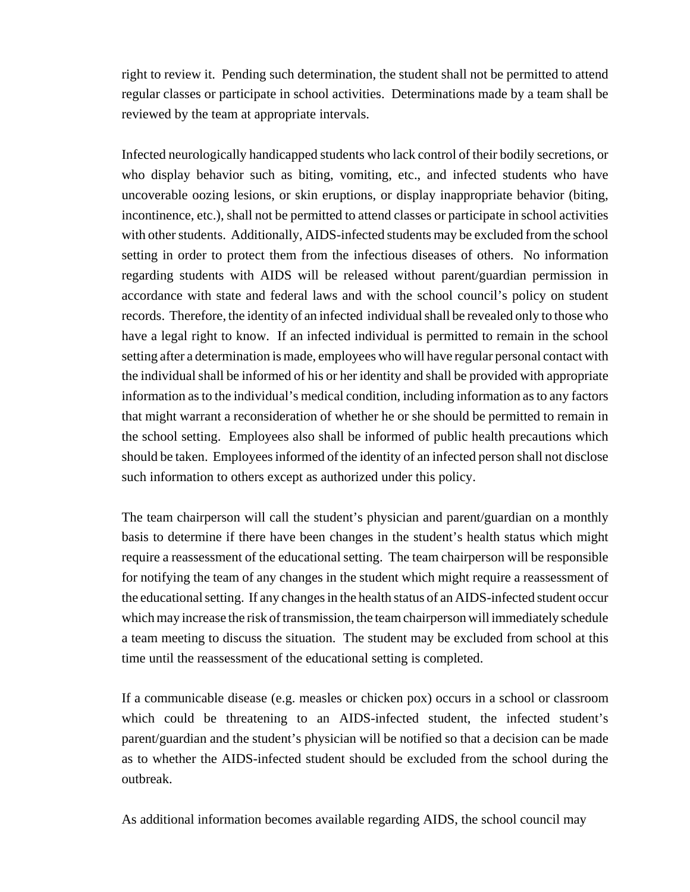right to review it. Pending such determination, the student shall not be permitted to attend regular classes or participate in school activities. Determinations made by a team shall be reviewed by the team at appropriate intervals.

Infected neurologically handicapped students who lack control of their bodily secretions, or who display behavior such as biting, vomiting, etc., and infected students who have uncoverable oozing lesions, or skin eruptions, or display inappropriate behavior (biting, incontinence, etc.), shall not be permitted to attend classes or participate in school activities with other students. Additionally, AIDS-infected students may be excluded from the school setting in order to protect them from the infectious diseases of others. No information regarding students with AIDS will be released without parent/guardian permission in accordance with state and federal laws and with the school council's policy on student records. Therefore, the identity of an infected individual shall be revealed only to those who have a legal right to know. If an infected individual is permitted to remain in the school setting after a determination is made, employees who will have regular personal contact with the individual shall be informed of his or her identity and shall be provided with appropriate information as to the individual's medical condition, including information as to any factors that might warrant a reconsideration of whether he or she should be permitted to remain in the school setting. Employees also shall be informed of public health precautions which should be taken. Employees informed of the identity of an infected person shall not disclose such information to others except as authorized under this policy.

The team chairperson will call the student's physician and parent/guardian on a monthly basis to determine if there have been changes in the student's health status which might require a reassessment of the educational setting. The team chairperson will be responsible for notifying the team of any changes in the student which might require a reassessment of the educational setting. If any changes in the health status of an AIDS-infected student occur which may increase the risk of transmission, the team chairperson will immediately schedule a team meeting to discuss the situation. The student may be excluded from school at this time until the reassessment of the educational setting is completed.

If a communicable disease (e.g. measles or chicken pox) occurs in a school or classroom which could be threatening to an AIDS-infected student, the infected student's parent/guardian and the student's physician will be notified so that a decision can be made as to whether the AIDS-infected student should be excluded from the school during the outbreak.

As additional information becomes available regarding AIDS, the school council may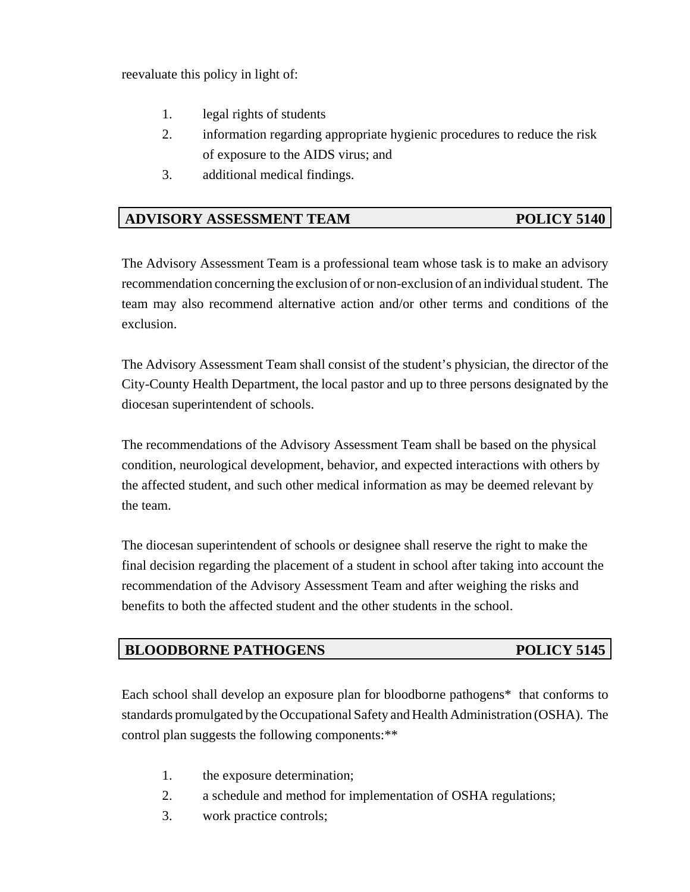reevaluate this policy in light of:

- 1. legal rights of students
- 2. information regarding appropriate hygienic procedures to reduce the risk of exposure to the AIDS virus; and
- 3. additional medical findings.

# **ADVISORY ASSESSMENT TEAM POLICY 5140**

The Advisory Assessment Team is a professional team whose task is to make an advisory recommendation concerning the exclusion of or non-exclusion of an individual student. The team may also recommend alternative action and/or other terms and conditions of the exclusion.

The Advisory Assessment Team shall consist of the student's physician, the director of the City-County Health Department, the local pastor and up to three persons designated by the diocesan superintendent of schools.

The recommendations of the Advisory Assessment Team shall be based on the physical condition, neurological development, behavior, and expected interactions with others by the affected student, and such other medical information as may be deemed relevant by the team.

The diocesan superintendent of schools or designee shall reserve the right to make the final decision regarding the placement of a student in school after taking into account the recommendation of the Advisory Assessment Team and after weighing the risks and benefits to both the affected student and the other students in the school.

# **BLOODBORNE PATHOGENS** POLICY 5145

Each school shall develop an exposure plan for bloodborne pathogens\* that conforms to standards promulgated by the Occupational Safety and Health Administration (OSHA). The control plan suggests the following components:\*\*

- 1. the exposure determination;
- 2. a schedule and method for implementation of OSHA regulations;
- 3. work practice controls;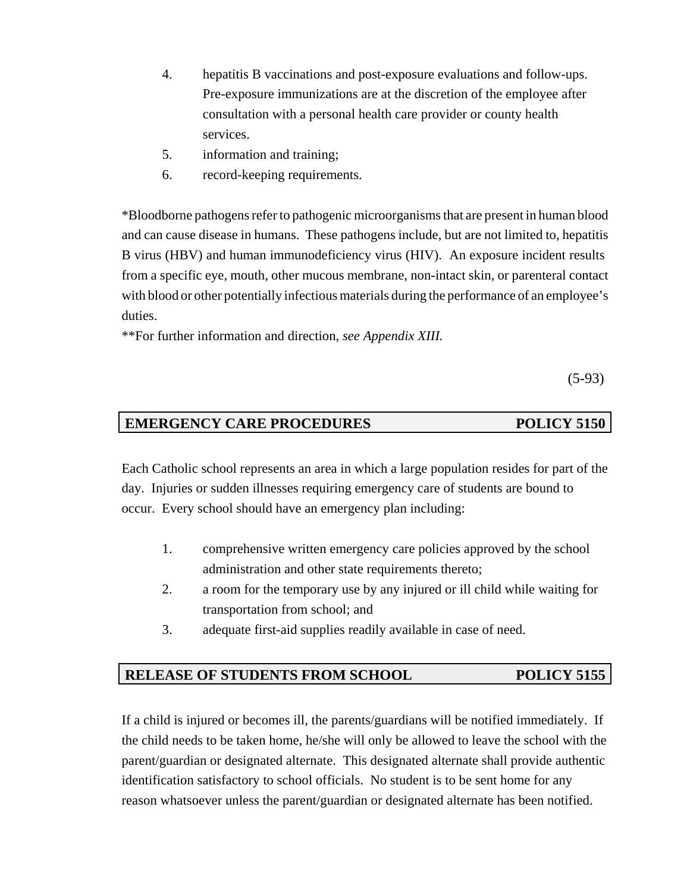- 4. hepatitis B vaccinations and post-exposure evaluations and follow-ups. Pre-exposure immunizations are at the discretion of the employee after consultation with a personal health care provider or county health services.
- 5. information and training;
- 6. record-keeping requirements.

\*Bloodborne pathogens refer to pathogenic microorganisms that are present in human blood and can cause disease in humans. These pathogens include, but are not limited to, hepatitis B virus (HBV) and human immunodeficiency virus (HIV). An exposure incident results from a specific eye, mouth, other mucous membrane, non-intact skin, or parenteral contact with blood or other potentially infectious materials during the performance of an employee's duties.

\*\*For further information and direction, *see Appendix XIII.*

(5-93)

# **EMERGENCY CARE PROCEDURES** POLICY 5150

Each Catholic school represents an area in which a large population resides for part of the day. Injuries or sudden illnesses requiring emergency care of students are bound to occur. Every school should have an emergency plan including:

- 1. comprehensive written emergency care policies approved by the school administration and other state requirements thereto;
- 2. a room for the temporary use by any injured or ill child while waiting for transportation from school; and
- 3. adequate first-aid supplies readily available in case of need.

# **RELEASE OF STUDENTS FROM SCHOOL POLICY 5155**

If a child is injured or becomes ill, the parents/guardians will be notified immediately. If the child needs to be taken home, he/she will only be allowed to leave the school with the parent/guardian or designated alternate. This designated alternate shall provide authentic identification satisfactory to school officials. No student is to be sent home for any reason whatsoever unless the parent/guardian or designated alternate has been notified.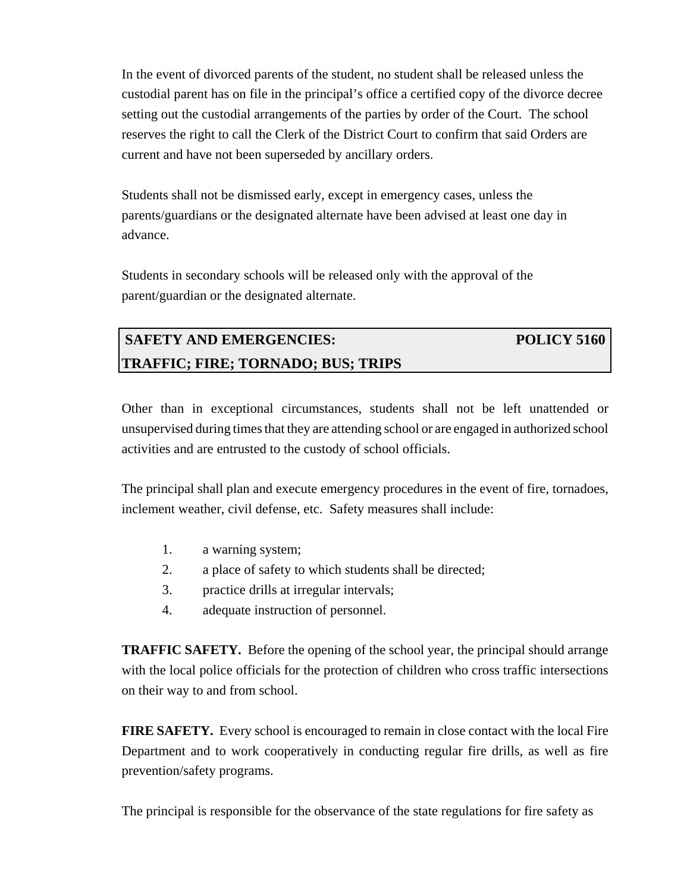In the event of divorced parents of the student, no student shall be released unless the custodial parent has on file in the principal's office a certified copy of the divorce decree setting out the custodial arrangements of the parties by order of the Court. The school reserves the right to call the Clerk of the District Court to confirm that said Orders are current and have not been superseded by ancillary orders.

Students shall not be dismissed early, except in emergency cases, unless the parents/guardians or the designated alternate have been advised at least one day in advance.

Students in secondary schools will be released only with the approval of the parent/guardian or the designated alternate.

# **SAFETY AND EMERGENCIES:** POLICY 5160 **TRAFFIC; FIRE; TORNADO; BUS; TRIPS**

Other than in exceptional circumstances, students shall not be left unattended or unsupervised during times that they are attending school or are engaged in authorized school activities and are entrusted to the custody of school officials.

The principal shall plan and execute emergency procedures in the event of fire, tornadoes, inclement weather, civil defense, etc. Safety measures shall include:

- 1. a warning system;
- 2. a place of safety to which students shall be directed;
- 3. practice drills at irregular intervals;
- 4. adequate instruction of personnel.

**TRAFFIC SAFETY.** Before the opening of the school year, the principal should arrange with the local police officials for the protection of children who cross traffic intersections on their way to and from school.

**FIRE SAFETY.** Every school is encouraged to remain in close contact with the local Fire Department and to work cooperatively in conducting regular fire drills, as well as fire prevention/safety programs.

The principal is responsible for the observance of the state regulations for fire safety as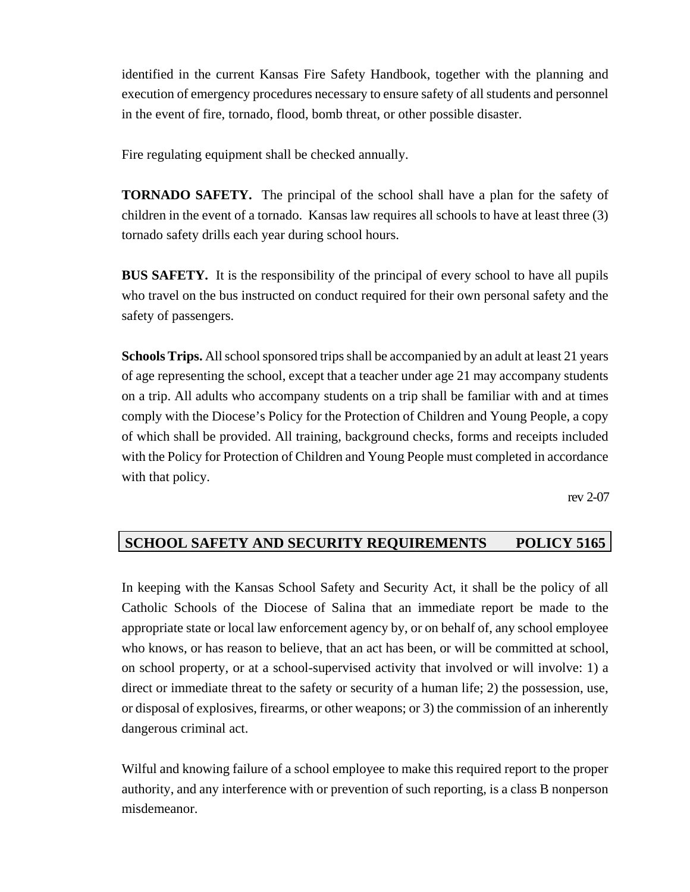identified in the current Kansas Fire Safety Handbook, together with the planning and execution of emergency procedures necessary to ensure safety of all students and personnel in the event of fire, tornado, flood, bomb threat, or other possible disaster.

Fire regulating equipment shall be checked annually.

**TORNADO SAFETY.** The principal of the school shall have a plan for the safety of children in the event of a tornado. Kansas law requires all schools to have at least three (3) tornado safety drills each year during school hours.

**BUS SAFETY.** It is the responsibility of the principal of every school to have all pupils who travel on the bus instructed on conduct required for their own personal safety and the safety of passengers.

**Schools Trips.** All school sponsored trips shall be accompanied by an adult at least 21 years of age representing the school, except that a teacher under age 21 may accompany students on a trip. All adults who accompany students on a trip shall be familiar with and at times comply with the Diocese's Policy for the Protection of Children and Young People, a copy of which shall be provided. All training, background checks, forms and receipts included with the Policy for Protection of Children and Young People must completed in accordance with that policy.

rev 2-07

# **SCHOOL SAFETY AND SECURITY REQUIREMENTS POLICY 5165**

In keeping with the Kansas School Safety and Security Act, it shall be the policy of all Catholic Schools of the Diocese of Salina that an immediate report be made to the appropriate state or local law enforcement agency by, or on behalf of, any school employee who knows, or has reason to believe, that an act has been, or will be committed at school, on school property, or at a school-supervised activity that involved or will involve: 1) a direct or immediate threat to the safety or security of a human life; 2) the possession, use, or disposal of explosives, firearms, or other weapons; or 3) the commission of an inherently dangerous criminal act.

Wilful and knowing failure of a school employee to make this required report to the proper authority, and any interference with or prevention of such reporting, is a class B nonperson misdemeanor.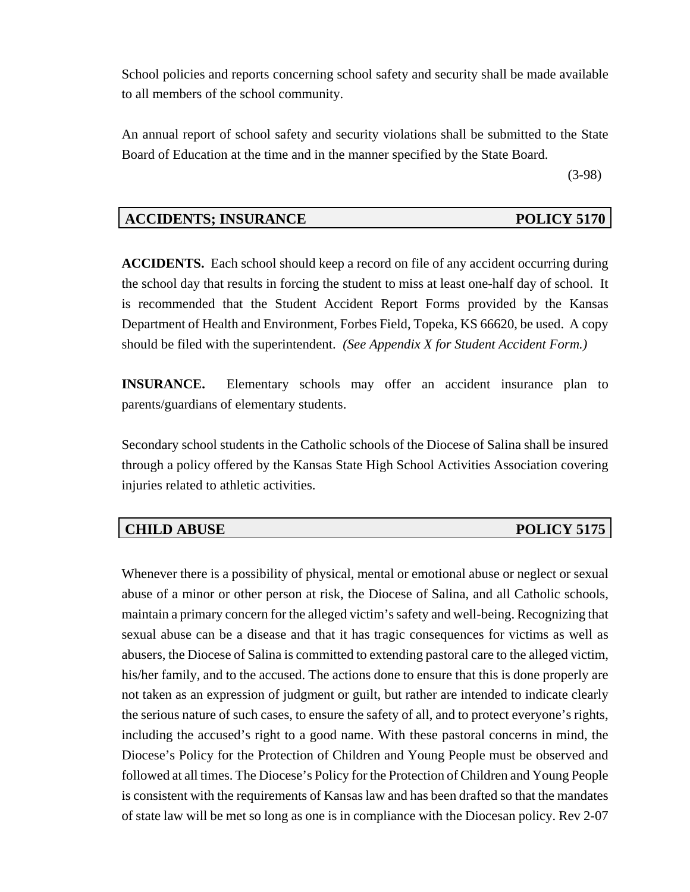School policies and reports concerning school safety and security shall be made available to all members of the school community.

An annual report of school safety and security violations shall be submitted to the State Board of Education at the time and in the manner specified by the State Board.

(3-98)

# **ACCIDENTS; INSURANCE POLICY 5170**

**ACCIDENTS.** Each school should keep a record on file of any accident occurring during the school day that results in forcing the student to miss at least one-half day of school. It is recommended that the Student Accident Report Forms provided by the Kansas Department of Health and Environment, Forbes Field, Topeka, KS 66620, be used. A copy should be filed with the superintendent. *(See Appendix X for Student Accident Form.)*

**INSURANCE.** Elementary schools may offer an accident insurance plan to parents/guardians of elementary students.

Secondary school students in the Catholic schools of the Diocese of Salina shall be insured through a policy offered by the Kansas State High School Activities Association covering injuries related to athletic activities.

## **CHILD ABUSE POLICY 5175**

Whenever there is a possibility of physical, mental or emotional abuse or neglect or sexual abuse of a minor or other person at risk, the Diocese of Salina, and all Catholic schools, maintain a primary concern for the alleged victim's safety and well-being. Recognizing that sexual abuse can be a disease and that it has tragic consequences for victims as well as abusers, the Diocese of Salina is committed to extending pastoral care to the alleged victim, his/her family, and to the accused. The actions done to ensure that this is done properly are not taken as an expression of judgment or guilt, but rather are intended to indicate clearly the serious nature of such cases, to ensure the safety of all, and to protect everyone's rights, including the accused's right to a good name. With these pastoral concerns in mind, the Diocese's Policy for the Protection of Children and Young People must be observed and followed at all times. The Diocese's Policy for the Protection of Children and Young People is consistent with the requirements of Kansas law and has been drafted so that the mandates of state law will be met so long as one is in compliance with the Diocesan policy. Rev 2-07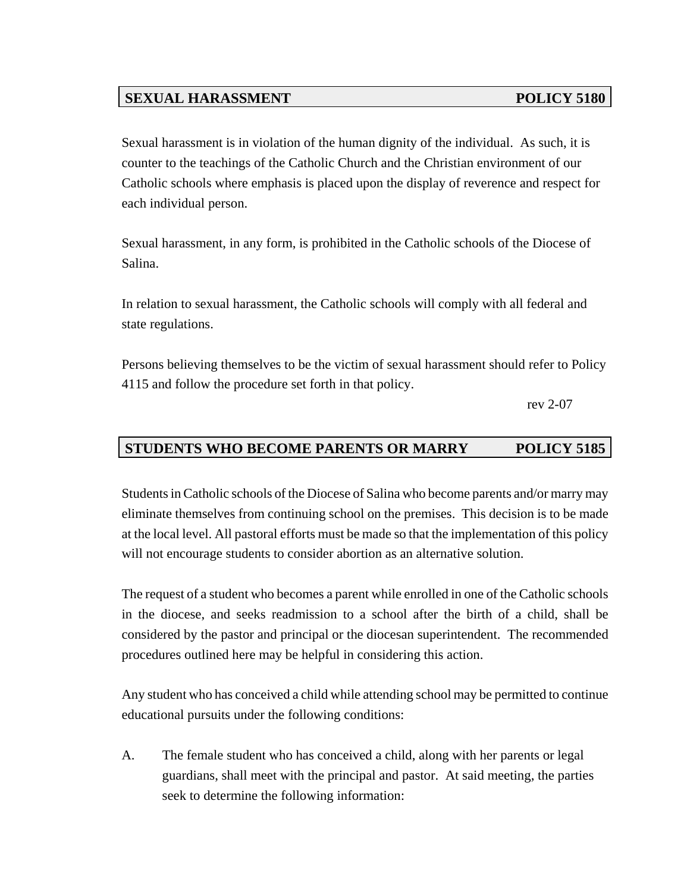# **SEXUAL HARASSMENT** POLICY 5180

Sexual harassment is in violation of the human dignity of the individual. As such, it is counter to the teachings of the Catholic Church and the Christian environment of our Catholic schools where emphasis is placed upon the display of reverence and respect for each individual person.

Sexual harassment, in any form, is prohibited in the Catholic schools of the Diocese of Salina.

In relation to sexual harassment, the Catholic schools will comply with all federal and state regulations.

Persons believing themselves to be the victim of sexual harassment should refer to Policy 4115 and follow the procedure set forth in that policy.

rev 2-07

# **STUDENTS WHO BECOME PARENTS OR MARRY POLICY 5185**

Students in Catholic schools of the Diocese of Salina who become parents and/or marry may eliminate themselves from continuing school on the premises. This decision is to be made at the local level. All pastoral efforts must be made so that the implementation of this policy will not encourage students to consider abortion as an alternative solution.

The request of a student who becomes a parent while enrolled in one of the Catholic schools in the diocese, and seeks readmission to a school after the birth of a child, shall be considered by the pastor and principal or the diocesan superintendent. The recommended procedures outlined here may be helpful in considering this action.

Any student who has conceived a child while attending school may be permitted to continue educational pursuits under the following conditions:

A. The female student who has conceived a child, along with her parents or legal guardians, shall meet with the principal and pastor. At said meeting, the parties seek to determine the following information: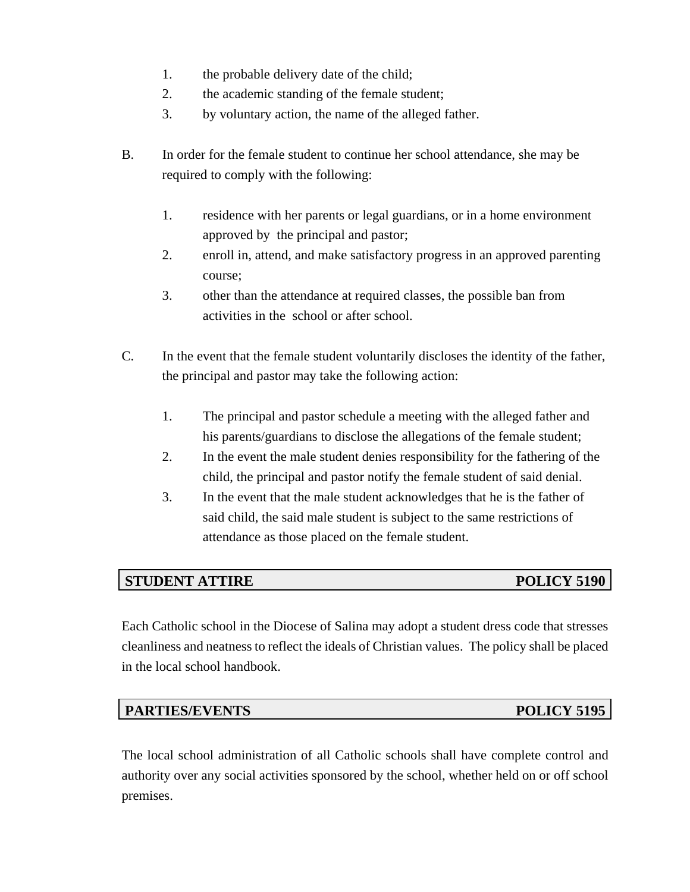- 1. the probable delivery date of the child;
- 2. the academic standing of the female student;
- 3. by voluntary action, the name of the alleged father.
- B. In order for the female student to continue her school attendance, she may be required to comply with the following:
	- 1. residence with her parents or legal guardians, or in a home environment approved by the principal and pastor;
	- 2. enroll in, attend, and make satisfactory progress in an approved parenting course;
	- 3. other than the attendance at required classes, the possible ban from activities in the school or after school.
- C. In the event that the female student voluntarily discloses the identity of the father, the principal and pastor may take the following action:
	- 1. The principal and pastor schedule a meeting with the alleged father and his parents/guardians to disclose the allegations of the female student;
	- 2. In the event the male student denies responsibility for the fathering of the child, the principal and pastor notify the female student of said denial.
	- 3. In the event that the male student acknowledges that he is the father of said child, the said male student is subject to the same restrictions of attendance as those placed on the female student.

# **STUDENT ATTIRE POLICY 5190**

Each Catholic school in the Diocese of Salina may adopt a student dress code that stresses cleanliness and neatness to reflect the ideals of Christian values. The policy shall be placed in the local school handbook.

## **PARTIES/EVENTS** POLICY 5195

The local school administration of all Catholic schools shall have complete control and authority over any social activities sponsored by the school, whether held on or off school premises.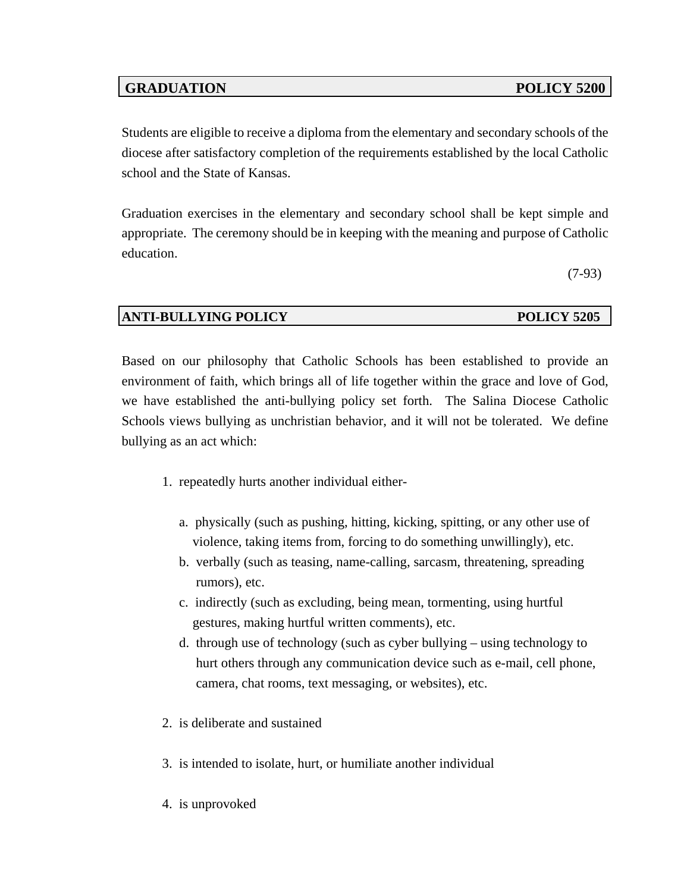# **GRADUATION POLICY 5200**

Students are eligible to receive a diploma from the elementary and secondary schools of the diocese after satisfactory completion of the requirements established by the local Catholic school and the State of Kansas.

Graduation exercises in the elementary and secondary school shall be kept simple and appropriate. The ceremony should be in keeping with the meaning and purpose of Catholic education.

(7-93)

# **ANTI-BULLYING POLICY POLICY 5205**

Based on our philosophy that Catholic Schools has been established to provide an environment of faith, which brings all of life together within the grace and love of God, we have established the anti-bullying policy set forth. The Salina Diocese Catholic Schools views bullying as unchristian behavior, and it will not be tolerated. We define bullying as an act which:

- 1. repeatedly hurts another individual either
	- a. physically (such as pushing, hitting, kicking, spitting, or any other use of violence, taking items from, forcing to do something unwillingly), etc.
	- b. verbally (such as teasing, name-calling, sarcasm, threatening, spreading rumors), etc.
	- c. indirectly (such as excluding, being mean, tormenting, using hurtful gestures, making hurtful written comments), etc.
	- d. through use of technology (such as cyber bullying using technology to hurt others through any communication device such as e-mail, cell phone, camera, chat rooms, text messaging, or websites), etc.
- 2. is deliberate and sustained
- 3. is intended to isolate, hurt, or humiliate another individual
- 4. is unprovoked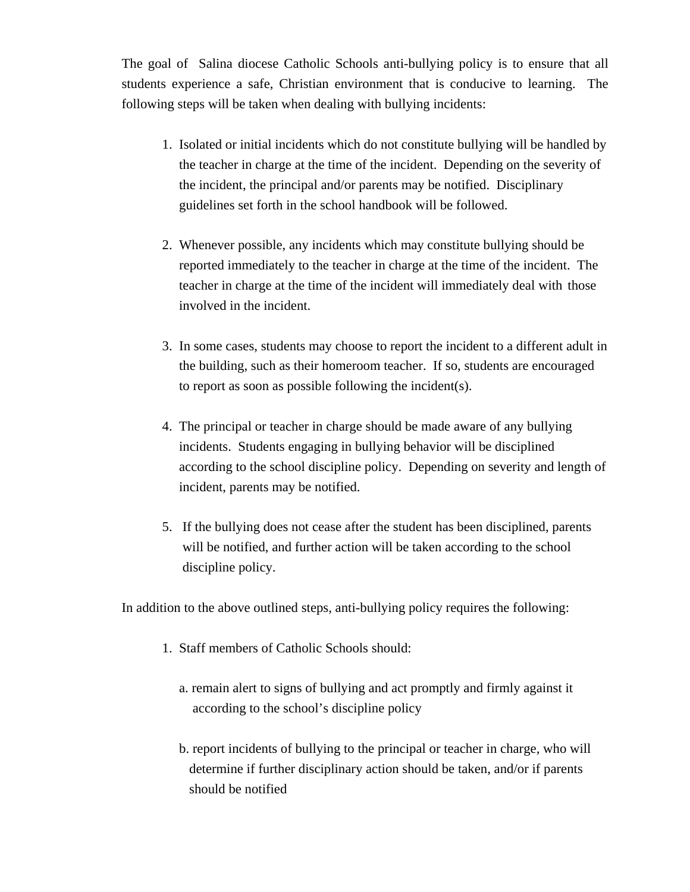The goal of Salina diocese Catholic Schools anti-bullying policy is to ensure that all students experience a safe, Christian environment that is conducive to learning. The following steps will be taken when dealing with bullying incidents:

- 1. Isolated or initial incidents which do not constitute bullying will be handled by the teacher in charge at the time of the incident. Depending on the severity of the incident, the principal and/or parents may be notified. Disciplinary guidelines set forth in the school handbook will be followed.
- 2. Whenever possible, any incidents which may constitute bullying should be reported immediately to the teacher in charge at the time of the incident. The teacher in charge at the time of the incident will immediately deal with those involved in the incident.
- 3. In some cases, students may choose to report the incident to a different adult in the building, such as their homeroom teacher. If so, students are encouraged to report as soon as possible following the incident(s).
- 4. The principal or teacher in charge should be made aware of any bullying incidents. Students engaging in bullying behavior will be disciplined according to the school discipline policy. Depending on severity and length of incident, parents may be notified.
- 5. If the bullying does not cease after the student has been disciplined, parents will be notified, and further action will be taken according to the school discipline policy.

In addition to the above outlined steps, anti-bullying policy requires the following:

- 1. Staff members of Catholic Schools should:
	- a. remain alert to signs of bullying and act promptly and firmly against it according to the school's discipline policy
	- b. report incidents of bullying to the principal or teacher in charge, who will determine if further disciplinary action should be taken, and/or if parents should be notified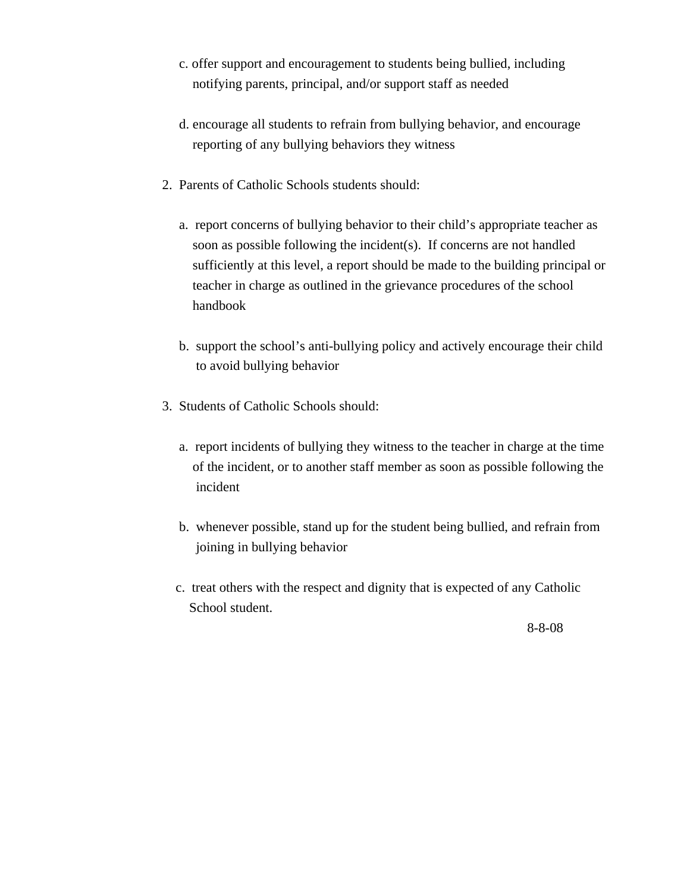- c. offer support and encouragement to students being bullied, including notifying parents, principal, and/or support staff as needed
- d. encourage all students to refrain from bullying behavior, and encourage reporting of any bullying behaviors they witness
- 2. Parents of Catholic Schools students should:
	- a. report concerns of bullying behavior to their child's appropriate teacher as soon as possible following the incident(s). If concerns are not handled sufficiently at this level, a report should be made to the building principal or teacher in charge as outlined in the grievance procedures of the school handbook
	- b. support the school's anti-bullying policy and actively encourage their child to avoid bullying behavior
- 3. Students of Catholic Schools should:
	- a. report incidents of bullying they witness to the teacher in charge at the time of the incident, or to another staff member as soon as possible following the incident
	- b. whenever possible, stand up for the student being bullied, and refrain from joining in bullying behavior
	- c. treat others with the respect and dignity that is expected of any Catholic School student.

8-8-08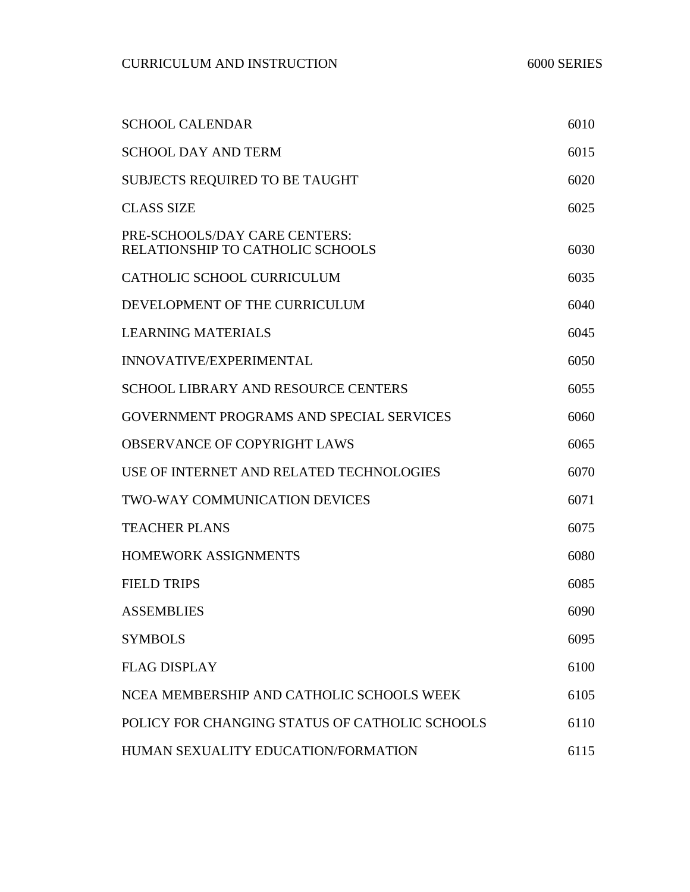| <b>SCHOOL CALENDAR</b>                                            | 6010 |
|-------------------------------------------------------------------|------|
| <b>SCHOOL DAY AND TERM</b>                                        | 6015 |
| <b>SUBJECTS REQUIRED TO BE TAUGHT</b>                             | 6020 |
| <b>CLASS SIZE</b>                                                 | 6025 |
| PRE-SCHOOLS/DAY CARE CENTERS:<br>RELATIONSHIP TO CATHOLIC SCHOOLS | 6030 |
| CATHOLIC SCHOOL CURRICULUM                                        | 6035 |
| DEVELOPMENT OF THE CURRICULUM                                     | 6040 |
| <b>LEARNING MATERIALS</b>                                         | 6045 |
| <b>INNOVATIVE/EXPERIMENTAL</b>                                    | 6050 |
| <b>SCHOOL LIBRARY AND RESOURCE CENTERS</b>                        | 6055 |
| GOVERNMENT PROGRAMS AND SPECIAL SERVICES                          | 6060 |
| <b>OBSERVANCE OF COPYRIGHT LAWS</b>                               | 6065 |
| USE OF INTERNET AND RELATED TECHNOLOGIES                          | 6070 |
| <b>TWO-WAY COMMUNICATION DEVICES</b>                              | 6071 |
| <b>TEACHER PLANS</b>                                              | 6075 |
| <b>HOMEWORK ASSIGNMENTS</b>                                       | 6080 |
| <b>FIELD TRIPS</b>                                                | 6085 |
| <b>ASSEMBLIES</b>                                                 | 6090 |
| <b>SYMBOLS</b>                                                    | 6095 |
| <b>FLAG DISPLAY</b>                                               | 6100 |
| NCEA MEMBERSHIP AND CATHOLIC SCHOOLS WEEK                         | 6105 |
| POLICY FOR CHANGING STATUS OF CATHOLIC SCHOOLS                    | 6110 |
| HUMAN SEXUALITY EDUCATION/FORMATION                               | 6115 |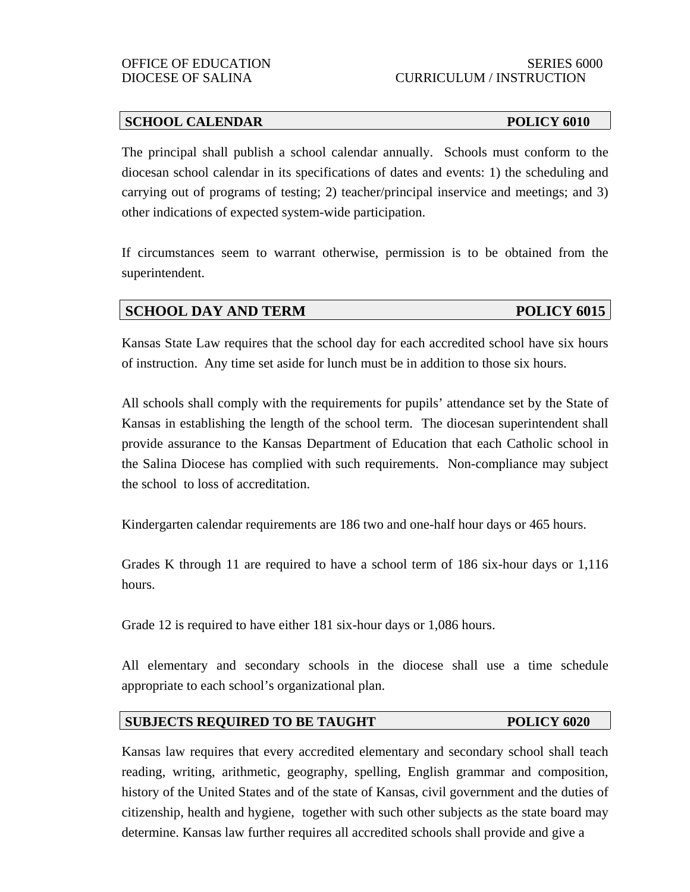## **SCHOOL CALENDAR POLICY 6010**

The principal shall publish a school calendar annually. Schools must conform to the diocesan school calendar in its specifications of dates and events: 1) the scheduling and carrying out of programs of testing; 2) teacher/principal inservice and meetings; and 3) other indications of expected system-wide participation.

If circumstances seem to warrant otherwise, permission is to be obtained from the superintendent.

# **SCHOOL DAY AND TERM POLICY 6015**

Kansas State Law requires that the school day for each accredited school have six hours of instruction. Any time set aside for lunch must be in addition to those six hours.

All schools shall comply with the requirements for pupils' attendance set by the State of Kansas in establishing the length of the school term. The diocesan superintendent shall provide assurance to the Kansas Department of Education that each Catholic school in the Salina Diocese has complied with such requirements. Non-compliance may subject the school to loss of accreditation.

Kindergarten calendar requirements are 186 two and one-half hour days or 465 hours.

Grades K through 11 are required to have a school term of 186 six-hour days or 1,116 hours.

Grade 12 is required to have either 181 six-hour days or 1,086 hours.

All elementary and secondary schools in the diocese shall use a time schedule appropriate to each school's organizational plan.

## **SUBJECTS REQUIRED TO BE TAUGHT POLICY 6020**

Kansas law requires that every accredited elementary and secondary school shall teach reading, writing, arithmetic, geography, spelling, English grammar and composition, history of the United States and of the state of Kansas, civil government and the duties of citizenship, health and hygiene, together with such other subjects as the state board may determine. Kansas law further requires all accredited schools shall provide and give a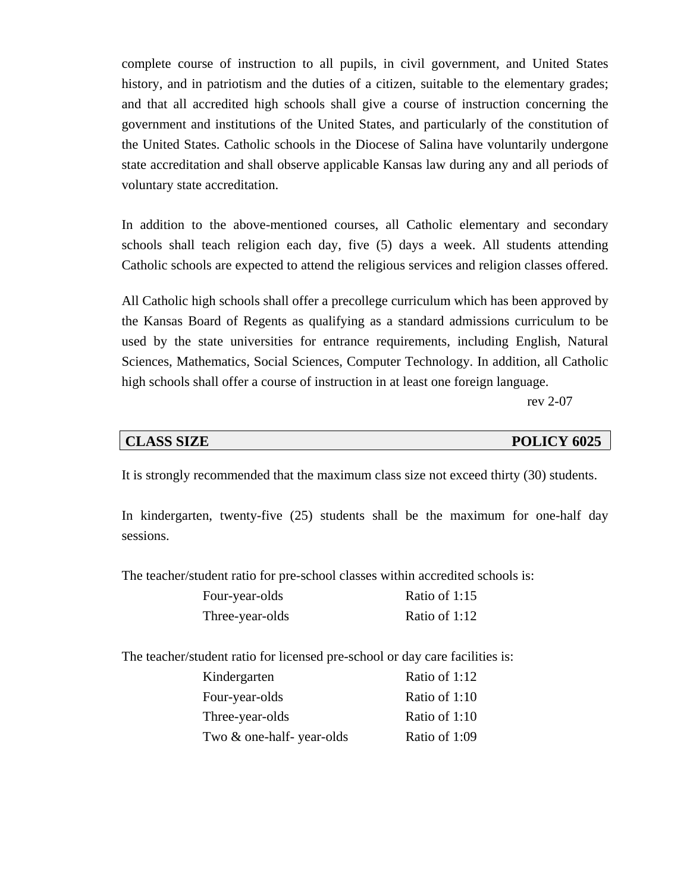complete course of instruction to all pupils, in civil government, and United States history, and in patriotism and the duties of a citizen, suitable to the elementary grades; and that all accredited high schools shall give a course of instruction concerning the government and institutions of the United States, and particularly of the constitution of the United States. Catholic schools in the Diocese of Salina have voluntarily undergone state accreditation and shall observe applicable Kansas law during any and all periods of voluntary state accreditation.

In addition to the above-mentioned courses, all Catholic elementary and secondary schools shall teach religion each day, five (5) days a week. All students attending Catholic schools are expected to attend the religious services and religion classes offered.

All Catholic high schools shall offer a precollege curriculum which has been approved by the Kansas Board of Regents as qualifying as a standard admissions curriculum to be used by the state universities for entrance requirements, including English, Natural Sciences, Mathematics, Social Sciences, Computer Technology. In addition, all Catholic high schools shall offer a course of instruction in at least one foreign language.

rev 2-07

### **CLASS SIZE POLICY 6025**

It is strongly recommended that the maximum class size not exceed thirty (30) students.

In kindergarten, twenty-five (25) students shall be the maximum for one-half day sessions.

The teacher/student ratio for pre-school classes within accredited schools is:

| Four-year-olds  | Ratio of 1:15 |
|-----------------|---------------|
| Three-year-olds | Ratio of 1:12 |

The teacher/student ratio for licensed pre-school or day care facilities is:

| Kindergarten             | Ratio of 1:12 |
|--------------------------|---------------|
| Four-year-olds           | Ratio of 1:10 |
| Three-year-olds          | Ratio of 1:10 |
| Two & one-half-year-olds | Ratio of 1:09 |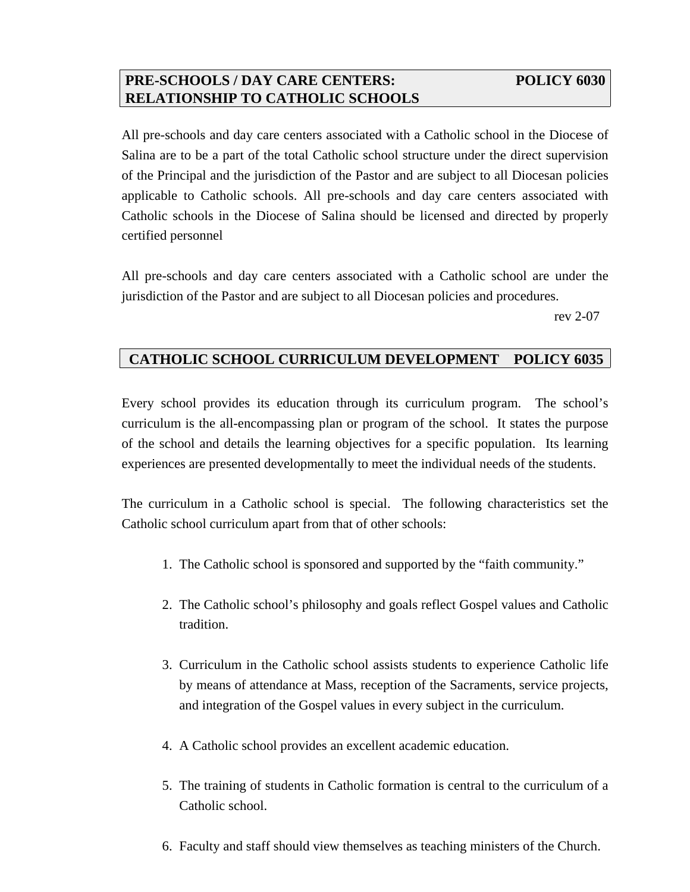# **PRE-SCHOOLS / DAY CARE CENTERS: POLICY 6030 RELATIONSHIP TO CATHOLIC SCHOOLS**

All pre-schools and day care centers associated with a Catholic school in the Diocese of Salina are to be a part of the total Catholic school structure under the direct supervision of the Principal and the jurisdiction of the Pastor and are subject to all Diocesan policies applicable to Catholic schools. All pre-schools and day care centers associated with Catholic schools in the Diocese of Salina should be licensed and directed by properly

certified personnel

All pre-schools and day care centers associated with a Catholic school are under the jurisdiction of the Pastor and are subject to all Diocesan policies and procedures.

rev 2-07

# **CATHOLIC SCHOOL CURRICULUM DEVELOPMENT POLICY 6035**

Every school provides its education through its curriculum program. The school's curriculum is the all-encompassing plan or program of the school. It states the purpose of the school and details the learning objectives for a specific population. Its learning experiences are presented developmentally to meet the individual needs of the students.

The curriculum in a Catholic school is special. The following characteristics set the Catholic school curriculum apart from that of other schools:

- 1. The Catholic school is sponsored and supported by the "faith community."
- 2. The Catholic school's philosophy and goals reflect Gospel values and Catholic tradition.
- 3. Curriculum in the Catholic school assists students to experience Catholic life by means of attendance at Mass, reception of the Sacraments, service projects, and integration of the Gospel values in every subject in the curriculum.
- 4. A Catholic school provides an excellent academic education.
- 5. The training of students in Catholic formation is central to the curriculum of a Catholic school.
- 6. Faculty and staff should view themselves as teaching ministers of the Church.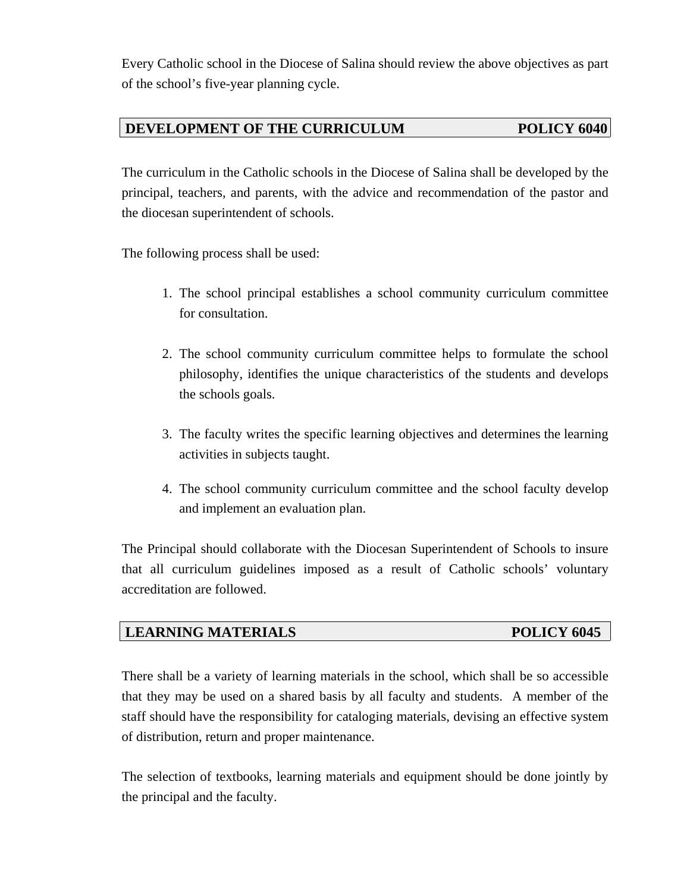Every Catholic school in the Diocese of Salina should review the above objectives as part of the school's five-year planning cycle.

# **DEVELOPMENT OF THE CURRICULUM POLICY 6040**

The curriculum in the Catholic schools in the Diocese of Salina shall be developed by the principal, teachers, and parents, with the advice and recommendation of the pastor and the diocesan superintendent of schools.

The following process shall be used:

- 1. The school principal establishes a school community curriculum committee for consultation.
- 2. The school community curriculum committee helps to formulate the school philosophy, identifies the unique characteristics of the students and develops the schools goals.
- 3. The faculty writes the specific learning objectives and determines the learning activities in subjects taught.
- 4. The school community curriculum committee and the school faculty develop and implement an evaluation plan.

The Principal should collaborate with the Diocesan Superintendent of Schools to insure that all curriculum guidelines imposed as a result of Catholic schools' voluntary accreditation are followed.

# *LEARNING MATERIALS* POLICY 6045

There shall be a variety of learning materials in the school, which shall be so accessible that they may be used on a shared basis by all faculty and students. A member of the staff should have the responsibility for cataloging materials, devising an effective system of distribution, return and proper maintenance.

The selection of textbooks, learning materials and equipment should be done jointly by the principal and the faculty.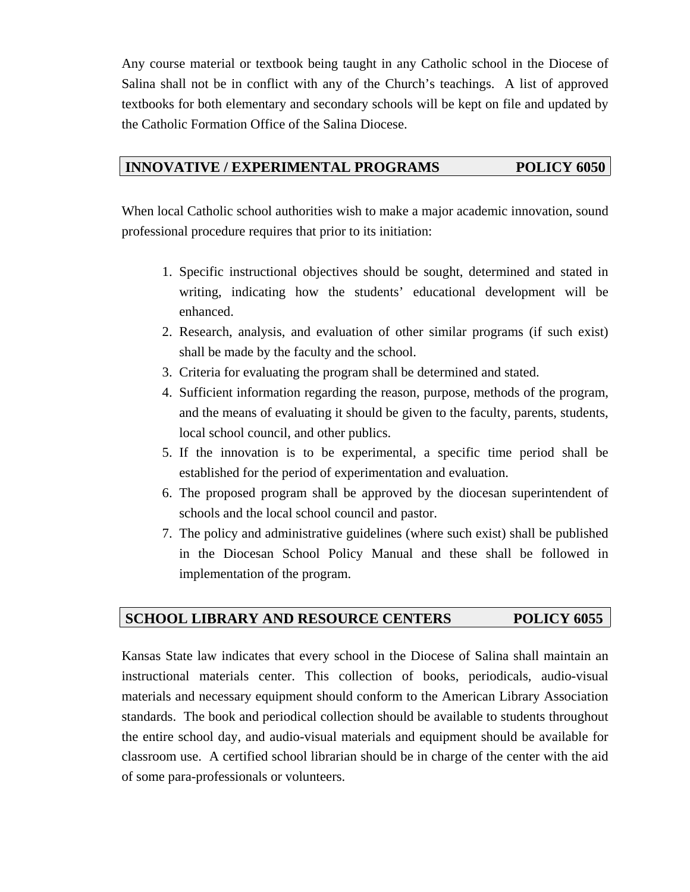Any course material or textbook being taught in any Catholic school in the Diocese of Salina shall not be in conflict with any of the Church's teachings. A list of approved textbooks for both elementary and secondary schools will be kept on file and updated by the Catholic Formation Office of the Salina Diocese.

# **INNOVATIVE / EXPERIMENTAL PROGRAMS POLICY 6050**

When local Catholic school authorities wish to make a major academic innovation, sound professional procedure requires that prior to its initiation:

- 1. Specific instructional objectives should be sought, determined and stated in writing, indicating how the students' educational development will be enhanced.
- 2. Research, analysis, and evaluation of other similar programs (if such exist) shall be made by the faculty and the school.
- 3. Criteria for evaluating the program shall be determined and stated.
- 4. Sufficient information regarding the reason, purpose, methods of the program, and the means of evaluating it should be given to the faculty, parents, students, local school council, and other publics.
- 5. If the innovation is to be experimental, a specific time period shall be established for the period of experimentation and evaluation.
- 6. The proposed program shall be approved by the diocesan superintendent of schools and the local school council and pastor.
- 7. The policy and administrative guidelines (where such exist) shall be published in the Diocesan School Policy Manual and these shall be followed in implementation of the program.

# **SCHOOL LIBRARY AND RESOURCE CENTERS POLICY 6055**

Kansas State law indicates that every school in the Diocese of Salina shall maintain an instructional materials center. This collection of books, periodicals, audio-visual materials and necessary equipment should conform to the American Library Association standards. The book and periodical collection should be available to students throughout the entire school day, and audio-visual materials and equipment should be available for classroom use. A certified school librarian should be in charge of the center with the aid of some para-professionals or volunteers.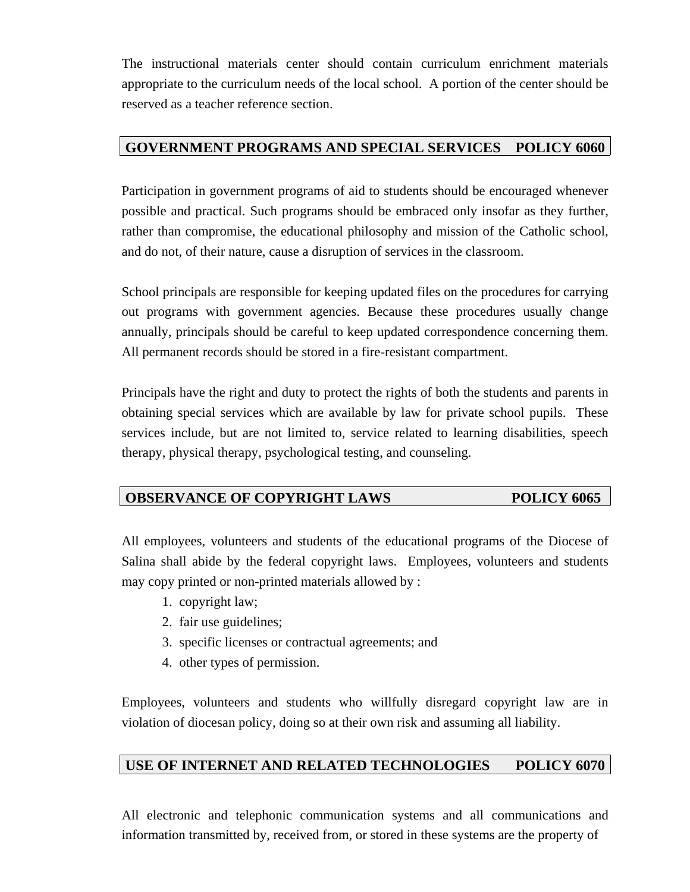The instructional materials center should contain curriculum enrichment materials appropriate to the curriculum needs of the local school. A portion of the center should be reserved as a teacher reference section.

# **GOVERNMENT PROGRAMS AND SPECIAL SERVICES POLICY 6060**

Participation in government programs of aid to students should be encouraged whenever possible and practical. Such programs should be embraced only insofar as they further, rather than compromise, the educational philosophy and mission of the Catholic school, and do not, of their nature, cause a disruption of services in the classroom.

School principals are responsible for keeping updated files on the procedures for carrying out programs with government agencies. Because these procedures usually change annually, principals should be careful to keep updated correspondence concerning them. All permanent records should be stored in a fire-resistant compartment.

Principals have the right and duty to protect the rights of both the students and parents in obtaining special services which are available by law for private school pupils. These services include, but are not limited to, service related to learning disabilities, speech therapy, physical therapy, psychological testing, and counseling.

# **OBSERVANCE OF COPYRIGHT LAWS POLICY 6065**

All employees, volunteers and students of the educational programs of the Diocese of Salina shall abide by the federal copyright laws. Employees, volunteers and students may copy printed or non-printed materials allowed by :

- 1. copyright law;
- 2. fair use guidelines;
- 3. specific licenses or contractual agreements; and
- 4. other types of permission.

Employees, volunteers and students who willfully disregard copyright law are in violation of diocesan policy, doing so at their own risk and assuming all liability.

# **USE OF INTERNET AND RELATED TECHNOLOGIES POLICY 6070**

All electronic and telephonic communication systems and all communications and information transmitted by, received from, or stored in these systems are the property of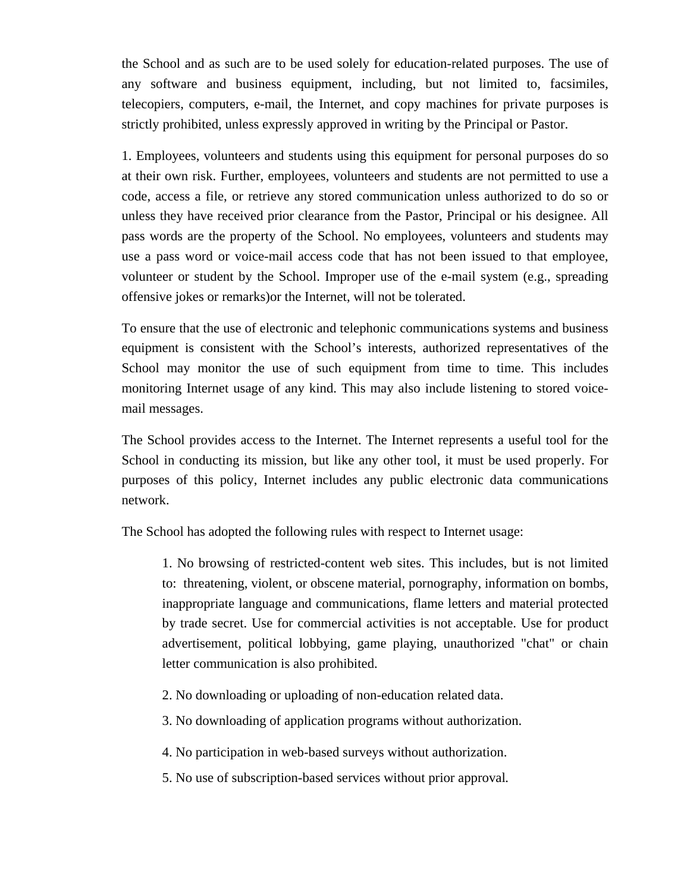the School and as such are to be used solely for education-related purposes. The use of any software and business equipment, including, but not limited to, facsimiles, telecopiers, computers, e-mail, the Internet, and copy machines for private purposes is strictly prohibited, unless expressly approved in writing by the Principal or Pastor.

1. Employees, volunteers and students using this equipment for personal purposes do so at their own risk. Further, employees, volunteers and students are not permitted to use a code, access a file, or retrieve any stored communication unless authorized to do so or unless they have received prior clearance from the Pastor, Principal or his designee. All pass words are the property of the School. No employees, volunteers and students may use a pass word or voice-mail access code that has not been issued to that employee, volunteer or student by the School. Improper use of the e-mail system (e.g., spreading offensive jokes or remarks)or the Internet, will not be tolerated.

To ensure that the use of electronic and telephonic communications systems and business equipment is consistent with the School's interests, authorized representatives of the School may monitor the use of such equipment from time to time. This includes monitoring Internet usage of any kind. This may also include listening to stored voicemail messages.

The School provides access to the Internet. The Internet represents a useful tool for the School in conducting its mission, but like any other tool, it must be used properly. For purposes of this policy, Internet includes any public electronic data communications network.

The School has adopted the following rules with respect to Internet usage:

1. No browsing of restricted-content web sites. This includes, but is not limited to: threatening, violent, or obscene material, pornography, information on bombs, inappropriate language and communications, flame letters and material protected by trade secret. Use for commercial activities is not acceptable. Use for product advertisement, political lobbying, game playing, unauthorized "chat" or chain letter communication is also prohibited.

- 2. No downloading or uploading of non-education related data.
- 3. No downloading of application programs without authorization.
- 4. No participation in web-based surveys without authorization.
- 5. No use of subscription-based services without prior approval*.*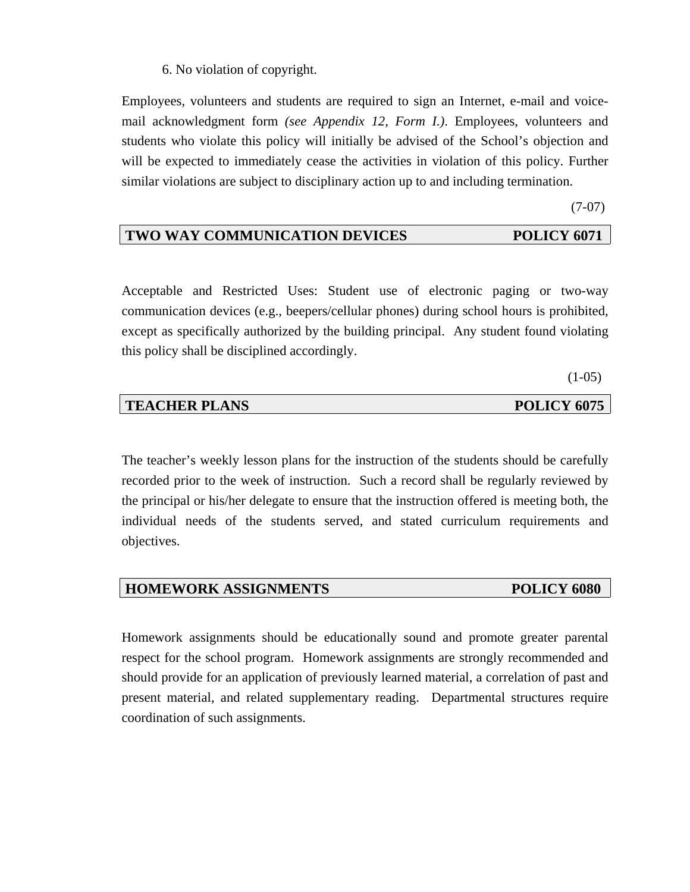6. No violation of copyright.

Employees, volunteers and students are required to sign an Internet, e-mail and voicemail acknowledgment form *(see Appendix 12, Form I.)*. Employees, volunteers and students who violate this policy will initially be advised of the School's objection and will be expected to immediately cease the activities in violation of this policy. Further similar violations are subject to disciplinary action up to and including termination.

(7-07)

# **TWO WAY COMMUNICATION DEVICES POLICY 6071**

Acceptable and Restricted Uses: Student use of electronic paging or two-way communication devices (e.g., beepers/cellular phones) during school hours is prohibited, except as specifically authorized by the building principal. Any student found violating this policy shall be disciplined accordingly.

 $(1-05)$ 

| <b>TEACHER PLANS</b> | <b>POLICY 6075</b> |
|----------------------|--------------------|
|                      |                    |

The teacher's weekly lesson plans for the instruction of the students should be carefully recorded prior to the week of instruction. Such a record shall be regularly reviewed by the principal or his/her delegate to ensure that the instruction offered is meeting both, the individual needs of the students served, and stated curriculum requirements and objectives.

## **HOMEWORK ASSIGNMENTS POLICY 6080**

Homework assignments should be educationally sound and promote greater parental respect for the school program. Homework assignments are strongly recommended and should provide for an application of previously learned material, a correlation of past and present material, and related supplementary reading. Departmental structures require coordination of such assignments.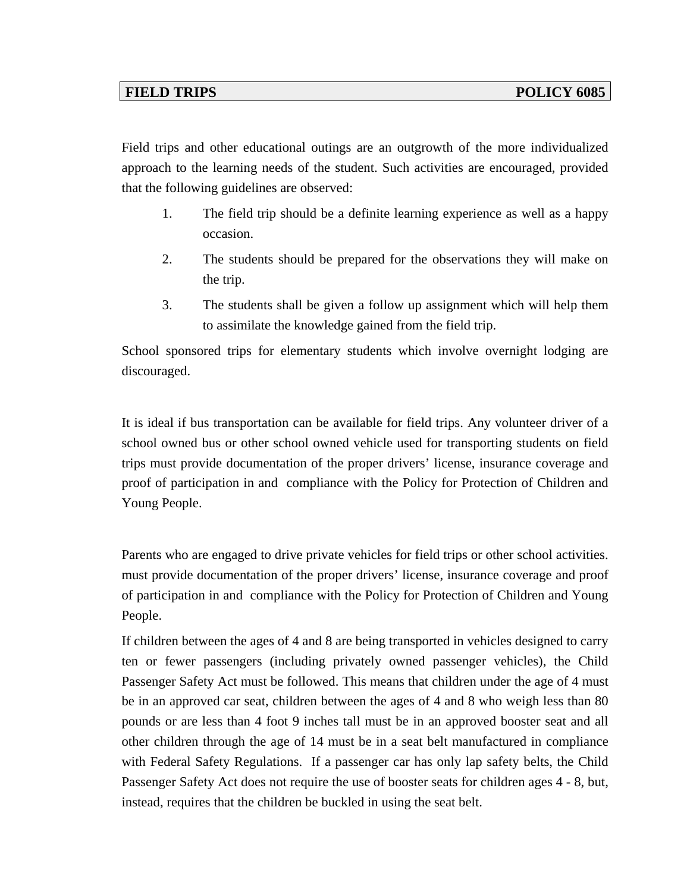Field trips and other educational outings are an outgrowth of the more individualized approach to the learning needs of the student. Such activities are encouraged, provided that the following guidelines are observed:

- 1. The field trip should be a definite learning experience as well as a happy occasion.
- 2. The students should be prepared for the observations they will make on the trip.
- 3. The students shall be given a follow up assignment which will help them to assimilate the knowledge gained from the field trip.

School sponsored trips for elementary students which involve overnight lodging are discouraged.

It is ideal if bus transportation can be available for field trips. Any volunteer driver of a school owned bus or other school owned vehicle used for transporting students on field trips must provide documentation of the proper drivers' license, insurance coverage and proof of participation in and compliance with the Policy for Protection of Children and Young People.

Parents who are engaged to drive private vehicles for field trips or other school activities. must provide documentation of the proper drivers' license, insurance coverage and proof of participation in and compliance with the Policy for Protection of Children and Young People.

If children between the ages of 4 and 8 are being transported in vehicles designed to carry ten or fewer passengers (including privately owned passenger vehicles), the Child Passenger Safety Act must be followed. This means that children under the age of 4 must be in an approved car seat, children between the ages of 4 and 8 who weigh less than 80 pounds or are less than 4 foot 9 inches tall must be in an approved booster seat and all other children through the age of 14 must be in a seat belt manufactured in compliance with Federal Safety Regulations. If a passenger car has only lap safety belts, the Child Passenger Safety Act does not require the use of booster seats for children ages 4 - 8, but, instead, requires that the children be buckled in using the seat belt.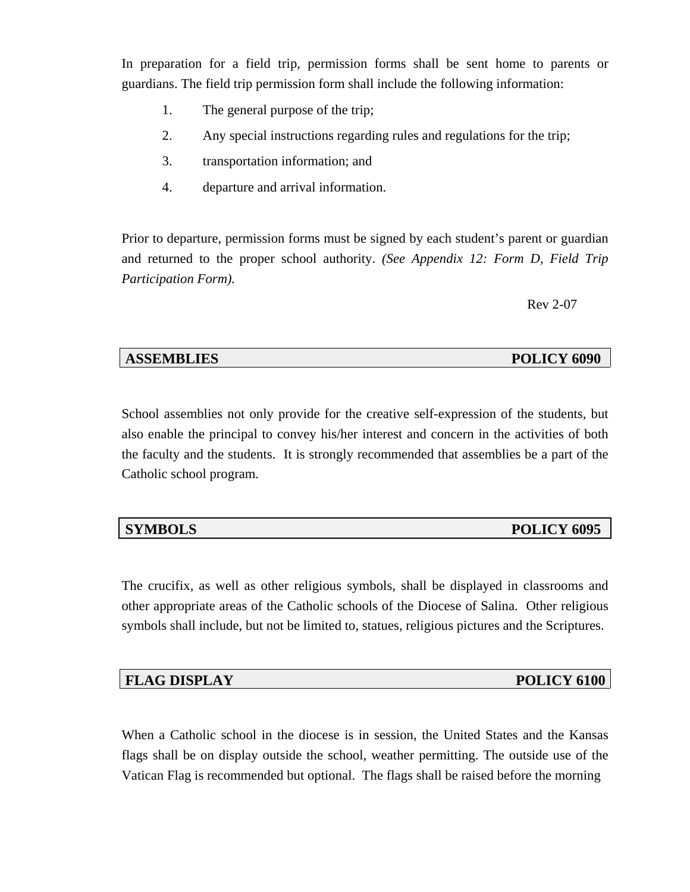In preparation for a field trip, permission forms shall be sent home to parents or guardians. The field trip permission form shall include the following information:

- 1. The general purpose of the trip;
- 2. Any special instructions regarding rules and regulations for the trip;
- 3. transportation information; and
- 4. departure and arrival information.

Prior to departure, permission forms must be signed by each student's parent or guardian and returned to the proper school authority. *(See Appendix 12: Form D, Field Trip Participation Form).* 

Rev 2-07

## **ASSEMBLIES** POLICY 6090

School assemblies not only provide for the creative self-expression of the students, but also enable the principal to convey his/her interest and concern in the activities of both the faculty and the students. It is strongly recommended that assemblies be a part of the Catholic school program.

# **SYMBOLS** POLICY 6095

The crucifix, as well as other religious symbols, shall be displayed in classrooms and other appropriate areas of the Catholic schools of the Diocese of Salina. Other religious symbols shall include, but not be limited to, statues, religious pictures and the Scriptures.

# **FLAG DISPLAY POLICY 6100**

When a Catholic school in the diocese is in session, the United States and the Kansas flags shall be on display outside the school, weather permitting. The outside use of the Vatican Flag is recommended but optional. The flags shall be raised before the morning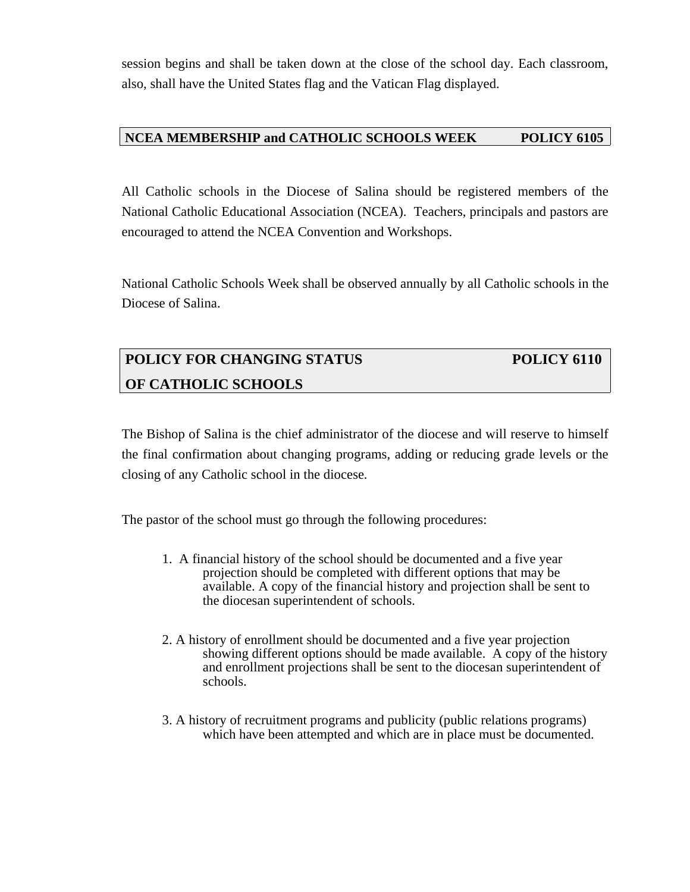session begins and shall be taken down at the close of the school day. Each classroom, also, shall have the United States flag and the Vatican Flag displayed.

## **NCEA MEMBERSHIP and CATHOLIC SCHOOLS WEEK POLICY 6105**

All Catholic schools in the Diocese of Salina should be registered members of the National Catholic Educational Association (NCEA). Teachers, principals and pastors are encouraged to attend the NCEA Convention and Workshops.

National Catholic Schools Week shall be observed annually by all Catholic schools in the Diocese of Salina.

# **POLICY FOR CHANGING STATUS POLICY 6110 OF CATHOLIC SCHOOLS**

The Bishop of Salina is the chief administrator of the diocese and will reserve to himself the final confirmation about changing programs, adding or reducing grade levels or the closing of any Catholic school in the diocese*.* 

The pastor of the school must go through the following procedures:

- 1. A financial history of the school should be documented and a five year projection should be completed with different options that may be available. A copy of the financial history and projection shall be sent to the diocesan superintendent of schools.
- 2. A history of enrollment should be documented and a five year projection showing different options should be made available. A copy of the history and enrollment projections shall be sent to the diocesan superintendent of schools.
- 3. A history of recruitment programs and publicity (public relations programs) which have been attempted and which are in place must be documented.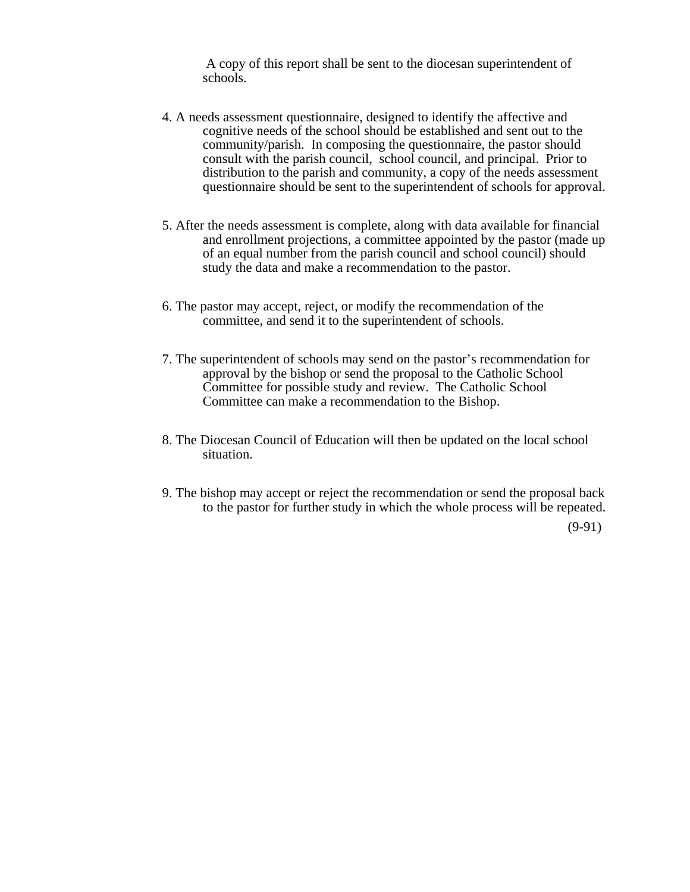A copy of this report shall be sent to the diocesan superintendent of schools.

- 4. A needs assessment questionnaire, designed to identify the affective and cognitive needs of the school should be established and sent out to the community/parish. In composing the questionnaire, the pastor should consult with the parish council, school council, and principal. Prior to distribution to the parish and community, a copy of the needs assessment questionnaire should be sent to the superintendent of schools for approval.
- 5. After the needs assessment is complete, along with data available for financial and enrollment projections, a committee appointed by the pastor (made up of an equal number from the parish council and school council) should study the data and make a recommendation to the pastor.
- 6. The pastor may accept, reject, or modify the recommendation of the committee, and send it to the superintendent of schools.
- 7. The superintendent of schools may send on the pastor's recommendation for approval by the bishop or send the proposal to the Catholic School Committee for possible study and review. The Catholic School Committee can make a recommendation to the Bishop.
- 8. The Diocesan Council of Education will then be updated on the local school situation.
- 9. The bishop may accept or reject the recommendation or send the proposal back to the pastor for further study in which the whole process will be repeated. (9-91)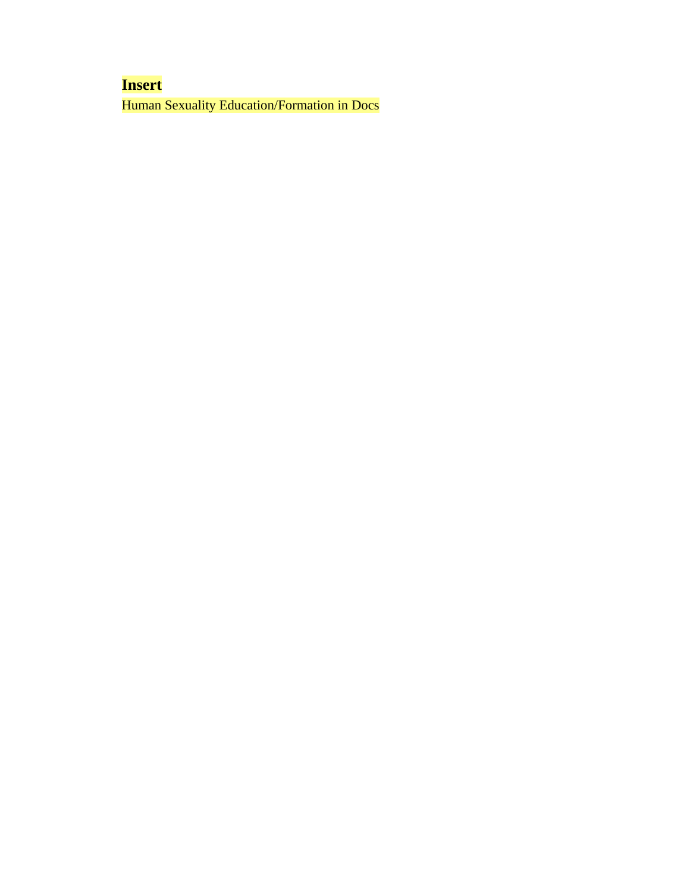# **Insert**

Human Sexuality Education/Formation in Docs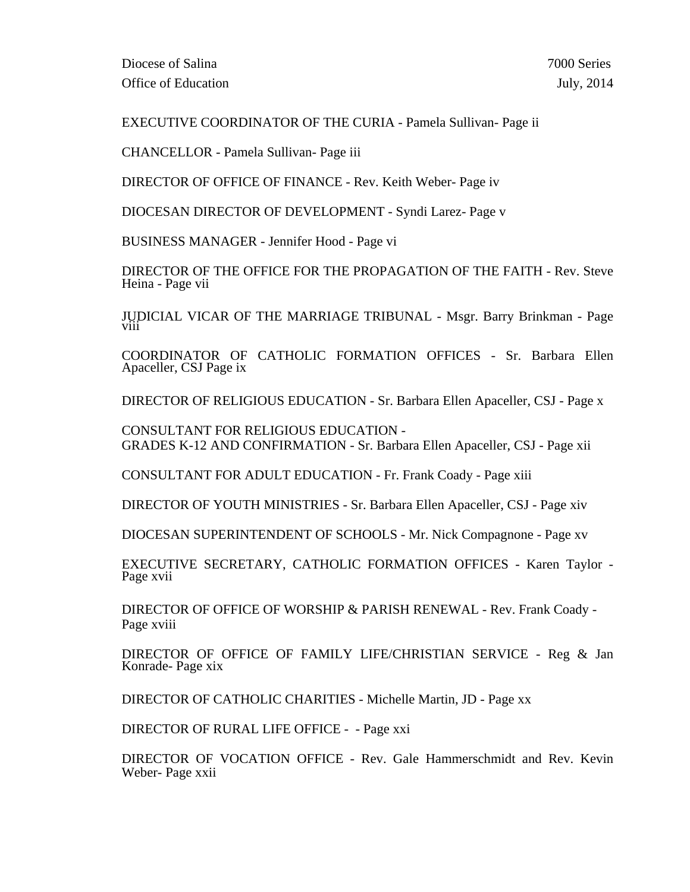EXECUTIVE COORDINATOR OF THE CURIA - Pamela Sullivan- Page ii

CHANCELLOR - Pamela Sullivan- Page iii

DIRECTOR OF OFFICE OF FINANCE - Rev. Keith Weber- Page iv

DIOCESAN DIRECTOR OF DEVELOPMENT - Syndi Larez- Page v

BUSINESS MANAGER - Jennifer Hood - Page vi

DIRECTOR OF THE OFFICE FOR THE PROPAGATION OF THE FAITH - Rev. Steve Heina - Page vii

JUDICIAL VICAR OF THE MARRIAGE TRIBUNAL - Msgr. Barry Brinkman - Page

COORDINATOR OF CATHOLIC FORMATION OFFICES - Sr. Barbara Ellen Apaceller, CSJ Page ix

DIRECTOR OF RELIGIOUS EDUCATION - Sr. Barbara Ellen Apaceller, CSJ - Page x

CONSULTANT FOR RELIGIOUS EDUCATION - GRADES K-12 AND CONFIRMATION - Sr. Barbara Ellen Apaceller, CSJ - Page xii

CONSULTANT FOR ADULT EDUCATION - Fr. Frank Coady - Page xiii

DIRECTOR OF YOUTH MINISTRIES - Sr. Barbara Ellen Apaceller, CSJ - Page xiv

DIOCESAN SUPERINTENDENT OF SCHOOLS - Mr. Nick Compagnone - Page xv

EXECUTIVE SECRETARY, CATHOLIC FORMATION OFFICES - Karen Taylor - Page xvii

DIRECTOR OF OFFICE OF WORSHIP & PARISH RENEWAL - Rev. Frank Coady - Page xviii

DIRECTOR OF OFFICE OF FAMILY LIFE/CHRISTIAN SERVICE - Reg & Jan Konrade- Page xix

DIRECTOR OF CATHOLIC CHARITIES - Michelle Martin, JD - Page xx

DIRECTOR OF RURAL LIFE OFFICE - - Page xxi

DIRECTOR OF VOCATION OFFICE - Rev. Gale Hammerschmidt and Rev. Kevin Weber- Page xxii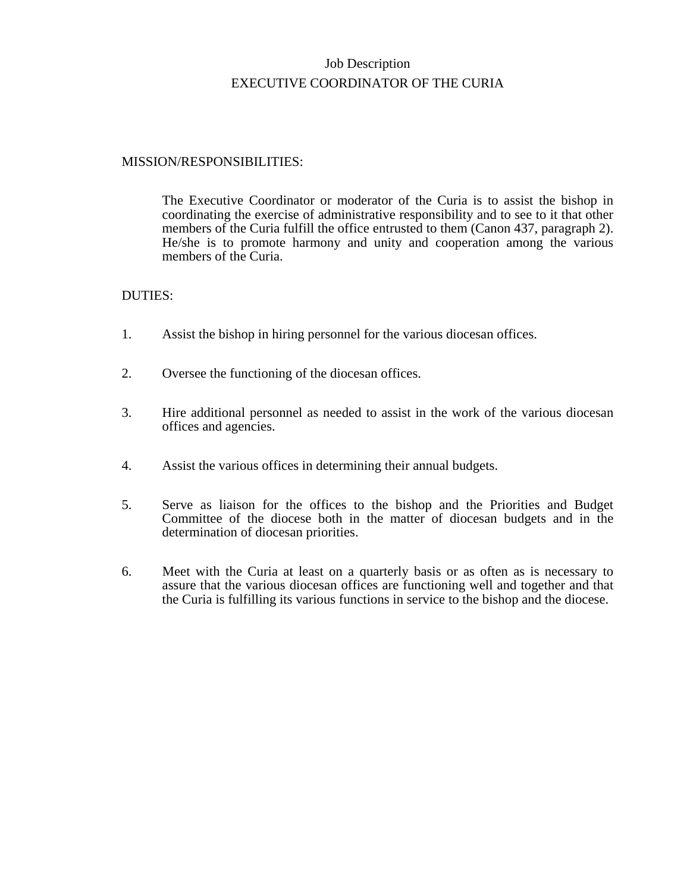# Job Description EXECUTIVE COORDINATOR OF THE CURIA

## MISSION/RESPONSIBILITIES:

The Executive Coordinator or moderator of the Curia is to assist the bishop in coordinating the exercise of administrative responsibility and to see to it that other members of the Curia fulfill the office entrusted to them (Canon 437, paragraph 2). He/she is to promote harmony and unity and cooperation among the various members of the Curia.

- 1. Assist the bishop in hiring personnel for the various diocesan offices.
- 2. Oversee the functioning of the diocesan offices.
- 3. Hire additional personnel as needed to assist in the work of the various diocesan offices and agencies.
- 4. Assist the various offices in determining their annual budgets.
- 5. Serve as liaison for the offices to the bishop and the Priorities and Budget Committee of the diocese both in the matter of diocesan budgets and in the determination of diocesan priorities.
- 6. Meet with the Curia at least on a quarterly basis or as often as is necessary to assure that the various diocesan offices are functioning well and together and that the Curia is fulfilling its various functions in service to the bishop and the diocese.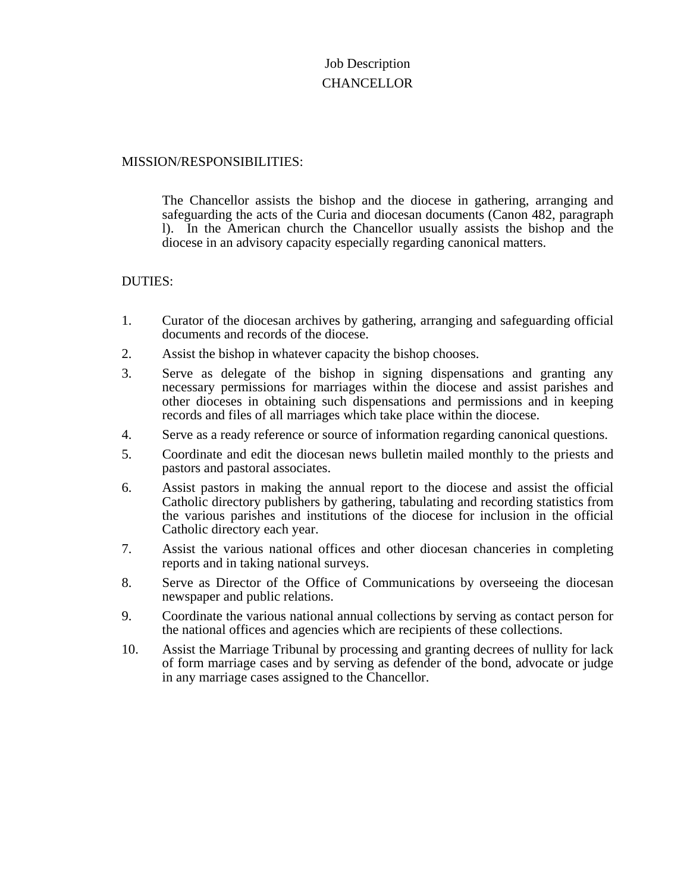# Job Description **CHANCELLOR**

## MISSION/RESPONSIBILITIES:

The Chancellor assists the bishop and the diocese in gathering, arranging and safeguarding the acts of the Curia and diocesan documents (Canon 482, paragraph l). In the American church the Chancellor usually assists the bishop and the diocese in an advisory capacity especially regarding canonical matters.

- 1. Curator of the diocesan archives by gathering, arranging and safeguarding official documents and records of the diocese.
- 2. Assist the bishop in whatever capacity the bishop chooses.
- 3. Serve as delegate of the bishop in signing dispensations and granting any necessary permissions for marriages within the diocese and assist parishes and other dioceses in obtaining such dispensations and permissions and in keeping records and files of all marriages which take place within the diocese.
- 4. Serve as a ready reference or source of information regarding canonical questions.
- 5. Coordinate and edit the diocesan news bulletin mailed monthly to the priests and pastors and pastoral associates.
- 6. Assist pastors in making the annual report to the diocese and assist the official Catholic directory publishers by gathering, tabulating and recording statistics from the various parishes and institutions of the diocese for inclusion in the official Catholic directory each year.
- 7. Assist the various national offices and other diocesan chanceries in completing reports and in taking national surveys.
- 8. Serve as Director of the Office of Communications by overseeing the diocesan newspaper and public relations.
- 9. Coordinate the various national annual collections by serving as contact person for the national offices and agencies which are recipients of these collections.
- 10. Assist the Marriage Tribunal by processing and granting decrees of nullity for lack of form marriage cases and by serving as defender of the bond, advocate or judge in any marriage cases assigned to the Chancellor.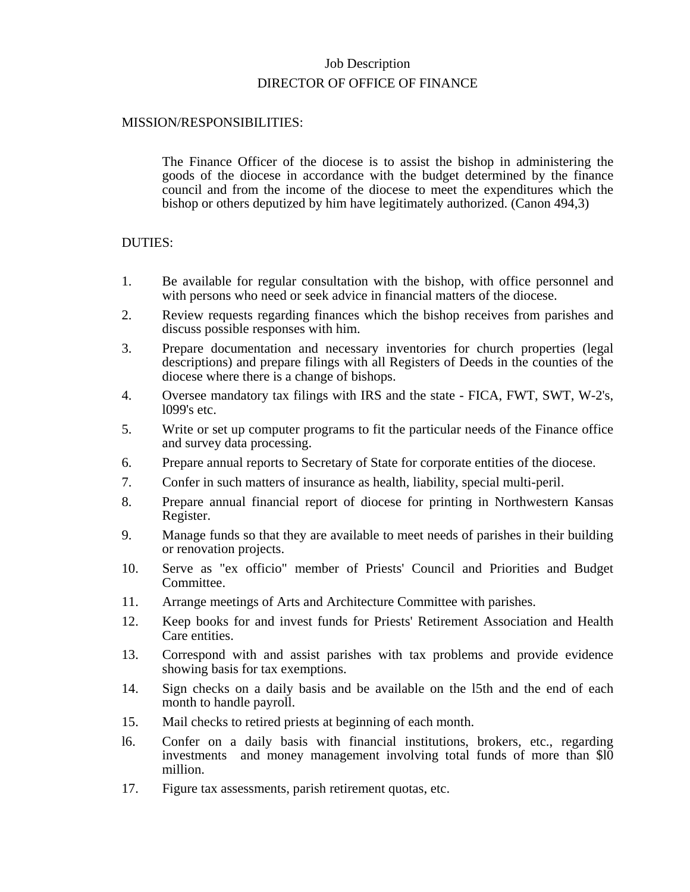# Job Description DIRECTOR OF OFFICE OF FINANCE

## MISSION/RESPONSIBILITIES:

The Finance Officer of the diocese is to assist the bishop in administering the goods of the diocese in accordance with the budget determined by the finance council and from the income of the diocese to meet the expenditures which the bishop or others deputized by him have legitimately authorized. (Canon 494,3)

- 1. Be available for regular consultation with the bishop, with office personnel and with persons who need or seek advice in financial matters of the diocese.
- 2. Review requests regarding finances which the bishop receives from parishes and discuss possible responses with him.
- 3. Prepare documentation and necessary inventories for church properties (legal descriptions) and prepare filings with all Registers of Deeds in the counties of the diocese where there is a change of bishops.
- 4. Oversee mandatory tax filings with IRS and the state FICA, FWT, SWT, W-2's, l099's etc.
- 5. Write or set up computer programs to fit the particular needs of the Finance office and survey data processing.
- 6. Prepare annual reports to Secretary of State for corporate entities of the diocese.
- 7. Confer in such matters of insurance as health, liability, special multi-peril.
- 8. Prepare annual financial report of diocese for printing in Northwestern Kansas Register.
- 9. Manage funds so that they are available to meet needs of parishes in their building or renovation projects.
- 10. Serve as "ex officio" member of Priests' Council and Priorities and Budget Committee.
- 11. Arrange meetings of Arts and Architecture Committee with parishes.
- 12. Keep books for and invest funds for Priests' Retirement Association and Health Care entities.
- 13. Correspond with and assist parishes with tax problems and provide evidence showing basis for tax exemptions.
- 14. Sign checks on a daily basis and be available on the l5th and the end of each month to handle payroll.
- 15. Mail checks to retired priests at beginning of each month.
- l6. Confer on a daily basis with financial institutions, brokers, etc., regarding investments and money management involving total funds of more than \$l0 million.
- 17. Figure tax assessments, parish retirement quotas, etc.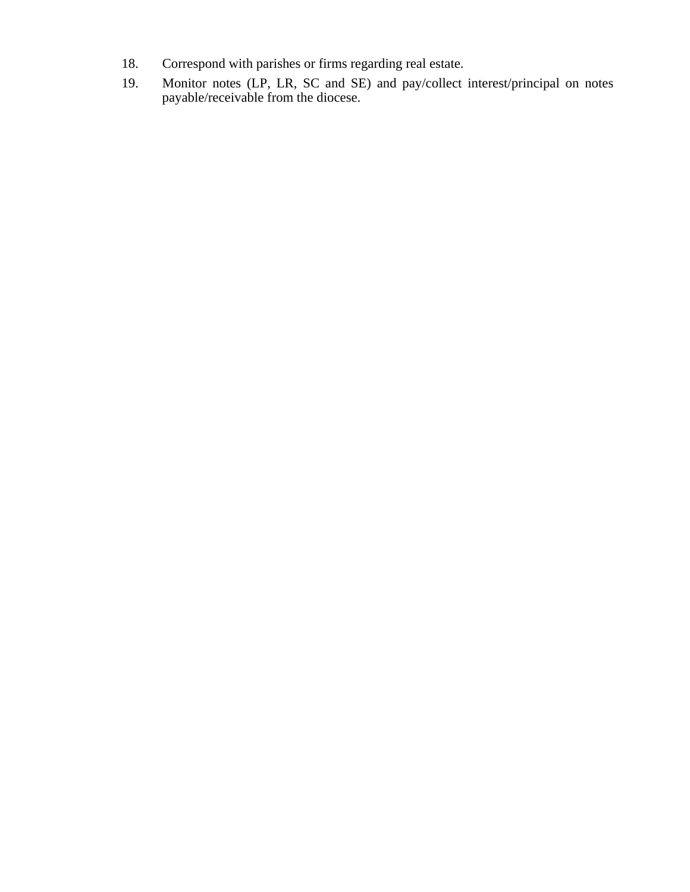- 18. Correspond with parishes or firms regarding real estate.
- 19. Monitor notes (LP, LR, SC and SE) and pay/collect interest/principal on notes payable/receivable from the diocese.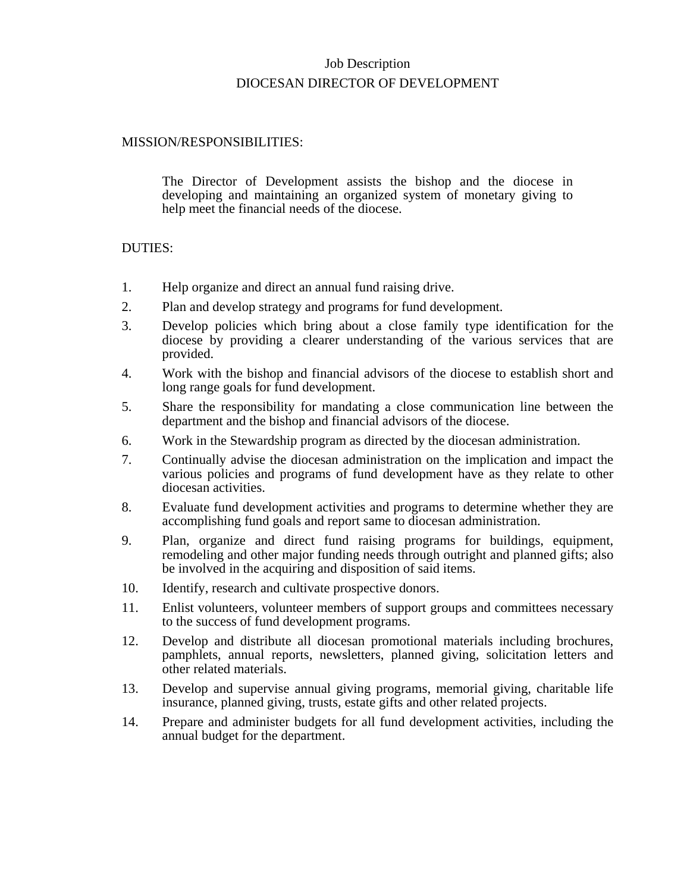# Job Description DIOCESAN DIRECTOR OF DEVELOPMENT

## MISSION/RESPONSIBILITIES:

The Director of Development assists the bishop and the diocese in developing and maintaining an organized system of monetary giving to help meet the financial needs of the diocese.

- 1. Help organize and direct an annual fund raising drive.
- 2. Plan and develop strategy and programs for fund development.
- 3. Develop policies which bring about a close family type identification for the diocese by providing a clearer understanding of the various services that are provided.
- 4. Work with the bishop and financial advisors of the diocese to establish short and long range goals for fund development.
- 5. Share the responsibility for mandating a close communication line between the department and the bishop and financial advisors of the diocese.
- 6. Work in the Stewardship program as directed by the diocesan administration.
- 7. Continually advise the diocesan administration on the implication and impact the various policies and programs of fund development have as they relate to other diocesan activities.
- 8. Evaluate fund development activities and programs to determine whether they are accomplishing fund goals and report same to diocesan administration.
- 9. Plan, organize and direct fund raising programs for buildings, equipment, remodeling and other major funding needs through outright and planned gifts; also be involved in the acquiring and disposition of said items.
- 10. Identify, research and cultivate prospective donors.
- 11. Enlist volunteers, volunteer members of support groups and committees necessary to the success of fund development programs.
- 12. Develop and distribute all diocesan promotional materials including brochures, pamphlets, annual reports, newsletters, planned giving, solicitation letters and other related materials.
- 13. Develop and supervise annual giving programs, memorial giving, charitable life insurance, planned giving, trusts, estate gifts and other related projects.
- 14. Prepare and administer budgets for all fund development activities, including the annual budget for the department.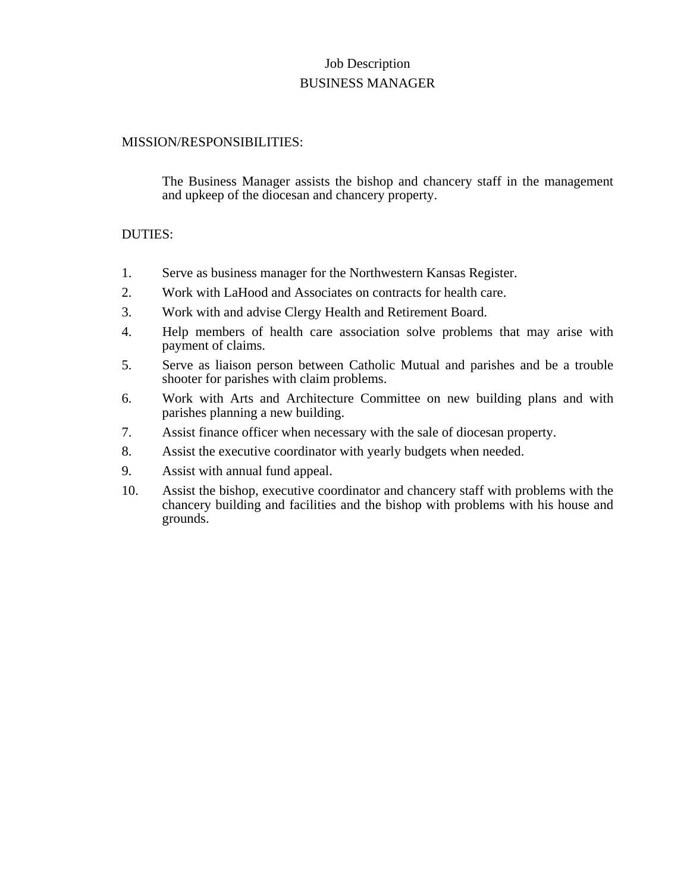# Job Description BUSINESS MANAGER

## MISSION/RESPONSIBILITIES:

The Business Manager assists the bishop and chancery staff in the management and upkeep of the diocesan and chancery property.

- 1. Serve as business manager for the Northwestern Kansas Register.
- 2. Work with LaHood and Associates on contracts for health care.
- 3. Work with and advise Clergy Health and Retirement Board.
- 4. Help members of health care association solve problems that may arise with payment of claims.
- 5. Serve as liaison person between Catholic Mutual and parishes and be a trouble shooter for parishes with claim problems.
- 6. Work with Arts and Architecture Committee on new building plans and with parishes planning a new building.
- 7. Assist finance officer when necessary with the sale of diocesan property.
- 8. Assist the executive coordinator with yearly budgets when needed.
- 9. Assist with annual fund appeal.
- 10. Assist the bishop, executive coordinator and chancery staff with problems with the chancery building and facilities and the bishop with problems with his house and grounds.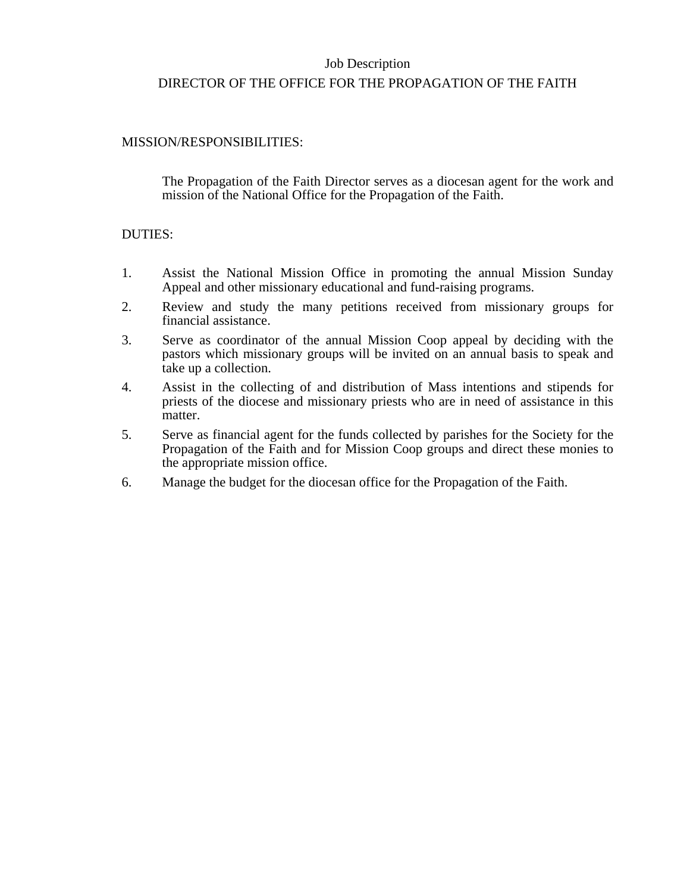# Job Description DIRECTOR OF THE OFFICE FOR THE PROPAGATION OF THE FAITH

## MISSION/RESPONSIBILITIES:

The Propagation of the Faith Director serves as a diocesan agent for the work and mission of the National Office for the Propagation of the Faith.

- 1. Assist the National Mission Office in promoting the annual Mission Sunday Appeal and other missionary educational and fund-raising programs.
- 2. Review and study the many petitions received from missionary groups for financial assistance.
- 3. Serve as coordinator of the annual Mission Coop appeal by deciding with the pastors which missionary groups will be invited on an annual basis to speak and take up a collection.
- 4. Assist in the collecting of and distribution of Mass intentions and stipends for priests of the diocese and missionary priests who are in need of assistance in this matter.
- 5. Serve as financial agent for the funds collected by parishes for the Society for the Propagation of the Faith and for Mission Coop groups and direct these monies to the appropriate mission office.
- 6. Manage the budget for the diocesan office for the Propagation of the Faith.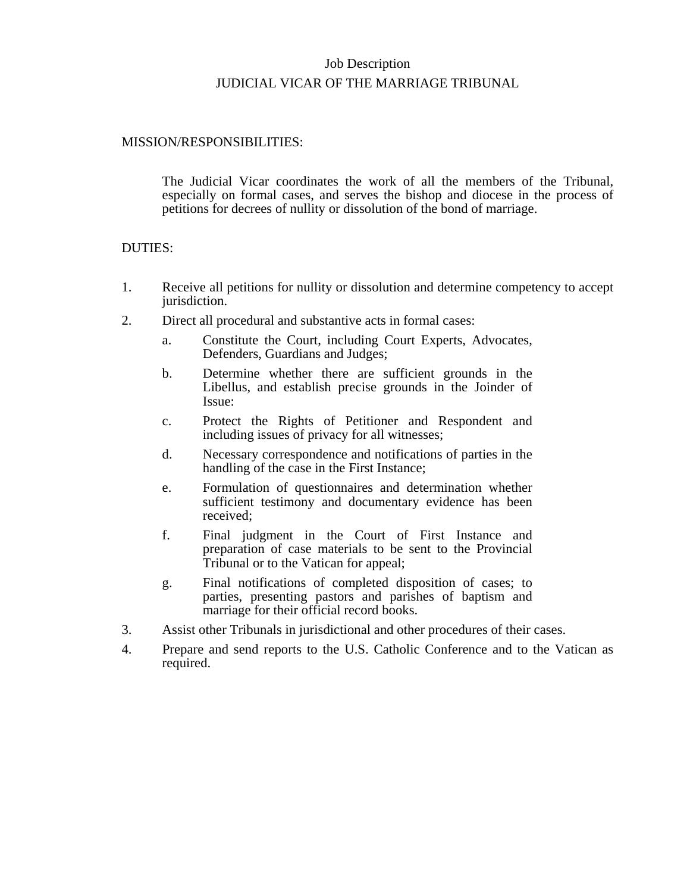# Job Description JUDICIAL VICAR OF THE MARRIAGE TRIBUNAL

## MISSION/RESPONSIBILITIES:

The Judicial Vicar coordinates the work of all the members of the Tribunal, especially on formal cases, and serves the bishop and diocese in the process of petitions for decrees of nullity or dissolution of the bond of marriage.

- 1. Receive all petitions for nullity or dissolution and determine competency to accept jurisdiction.
- 2. Direct all procedural and substantive acts in formal cases:
	- a. Constitute the Court, including Court Experts, Advocates, Defenders, Guardians and Judges;
	- b. Determine whether there are sufficient grounds in the Libellus, and establish precise grounds in the Joinder of Issue:
	- c. Protect the Rights of Petitioner and Respondent and including issues of privacy for all witnesses;
	- d. Necessary correspondence and notifications of parties in the handling of the case in the First Instance;
	- e. Formulation of questionnaires and determination whether sufficient testimony and documentary evidence has been received;
	- f. Final judgment in the Court of First Instance and preparation of case materials to be sent to the Provincial Tribunal or to the Vatican for appeal;
	- g. Final notifications of completed disposition of cases; to parties, presenting pastors and parishes of baptism and marriage for their official record books.
- 3. Assist other Tribunals in jurisdictional and other procedures of their cases.
- 4. Prepare and send reports to the U.S. Catholic Conference and to the Vatican as required.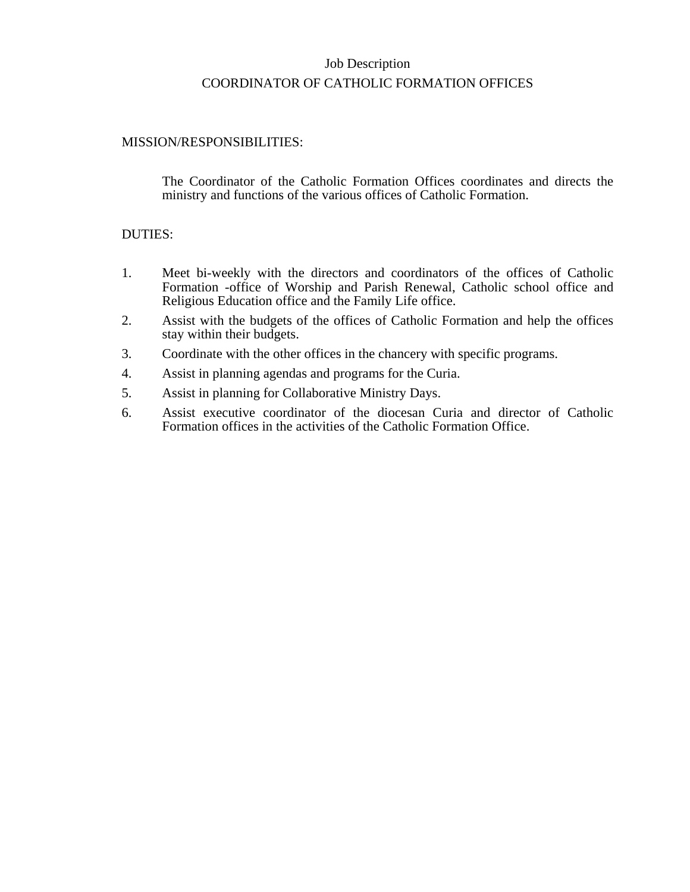# Job Description COORDINATOR OF CATHOLIC FORMATION OFFICES

## MISSION/RESPONSIBILITIES:

The Coordinator of the Catholic Formation Offices coordinates and directs the ministry and functions of the various offices of Catholic Formation.

- 1. Meet bi-weekly with the directors and coordinators of the offices of Catholic Formation -office of Worship and Parish Renewal, Catholic school office and Religious Education office and the Family Life office.
- 2. Assist with the budgets of the offices of Catholic Formation and help the offices stay within their budgets.
- 3. Coordinate with the other offices in the chancery with specific programs.
- 4. Assist in planning agendas and programs for the Curia.
- 5. Assist in planning for Collaborative Ministry Days.
- 6. Assist executive coordinator of the diocesan Curia and director of Catholic Formation offices in the activities of the Catholic Formation Office.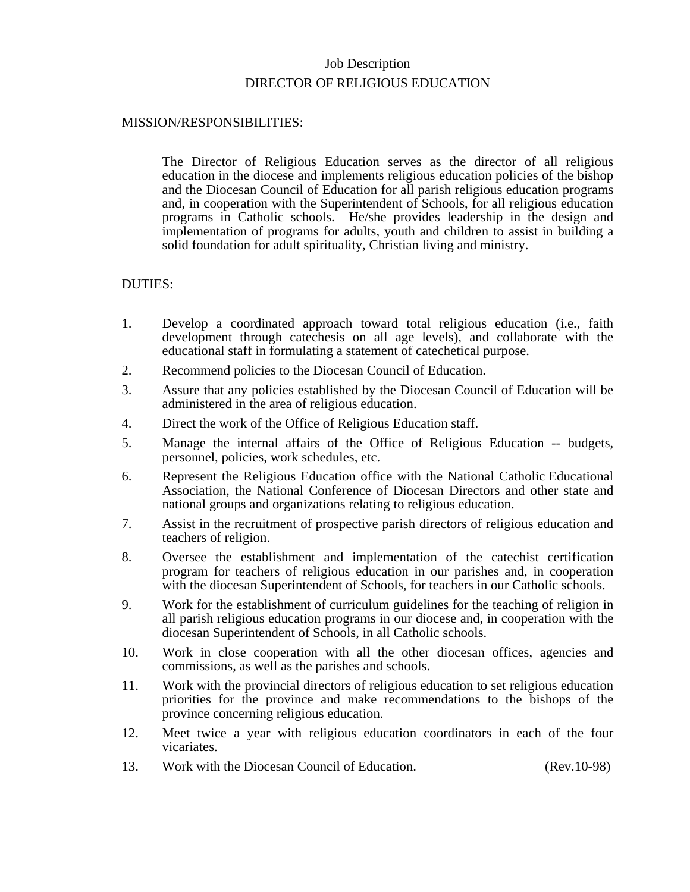# Job Description DIRECTOR OF RELIGIOUS EDUCATION

## MISSION/RESPONSIBILITIES:

The Director of Religious Education serves as the director of all religious education in the diocese and implements religious education policies of the bishop and the Diocesan Council of Education for all parish religious education programs and, in cooperation with the Superintendent of Schools, for all religious education programs in Catholic schools. He/she provides leadership in the design and implementation of programs for adults, youth and children to assist in building a solid foundation for adult spirituality, Christian living and ministry.

- 1. Develop a coordinated approach toward total religious education (i.e., faith development through catechesis on all age levels), and collaborate with the educational staff in formulating a statement of catechetical purpose.
- 2. Recommend policies to the Diocesan Council of Education.
- 3. Assure that any policies established by the Diocesan Council of Education will be administered in the area of religious education.
- 4. Direct the work of the Office of Religious Education staff.
- 5. Manage the internal affairs of the Office of Religious Education -- budgets, personnel, policies, work schedules, etc.
- 6. Represent the Religious Education office with the National Catholic Educational Association, the National Conference of Diocesan Directors and other state and national groups and organizations relating to religious education.
- 7. Assist in the recruitment of prospective parish directors of religious education and teachers of religion.
- 8. Oversee the establishment and implementation of the catechist certification program for teachers of religious education in our parishes and, in cooperation with the diocesan Superintendent of Schools, for teachers in our Catholic schools.
- 9. Work for the establishment of curriculum guidelines for the teaching of religion in all parish religious education programs in our diocese and, in cooperation with the diocesan Superintendent of Schools, in all Catholic schools.
- 10. Work in close cooperation with all the other diocesan offices, agencies and commissions, as well as the parishes and schools.
- 11. Work with the provincial directors of religious education to set religious education priorities for the province and make recommendations to the bishops of the province concerning religious education.
- 12. Meet twice a year with religious education coordinators in each of the four vicariates.
- 13. Work with the Diocesan Council of Education. (Rev.10-98)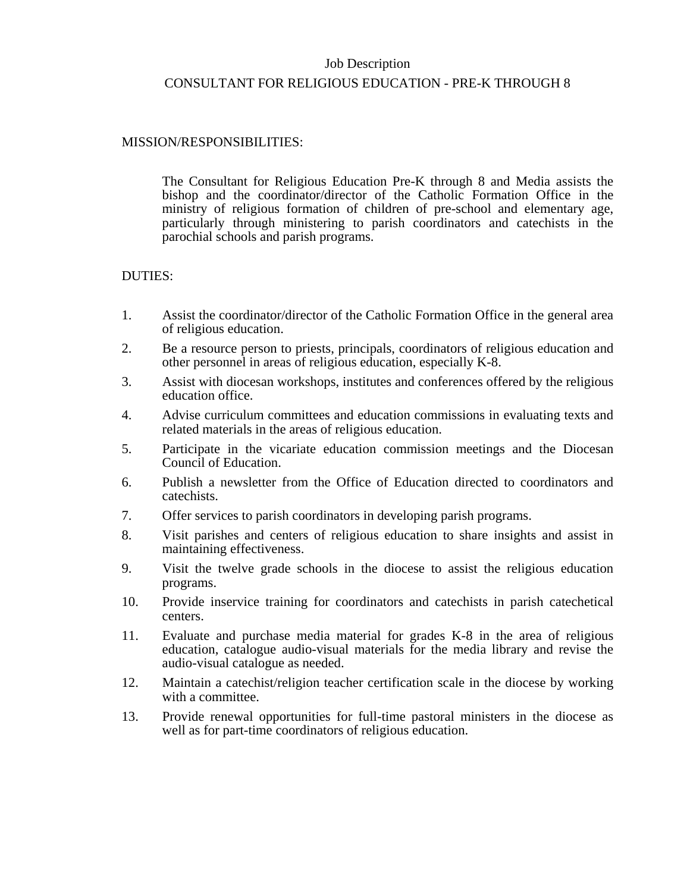# Job Description CONSULTANT FOR RELIGIOUS EDUCATION - PRE-K THROUGH 8

## MISSION/RESPONSIBILITIES:

The Consultant for Religious Education Pre-K through 8 and Media assists the bishop and the coordinator/director of the Catholic Formation Office in the ministry of religious formation of children of pre-school and elementary age, particularly through ministering to parish coordinators and catechists in the parochial schools and parish programs.

- 1. Assist the coordinator/director of the Catholic Formation Office in the general area of religious education.
- 2. Be a resource person to priests, principals, coordinators of religious education and other personnel in areas of religious education, especially K-8.
- 3. Assist with diocesan workshops, institutes and conferences offered by the religious education office.
- 4. Advise curriculum committees and education commissions in evaluating texts and related materials in the areas of religious education.
- 5. Participate in the vicariate education commission meetings and the Diocesan Council of Education.
- 6. Publish a newsletter from the Office of Education directed to coordinators and catechists.
- 7. Offer services to parish coordinators in developing parish programs.
- 8. Visit parishes and centers of religious education to share insights and assist in maintaining effectiveness.
- 9. Visit the twelve grade schools in the diocese to assist the religious education programs.
- 10. Provide inservice training for coordinators and catechists in parish catechetical centers.
- 11. Evaluate and purchase media material for grades K-8 in the area of religious education, catalogue audio-visual materials for the media library and revise the audio-visual catalogue as needed.
- 12. Maintain a catechist/religion teacher certification scale in the diocese by working with a committee.
- 13. Provide renewal opportunities for full-time pastoral ministers in the diocese as well as for part-time coordinators of religious education.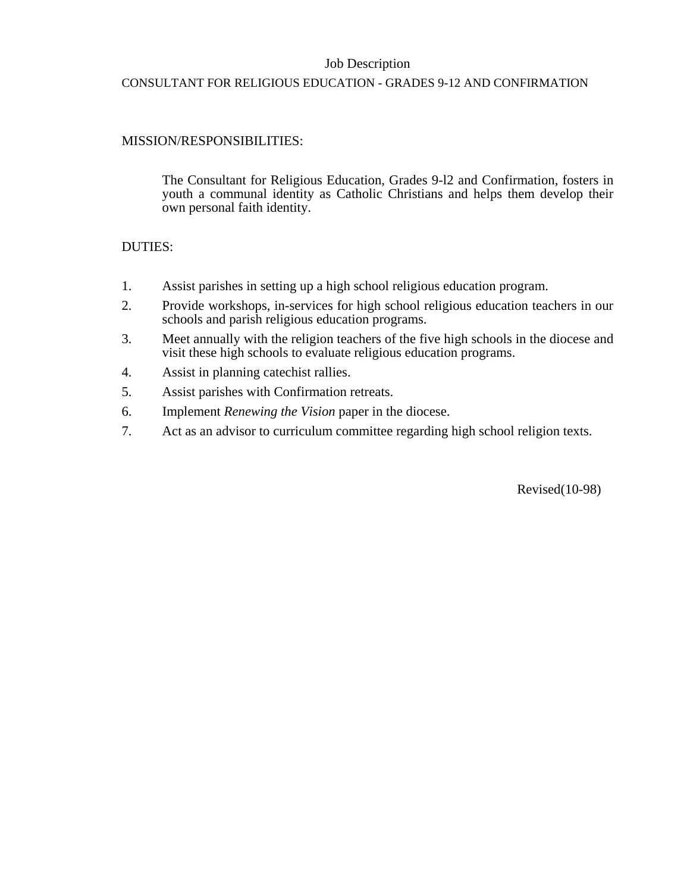## Job Description

## CONSULTANT FOR RELIGIOUS EDUCATION - GRADES 9-12 AND CONFIRMATION

## MISSION/RESPONSIBILITIES:

The Consultant for Religious Education, Grades 9-l2 and Confirmation, fosters in youth a communal identity as Catholic Christians and helps them develop their own personal faith identity.

## DUTIES:

- 1. Assist parishes in setting up a high school religious education program.
- 2. Provide workshops, in-services for high school religious education teachers in our schools and parish religious education programs.
- 3. Meet annually with the religion teachers of the five high schools in the diocese and visit these high schools to evaluate religious education programs.
- 4. Assist in planning catechist rallies.
- 5. Assist parishes with Confirmation retreats.
- 6. Implement *Renewing the Vision* paper in the diocese.
- 7. Act as an advisor to curriculum committee regarding high school religion texts.

Revised(10-98)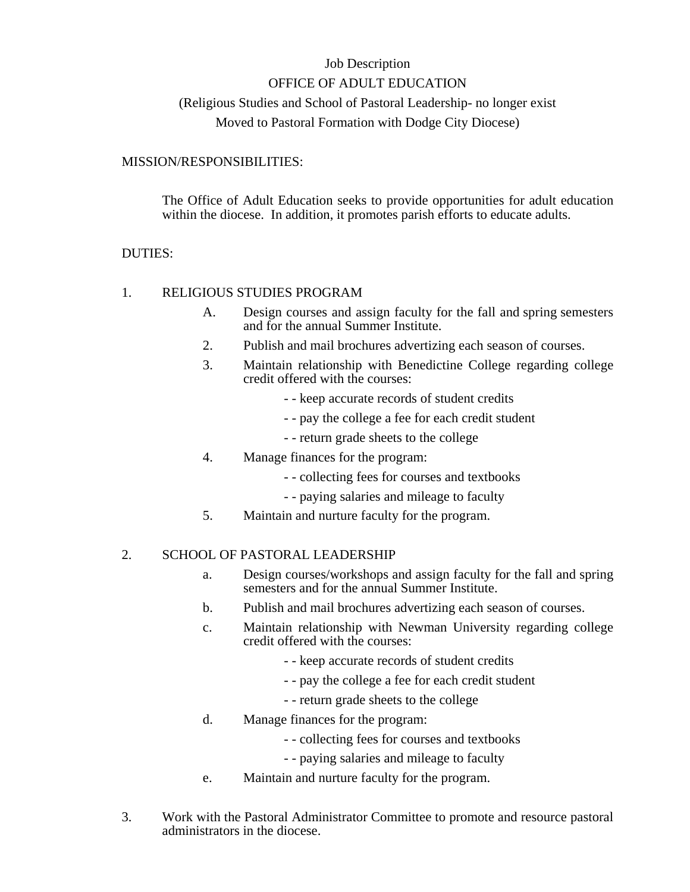# Job Description OFFICE OF ADULT EDUCATION (Religious Studies and School of Pastoral Leadership- no longer exist Moved to Pastoral Formation with Dodge City Diocese)

## MISSION/RESPONSIBILITIES:

The Office of Adult Education seeks to provide opportunities for adult education within the diocese. In addition, it promotes parish efforts to educate adults.

## DUTIES:

## 1. RELIGIOUS STUDIES PROGRAM

- A. Design courses and assign faculty for the fall and spring semesters and for the annual Summer Institute.
- 2. Publish and mail brochures advertizing each season of courses.
- 3. Maintain relationship with Benedictine College regarding college credit offered with the courses:
	- - keep accurate records of student credits
	- - pay the college a fee for each credit student
	- - return grade sheets to the college
- 4. Manage finances for the program:
	- - collecting fees for courses and textbooks
	- - paying salaries and mileage to faculty
- 5. Maintain and nurture faculty for the program.

## 2. SCHOOL OF PASTORAL LEADERSHIP

- a. Design courses/workshops and assign faculty for the fall and spring semesters and for the annual Summer Institute.
- b. Publish and mail brochures advertizing each season of courses.
- c. Maintain relationship with Newman University regarding college credit offered with the courses:
	- - keep accurate records of student credits
	- - pay the college a fee for each credit student
	- - return grade sheets to the college
- d. Manage finances for the program:
	- - collecting fees for courses and textbooks
	- - paying salaries and mileage to faculty
- e. Maintain and nurture faculty for the program.
- 3. Work with the Pastoral Administrator Committee to promote and resource pastoral administrators in the diocese.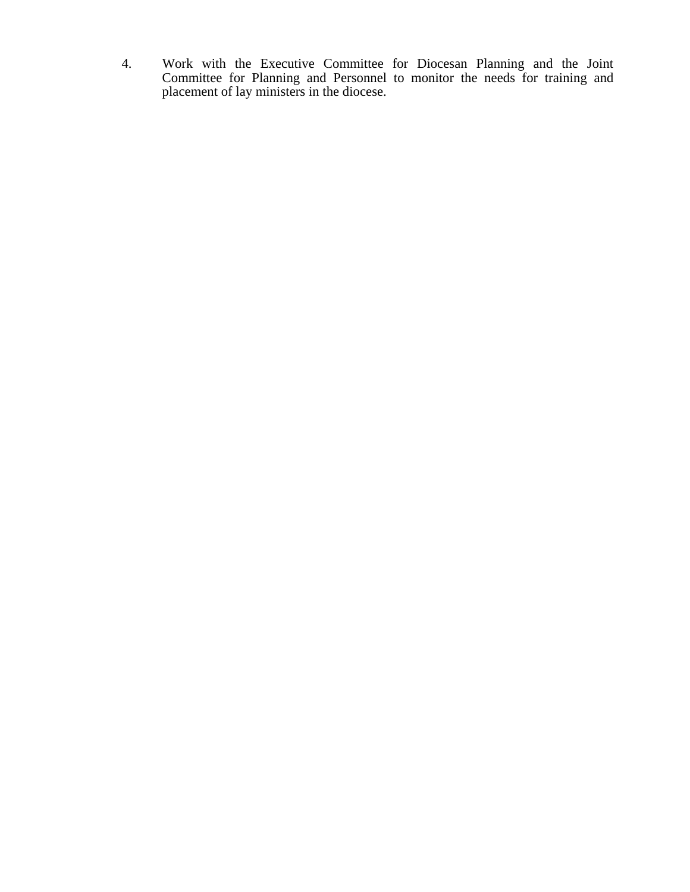4. Work with the Executive Committee for Diocesan Planning and the Joint Committee for Planning and Personnel to monitor the needs for training and placement of lay ministers in the diocese.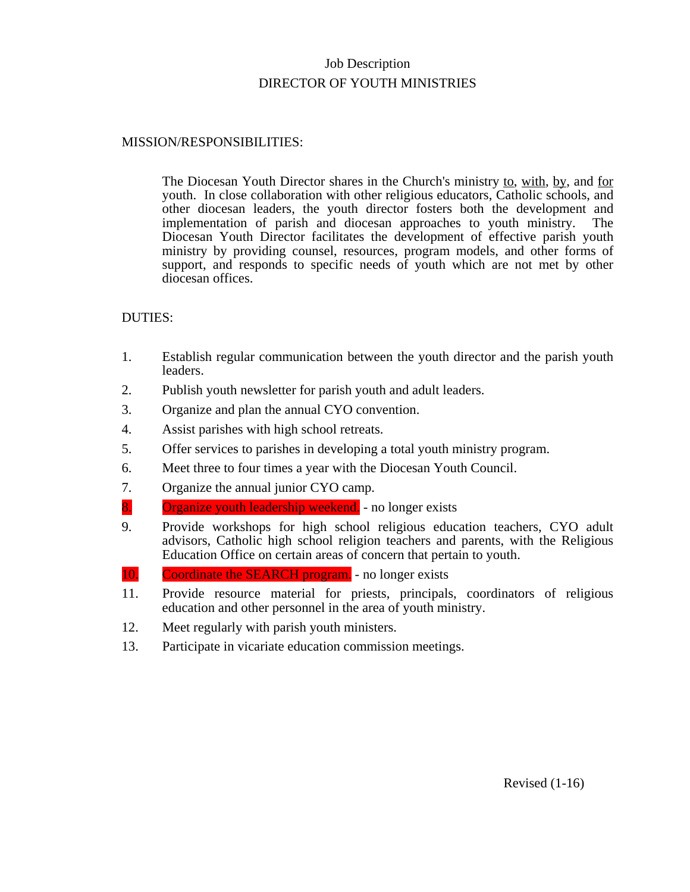# Job Description DIRECTOR OF YOUTH MINISTRIES

## MISSION/RESPONSIBILITIES:

The Diocesan Youth Director shares in the Church's ministry to, with, by, and for youth. In close collaboration with other religious educators, Catholic schools, and other diocesan leaders, the youth director fosters both the development and implementation of parish and diocesan approaches to youth ministry. The Diocesan Youth Director facilitates the development of effective parish youth ministry by providing counsel, resources, program models, and other forms of support, and responds to specific needs of youth which are not met by other diocesan offices.

- 1. Establish regular communication between the youth director and the parish youth leaders.
- 2. Publish youth newsletter for parish youth and adult leaders.
- 3. Organize and plan the annual CYO convention.
- 4. Assist parishes with high school retreats.
- 5. Offer services to parishes in developing a total youth ministry program.
- 6. Meet three to four times a year with the Diocesan Youth Council.
- 7. Organize the annual junior CYO camp.
- 8. Organize youth leadership weekend. no longer exists
- 9. Provide workshops for high school religious education teachers, CYO adult advisors, Catholic high school religion teachers and parents, with the Religious Education Office on certain areas of concern that pertain to youth.
- 10. Coordinate the SEARCH program. no longer exists
- 11. Provide resource material for priests, principals, coordinators of religious education and other personnel in the area of youth ministry.
- 12. Meet regularly with parish youth ministers.
- 13. Participate in vicariate education commission meetings.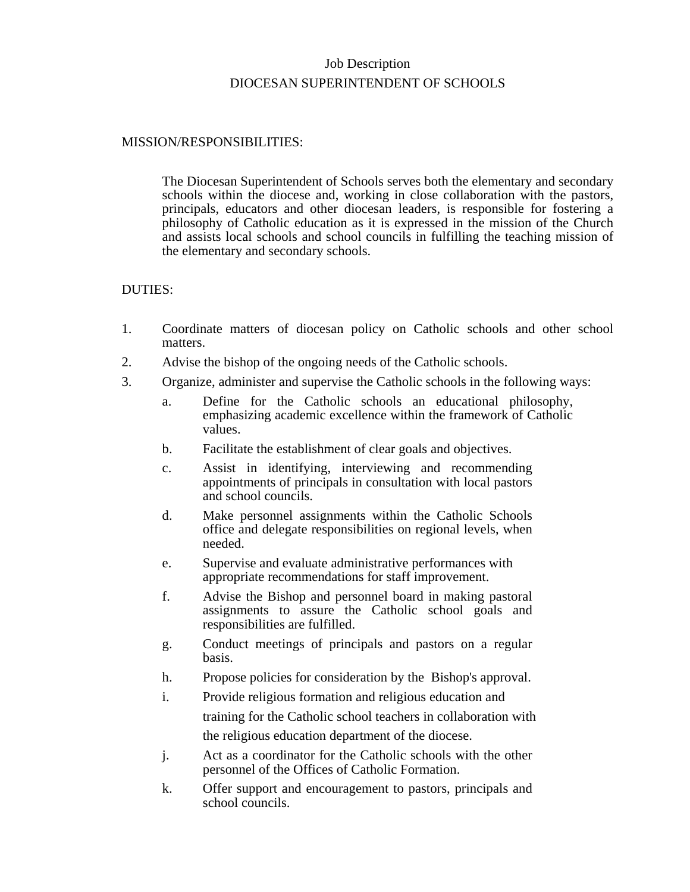# Job Description DIOCESAN SUPERINTENDENT OF SCHOOLS

#### MISSION/RESPONSIBILITIES:

The Diocesan Superintendent of Schools serves both the elementary and secondary schools within the diocese and, working in close collaboration with the pastors, principals, educators and other diocesan leaders, is responsible for fostering a philosophy of Catholic education as it is expressed in the mission of the Church and assists local schools and school councils in fulfilling the teaching mission of the elementary and secondary schools.

- 1. Coordinate matters of diocesan policy on Catholic schools and other school matters.
- 2. Advise the bishop of the ongoing needs of the Catholic schools.
- 3. Organize, administer and supervise the Catholic schools in the following ways:
	- a. Define for the Catholic schools an educational philosophy, emphasizing academic excellence within the framework of Catholic values.
	- b. Facilitate the establishment of clear goals and objectives.
	- c. Assist in identifying, interviewing and recommending appointments of principals in consultation with local pastors and school councils.
	- d. Make personnel assignments within the Catholic Schools office and delegate responsibilities on regional levels, when needed.
	- e. Supervise and evaluate administrative performances with appropriate recommendations for staff improvement.
	- f. Advise the Bishop and personnel board in making pastoral assignments to assure the Catholic school goals and responsibilities are fulfilled.
	- g. Conduct meetings of principals and pastors on a regular basis.
	- h. Propose policies for consideration by the Bishop's approval.
	- i. Provide religious formation and religious education and training for the Catholic school teachers in collaboration with the religious education department of the diocese.
	- j. Act as a coordinator for the Catholic schools with the other personnel of the Offices of Catholic Formation.
	- k. Offer support and encouragement to pastors, principals and school councils.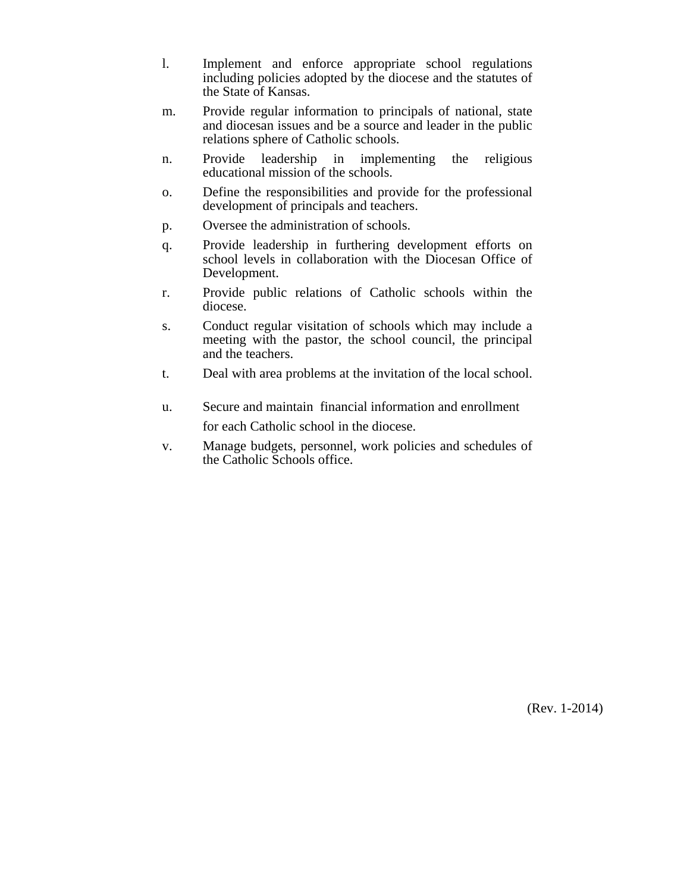- l. Implement and enforce appropriate school regulations including policies adopted by the diocese and the statutes of the State of Kansas.
- m. Provide regular information to principals of national, state and diocesan issues and be a source and leader in the public relations sphere of Catholic schools.
- n. Provide leadership in implementing the religious educational mission of the schools.
- o. Define the responsibilities and provide for the professional development of principals and teachers.
- p. Oversee the administration of schools.
- q. Provide leadership in furthering development efforts on school levels in collaboration with the Diocesan Office of Development.
- r. Provide public relations of Catholic schools within the diocese.
- s. Conduct regular visitation of schools which may include a meeting with the pastor, the school council, the principal and the teachers.
- t. Deal with area problems at the invitation of the local school.
- u. Secure and maintain financial information and enrollment for each Catholic school in the diocese.
- v. Manage budgets, personnel, work policies and schedules of the Catholic Schools office.

(Rev. 1-2014)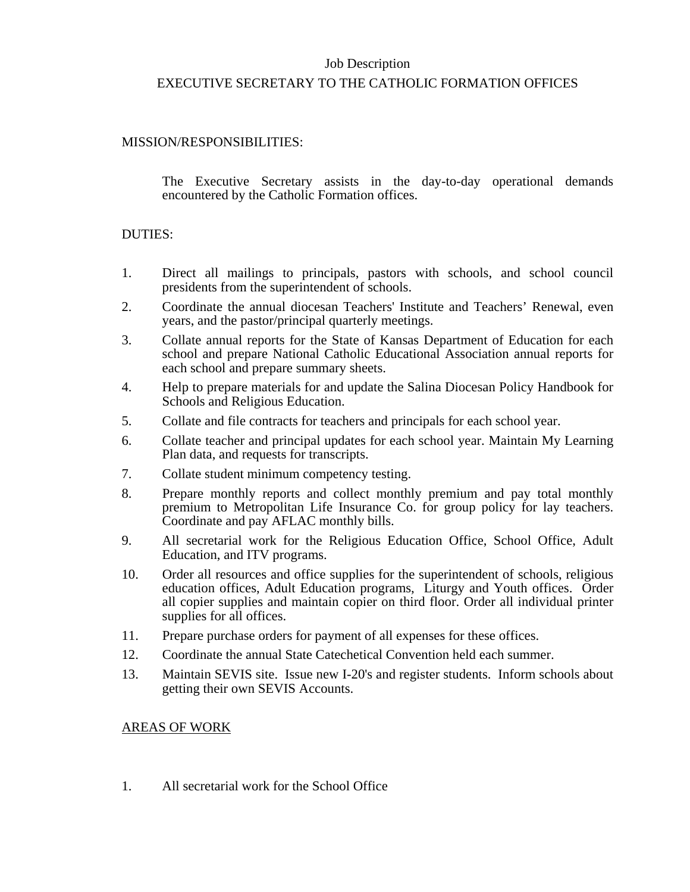## Job Description

## EXECUTIVE SECRETARY TO THE CATHOLIC FORMATION OFFICES

## MISSION/RESPONSIBILITIES:

The Executive Secretary assists in the day-to-day operational demands encountered by the Catholic Formation offices.

#### DUTIES:

- 1. Direct all mailings to principals, pastors with schools, and school council presidents from the superintendent of schools.
- 2. Coordinate the annual diocesan Teachers' Institute and Teachers' Renewal, even years, and the pastor/principal quarterly meetings.
- 3. Collate annual reports for the State of Kansas Department of Education for each school and prepare National Catholic Educational Association annual reports for each school and prepare summary sheets.
- 4. Help to prepare materials for and update the Salina Diocesan Policy Handbook for Schools and Religious Education.
- 5. Collate and file contracts for teachers and principals for each school year.
- 6. Collate teacher and principal updates for each school year. Maintain My Learning Plan data, and requests for transcripts.
- 7. Collate student minimum competency testing.
- 8. Prepare monthly reports and collect monthly premium and pay total monthly premium to Metropolitan Life Insurance Co. for group policy for lay teachers. Coordinate and pay AFLAC monthly bills.
- 9. All secretarial work for the Religious Education Office, School Office, Adult Education, and ITV programs.
- 10. Order all resources and office supplies for the superintendent of schools, religious education offices, Adult Education programs, Liturgy and Youth offices. Order all copier supplies and maintain copier on third floor. Order all individual printer supplies for all offices.
- 11. Prepare purchase orders for payment of all expenses for these offices.
- 12. Coordinate the annual State Catechetical Convention held each summer.
- 13. Maintain SEVIS site. Issue new I-20's and register students. Inform schools about getting their own SEVIS Accounts.

#### AREAS OF WORK

1. All secretarial work for the School Office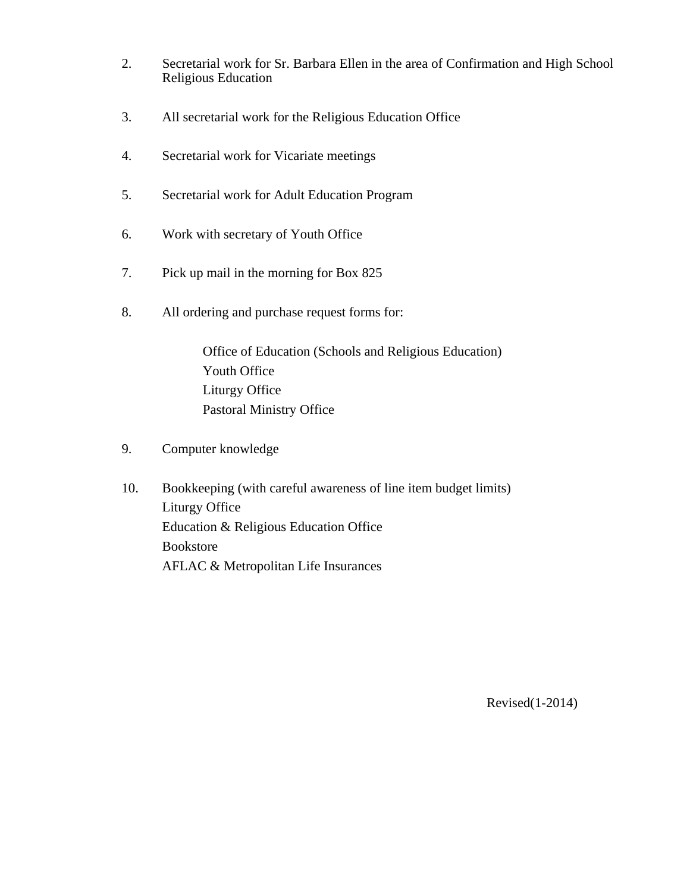- 2. Secretarial work for Sr. Barbara Ellen in the area of Confirmation and High School Religious Education
- 3. All secretarial work for the Religious Education Office
- 4. Secretarial work for Vicariate meetings
- 5. Secretarial work for Adult Education Program
- 6. Work with secretary of Youth Office
- 7. Pick up mail in the morning for Box 825
- 8. All ordering and purchase request forms for:

Office of Education (Schools and Religious Education) Youth Office Liturgy Office Pastoral Ministry Office

- 9. Computer knowledge
- 10. Bookkeeping (with careful awareness of line item budget limits) Liturgy Office Education & Religious Education Office Bookstore AFLAC & Metropolitan Life Insurances

Revised(1-2014)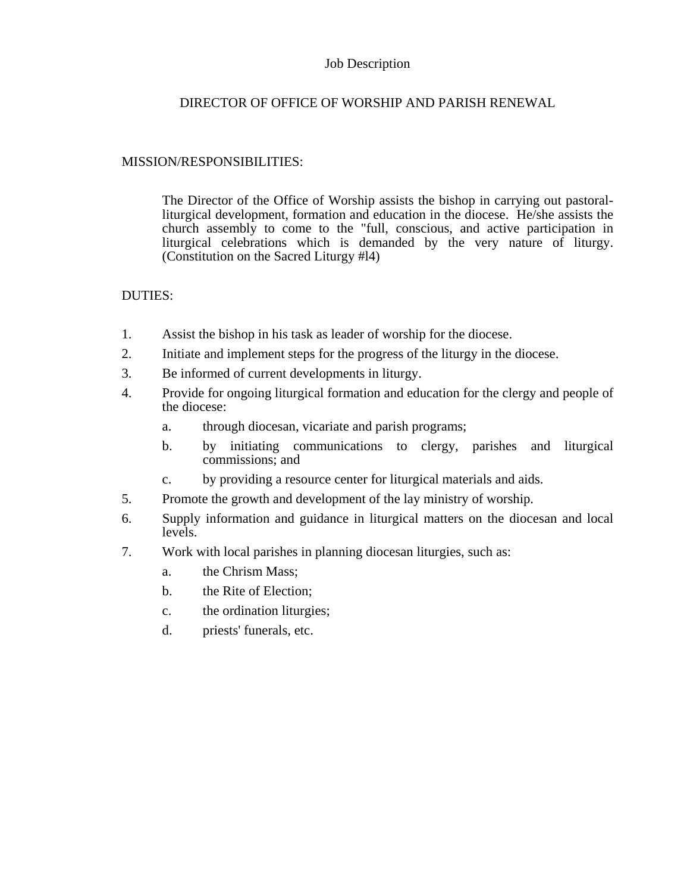## Job Description

## DIRECTOR OF OFFICE OF WORSHIP AND PARISH RENEWAL

## MISSION/RESPONSIBILITIES:

The Director of the Office of Worship assists the bishop in carrying out pastoralliturgical development, formation and education in the diocese. He/she assists the church assembly to come to the "full, conscious, and active participation in liturgical celebrations which is demanded by the very nature of liturgy. (Constitution on the Sacred Liturgy #l4)

- 1. Assist the bishop in his task as leader of worship for the diocese.
- 2. Initiate and implement steps for the progress of the liturgy in the diocese.
- 3. Be informed of current developments in liturgy.
- 4. Provide for ongoing liturgical formation and education for the clergy and people of the diocese:
	- a. through diocesan, vicariate and parish programs;
	- b. by initiating communications to clergy, parishes and liturgical commissions; and
	- c. by providing a resource center for liturgical materials and aids.
- 5. Promote the growth and development of the lay ministry of worship.
- 6. Supply information and guidance in liturgical matters on the diocesan and local levels.
- 7. Work with local parishes in planning diocesan liturgies, such as:
	- a. the Chrism Mass;
	- b. the Rite of Election;
	- c. the ordination liturgies;
	- d. priests' funerals, etc.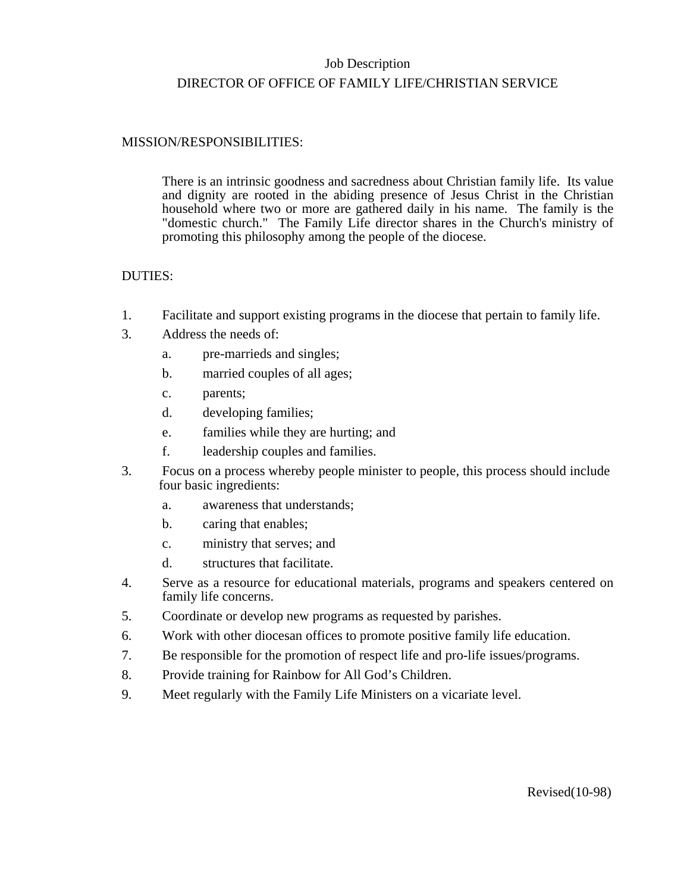# Job Description DIRECTOR OF OFFICE OF FAMILY LIFE/CHRISTIAN SERVICE

## MISSION/RESPONSIBILITIES:

There is an intrinsic goodness and sacredness about Christian family life. Its value and dignity are rooted in the abiding presence of Jesus Christ in the Christian household where two or more are gathered daily in his name. The family is the "domestic church." The Family Life director shares in the Church's ministry of promoting this philosophy among the people of the diocese.

- 1. Facilitate and support existing programs in the diocese that pertain to family life.
- 3. Address the needs of:
	- a. pre-marrieds and singles;
	- b. married couples of all ages;
	- c. parents;
	- d. developing families;
	- e. families while they are hurting; and
	- f. leadership couples and families.
- 3. Focus on a process whereby people minister to people, this process should include four basic ingredients:
	- a. awareness that understands;
	- b. caring that enables;
	- c. ministry that serves; and
	- d. structures that facilitate.
- 4. Serve as a resource for educational materials, programs and speakers centered on family life concerns.
- 5. Coordinate or develop new programs as requested by parishes.
- 6. Work with other diocesan offices to promote positive family life education.
- 7. Be responsible for the promotion of respect life and pro-life issues/programs.
- 8. Provide training for Rainbow for All God's Children.
- 9. Meet regularly with the Family Life Ministers on a vicariate level.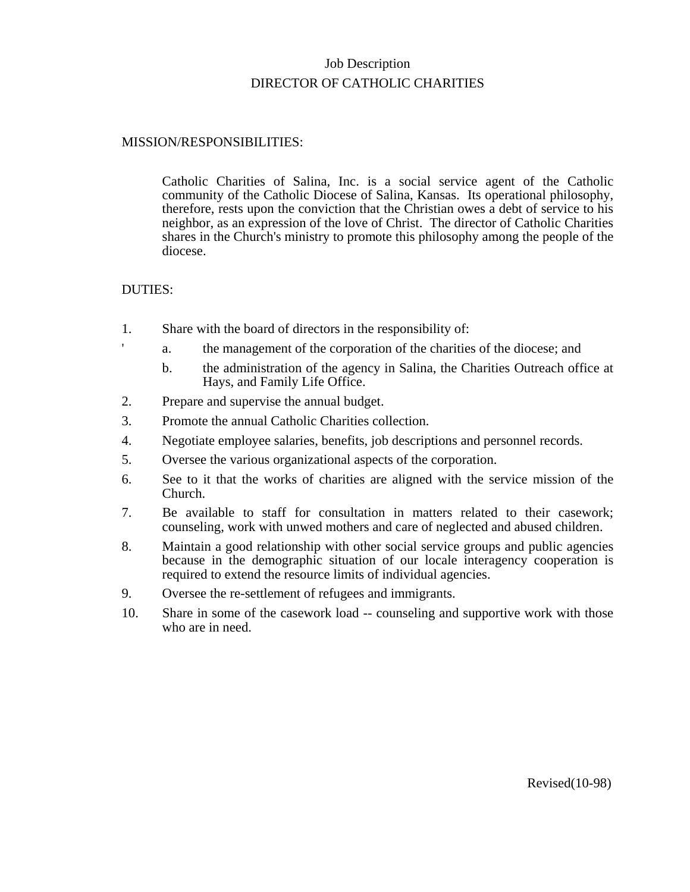# Job Description DIRECTOR OF CATHOLIC CHARITIES

## MISSION/RESPONSIBILITIES:

Catholic Charities of Salina, Inc. is a social service agent of the Catholic community of the Catholic Diocese of Salina, Kansas. Its operational philosophy, therefore, rests upon the conviction that the Christian owes a debt of service to his neighbor, as an expression of the love of Christ. The director of Catholic Charities shares in the Church's ministry to promote this philosophy among the people of the diocese.

- 1. Share with the board of directors in the responsibility of:
	- a. the management of the corporation of the charities of the diocese; and
		- b. the administration of the agency in Salina, the Charities Outreach office at Hays, and Family Life Office.
- 2. Prepare and supervise the annual budget.
- 3. Promote the annual Catholic Charities collection.
- 4. Negotiate employee salaries, benefits, job descriptions and personnel records.
- 5. Oversee the various organizational aspects of the corporation.
- 6. See to it that the works of charities are aligned with the service mission of the Church.
- 7. Be available to staff for consultation in matters related to their casework; counseling, work with unwed mothers and care of neglected and abused children.
- 8. Maintain a good relationship with other social service groups and public agencies because in the demographic situation of our locale interagency cooperation is required to extend the resource limits of individual agencies.
- 9. Oversee the re-settlement of refugees and immigrants.
- 10. Share in some of the casework load -- counseling and supportive work with those who are in need.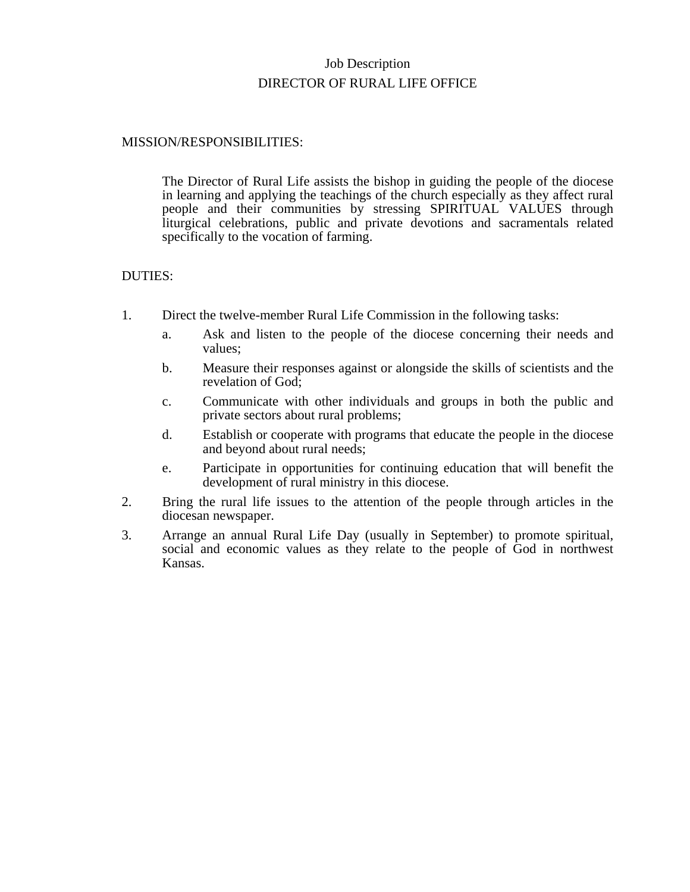# Job Description DIRECTOR OF RURAL LIFE OFFICE

#### MISSION/RESPONSIBILITIES:

The Director of Rural Life assists the bishop in guiding the people of the diocese in learning and applying the teachings of the church especially as they affect rural people and their communities by stressing SPIRITUAL VALUES through liturgical celebrations, public and private devotions and sacramentals related specifically to the vocation of farming.

- 1. Direct the twelve-member Rural Life Commission in the following tasks:
	- a. Ask and listen to the people of the diocese concerning their needs and values;
	- b. Measure their responses against or alongside the skills of scientists and the revelation of God;
	- c. Communicate with other individuals and groups in both the public and private sectors about rural problems;
	- d. Establish or cooperate with programs that educate the people in the diocese and beyond about rural needs;
	- e. Participate in opportunities for continuing education that will benefit the development of rural ministry in this diocese.
- 2. Bring the rural life issues to the attention of the people through articles in the diocesan newspaper.
- 3. Arrange an annual Rural Life Day (usually in September) to promote spiritual, social and economic values as they relate to the people of God in northwest Kansas.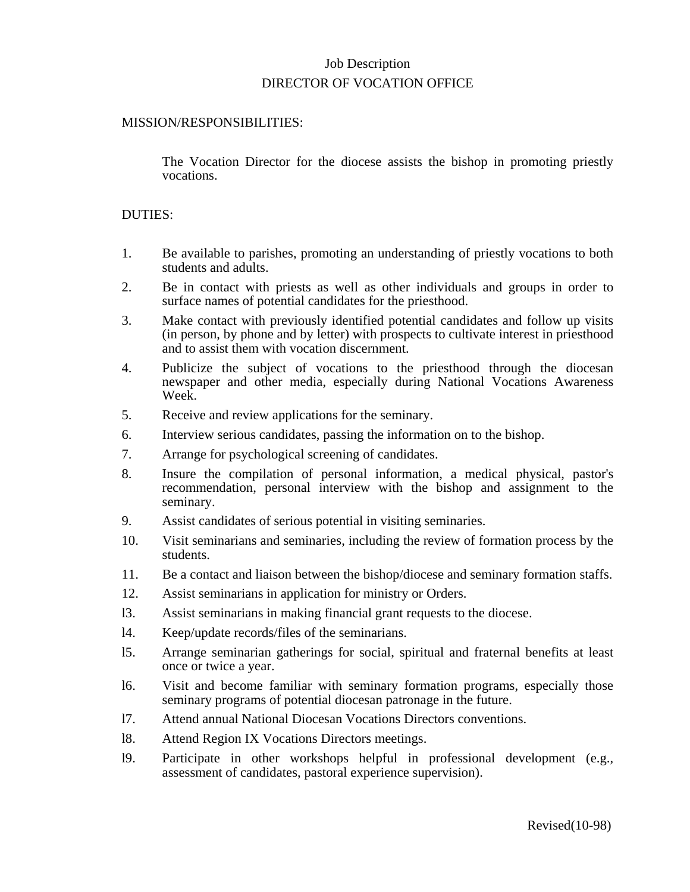## Job Description DIRECTOR OF VOCATION OFFICE

## MISSION/RESPONSIBILITIES:

The Vocation Director for the diocese assists the bishop in promoting priestly vocations.

- 1. Be available to parishes, promoting an understanding of priestly vocations to both students and adults.
- 2. Be in contact with priests as well as other individuals and groups in order to surface names of potential candidates for the priesthood.
- 3. Make contact with previously identified potential candidates and follow up visits (in person, by phone and by letter) with prospects to cultivate interest in priesthood and to assist them with vocation discernment.
- 4. Publicize the subject of vocations to the priesthood through the diocesan newspaper and other media, especially during National Vocations Awareness Week.
- 5. Receive and review applications for the seminary.
- 6. Interview serious candidates, passing the information on to the bishop.
- 7. Arrange for psychological screening of candidates.
- 8. Insure the compilation of personal information, a medical physical, pastor's recommendation, personal interview with the bishop and assignment to the seminary.
- 9. Assist candidates of serious potential in visiting seminaries.
- 10. Visit seminarians and seminaries, including the review of formation process by the students.
- 11. Be a contact and liaison between the bishop/diocese and seminary formation staffs.
- 12. Assist seminarians in application for ministry or Orders.
- l3. Assist seminarians in making financial grant requests to the diocese.
- l4. Keep/update records/files of the seminarians.
- l5. Arrange seminarian gatherings for social, spiritual and fraternal benefits at least once or twice a year.
- l6. Visit and become familiar with seminary formation programs, especially those seminary programs of potential diocesan patronage in the future.
- l7. Attend annual National Diocesan Vocations Directors conventions.
- l8. Attend Region IX Vocations Directors meetings.
- l9. Participate in other workshops helpful in professional development (e.g., assessment of candidates, pastoral experience supervision).